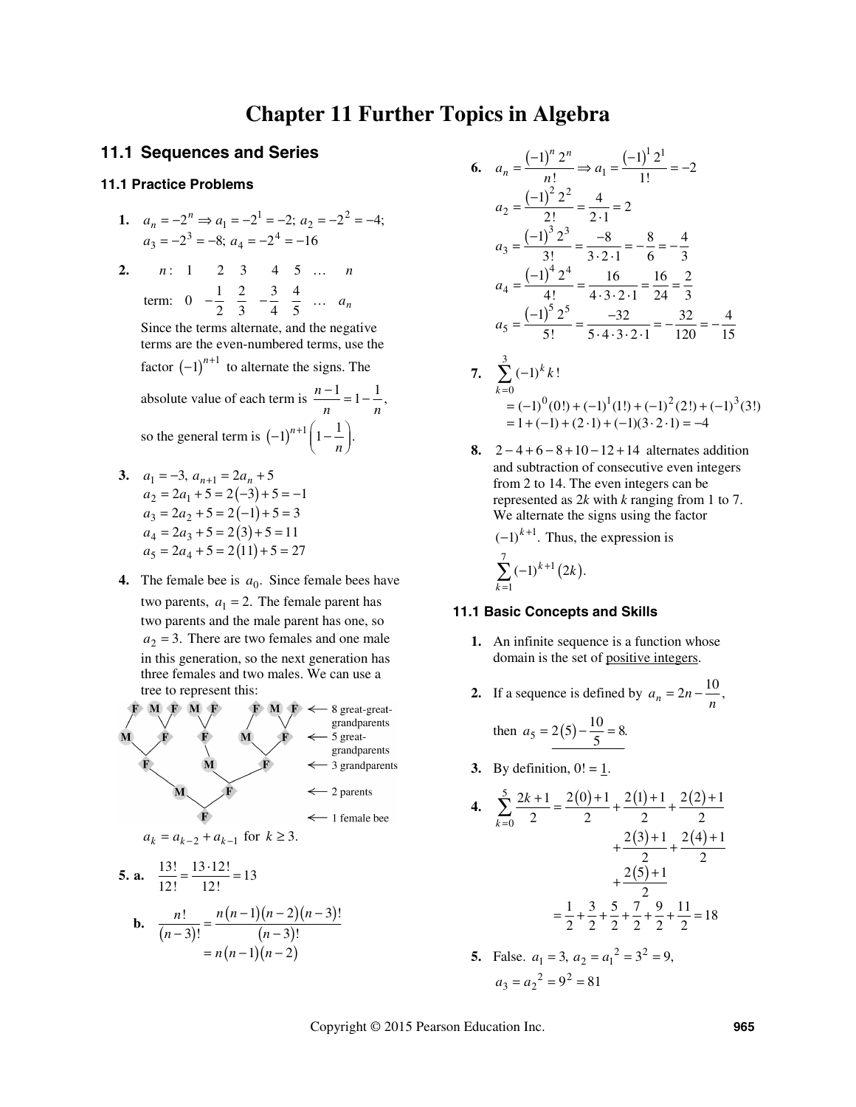# **Chapter 11 Further Topics in Algebra**

# **11.1 Sequences and Series**

### **11.1 Practice Problems**

1. 
$$
a_n = -2^n \Rightarrow a_1 = -2^1 = -2; a_2 = -2^2 = -4;
$$
  
 $a_3 = -2^3 = -8; a_4 = -2^4 = -16$ 

**2.** *n*: 1 2 3 4 5 ... *n* term:  $0 \quad -\frac{1}{2} \quad \frac{2}{3} \quad -\frac{3}{4} \quad \frac{4}{5} \quad \dots \quad a_n$ 

Since the terms alternate, and the negative terms are the even-numbered terms, use the factor  $(-1)^{n+1}$  to alternate the signs. The

absolute value of each term is  $\frac{n-1}{n} = 1 - \frac{1}{n}$ , so the general term is  $(-1)^{n+1} \left(1 - \frac{1}{n}\right)$ . *n*

- **3.**  $a_1 = -3$ ,  $a_{n+1} = 2a_n + 5$  $a_2 = 2a_1 + 5 = 2(-3) + 5 = -1$  $a_3 = 2a_2 + 5 = 2(-1) + 5 = 3$  $a_4 = 2a_3 + 5 = 2(3) + 5 = 11$  $a_5 = 2a_4 + 5 = 2(11) + 5 = 27$ 
	- **4.** The female bee is  $a_0$ . Since female bees have two parents,  $a_1 = 2$ . The female parent has two parents and the male parent has one, so  $a_2 = 3$ . There are two females and one male in this generation, so the next generation has three females and two males. We can use a tree to represent this:



5. **a.** 
$$
\frac{13!}{12!} = \frac{13 \cdot 12!}{12!} = 13
$$
  
**b.** 
$$
\frac{n!}{(n-3)!} = \frac{n(n-1)(n-2)(n-3)!}{(n-3)!}
$$

$$
= n(n-1)(n-2)
$$

6. 
$$
a_n = \frac{(-1)^n 2^n}{n!} \Rightarrow a_1 = \frac{(-1)^1 2^1}{1!} = -2
$$
  
\n $a_2 = \frac{(-1)^2 2^2}{2!} = \frac{4}{2 \cdot 1} = 2$   
\n $a_3 = \frac{(-1)^3 2^3}{3!} = \frac{-8}{3 \cdot 2 \cdot 1} = -\frac{8}{6} = -\frac{4}{3}$   
\n $a_4 = \frac{(-1)^4 2^4}{4!} = \frac{16}{4 \cdot 3 \cdot 2 \cdot 1} = \frac{16}{24} = \frac{2}{3}$   
\n $a_5 = \frac{(-1)^5 2^5}{5!} = \frac{-32}{5 \cdot 4 \cdot 3 \cdot 2 \cdot 1} = -\frac{32}{120} = -\frac{4}{15}$ 

- **7.**  3 0<br>=  $(-1)^0(0!) + (-1)^1(1!) + (-1)^2(2!) + (-1)^3(3!)$  $\sum_{k=0}^{\infty}$  (-1)<sup>k</sup> k!  $1 + (-1) + (2 \cdot 1) + (-1)(3 \cdot 2 \cdot 1) = -4$ =  $= (-1)^{0}(0!) + (-1)^{1}(1!) + (-1)^{2}(2!) + (-1)^{3}(2!)$  $= 1 + (-1) + (2 \cdot 1) + (-1)(3 \cdot 2 \cdot 1) =$ *k*
	- **8.**  $2-4+6-8+10-12+14$  alternates addition and subtraction of consecutive even integers from 2 to 14. The even integers can be represented as 2*k* with *k* ranging from 1 to 7. We alternate the signs using the factor

 $(-1)^{k+1}$ . Thus, the expression is  $(2k)$  $\sum_{k=1}^{7} (-1)^{k+1} (2k).$ 1 = *k*

#### **11.1 Basic Concepts and Skills**

- **1.** An infinite sequence is a function whose domain is the set of positive integers.
- **2.** If a sequence is defined by  $a_n = 2n \frac{10}{n}$ ,

then 
$$
a_5 = 2(5) - \frac{10}{5} = 8.
$$

**3.** By definition,  $0! = 1$ .

4. 
$$
\sum_{k=0}^{5} \frac{2k+1}{2} = \frac{2(0)+1}{2} + \frac{2(1)+1}{2} + \frac{2(2)+1}{2} + \frac{2(3)+1}{2} + \frac{2(4)+1}{2} + \frac{2(5)+1}{2} + \frac{2(5)+1}{2} + \frac{2(5)+1}{2} + \frac{2}{2} + \frac{3}{2} + \frac{5}{2} + \frac{7}{2} + \frac{9}{2} + \frac{11}{2} = 18
$$
  
5. False.  $a_1 = 3$ ,  $a_2 = a_1^2 = 3^2 = 9$ ,  $a_3 = a_2^2 = 9^2 = 81$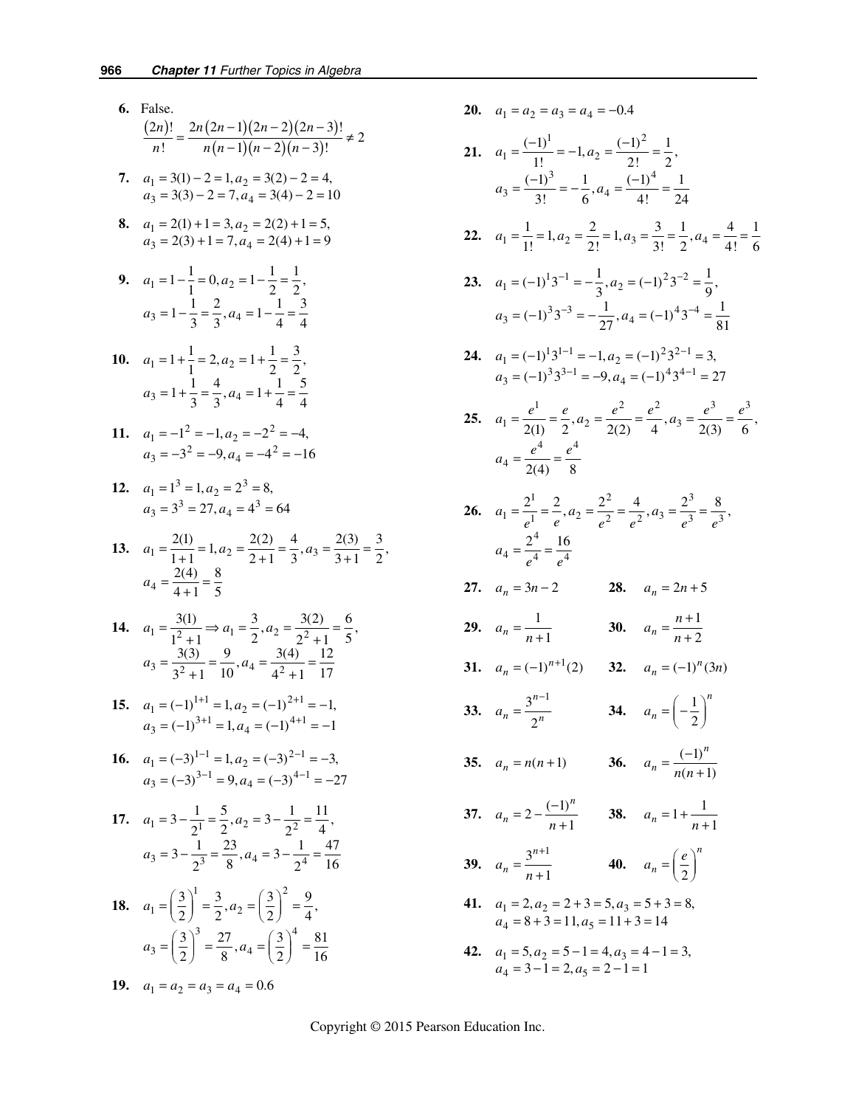- **6.** False.  $(2n)!$   $2n(2n-1)(2n-2)(2n-3)$  $(n-1)(n-2)(n-3)$  $\frac{(2n)!}{n!} = \frac{2n(2n-1)(2n-2)(2n-3)!}{n(n-1)(n-2)(n-3)!} \neq 2$ *n*!  $n(n-1)(n-2)(n)$
- **7.**  $a_1 = 3(1) 2 = 1, a_2 = 3(2) 2 = 4,$  $a_3 = 3(3) - 2 = 7, a_4 = 3(4) - 2 = 10$
- **8.**  $a_1 = 2(1) + 1 = 3, a_2$  $3 - 2(3) + 1 - 7, u_4$  $2(1) + 1 = 3, a_2 = 2(2) + 1 = 5,$  $2(3) + 1 = 7, a_4 = 2(4) + 1 = 9$  $a_1 = 2(1) + 1 = 3, a$  $a_3 = 2(3) + 1 = 7, a$  $= 2(1) + 1 = 3, a<sub>2</sub> = 2(2) + 1 =$  $= 2(3) + 1 = 7, a_4 = 2(4) + 1 =$ 
	- **9.**  $a_1 = 1 \frac{1}{1} = 0, a_2 = 1 \frac{1}{2} = \frac{1}{2},$  $a_3 = 1 - \frac{1}{3} = \frac{2}{3}, a_4 = 1 - \frac{1}{4} = \frac{3}{4}$
- **10.**  $a_1 = 1 + \frac{1}{1} = 2, a_2 = 1 + \frac{1}{2} = \frac{3}{2},$  $a_3 = 1 + \frac{1}{3} = \frac{4}{3}, a_4 = 1 + \frac{1}{4} = \frac{5}{4}$
- 11.  $a_1 = -1^2 = -1, a_2 = -2^2 = -4,$  $a_3 = -3^2 = -9, a_4 = -4^2 = -16$
- **12.**  $a_1 = 1^3 = 1, a_2 = 2^3 = 8,$  $a_3 = 3^3 = 27, a_4 = 4^3 = 64$
- **13.**  $a_1 = \frac{2(1)}{1+1} = 1, a_2 = \frac{2(2)}{2+1} = \frac{4}{3}, a_3 = \frac{2(3)}{3+1} = \frac{3}{2},$ 4 2(4) 8  $a_4 = \frac{2(1)}{4+1} = \frac{8}{5}$

**14.** 
$$
a_1 = \frac{3(1)}{1^2 + 1} \Rightarrow a_1 = \frac{3}{2}, a_2 = \frac{3(2)}{2^2 + 1} = \frac{6}{5},
$$
  
 $a_3 = \frac{3(3)}{3^2 + 1} = \frac{9}{10}, a_4 = \frac{3(4)}{4^2 + 1} = \frac{12}{17}$ 

- **15.**  $a_1 = (-1)^{1+1} = 1, a_2 = (-1)^{2+1} = -1,$  $a_3 = (-1)^{3+1} = 1, a_4 = (-1)^{4+1} = -1$
- **16.**  $a_1 = (-3)^{1-1} = 1, a_2 = (-3)^{2-1} = a_3 = (-3)^{3-1} = 9, a_4 = (-3)^{4-1} = 1$  $(-3)^{1-1} = 1$ ,  $a_2 = (-3)^{2-1} = -3$ ,  $(-3)^{3-1}$  = 9,  $a_4$  =  $(-3)^{4-1}$  =  $-27$  $a_1 = (-3)^{1-1} = 1, a$  $a_3 = (-3)^{3-1} = 9, a$  $-1$  –  $1a = (3)^{2-}$  $^{-1}$  – 0  $a = (3)^{4-}$  $= (-3)^{1-1} = 1, a_2 = (-3)^{2-1} = =(-3)^{3-1} = 9$ ,  $a_4 = (-3)^{4-1} = -$

17. 
$$
a_1 = 3 - \frac{1}{2^1} = \frac{5}{2}, a_2 = 3 - \frac{1}{2^2} = \frac{11}{4},
$$
  
 $a_3 = 3 - \frac{1}{2^3} = \frac{23}{8}, a_4 = 3 - \frac{1}{2^4} = \frac{47}{16}$ 

**18.** 
$$
a_1 = \left(\frac{3}{2}\right)^1 = \frac{3}{2}, a_2 = \left(\frac{3}{2}\right)^2 = \frac{9}{4},
$$
  
 $a_3 = \left(\frac{3}{2}\right)^3 = \frac{27}{8}, a_4 = \left(\frac{3}{2}\right)^4 = \frac{81}{16}$ 

$$
19. \quad a_1 = a_2 = a_3 = a_4 = 0.6
$$

- **20.**  $a_1 = a_2 = a_3 = a_4 = -0.4$
- **21.**  1  $(-1)^2$  $a_1 = \frac{(-1)^1}{1!} = -1, a_2 = \frac{(-1)^2}{2!} = \frac{1}{2},$ 3  $1/(1)^4$  $a_3 = \frac{(-1)^3}{3!} = -\frac{1}{6}, a_4 = \frac{(-1)^4}{4!} = \frac{1}{24}$
- **22.**  $a_1 = \frac{1}{1!} = 1, a_2 = \frac{2}{2!} = 1, a_3 = \frac{3}{3!} = \frac{1}{2}, a_4 = \frac{4}{4!} = \frac{1}{6}$
- **23.**  $a_1 = (-1)^1 3^{-1} = -\frac{1}{3}, a_2 = (-1)^2 3^{-2} = \frac{1}{9},$  $a_3 = (-1)^3 3^{-3} = -\frac{1}{27}, a_4 = (-1)^4 3^{-4} = \frac{1}{81}$

**24.** 
$$
a_1 = (-1)^1 3^{1-1} = -1, a_2 = (-1)^2 3^{2-1} = 3,
$$
  
 $a_3 = (-1)^3 3^{3-1} = -9, a_4 = (-1)^4 3^{4-1} = 27$ 

 **25.** 1  $a^2$   $a^2$   $a^3$   $a^3$  $a_1 = \frac{e^1}{2(1)} = \frac{e}{2}, a_2 = \frac{e^2}{2(2)} = \frac{e^2}{4}, a_3 = \frac{e^3}{2(3)} = \frac{e^3}{6},$ 4 4  $4-\frac{}{2(4)}-\frac{}{8}$  $a_4 = \frac{e^4}{2(4)} = \frac{e^4}{4}$ 

26. 
$$
a_1 = \frac{2^1}{e^1} = \frac{2}{e}, a_2 = \frac{2^2}{e^2} = \frac{4}{e^2}, a_3 = \frac{2^3}{e^3} = \frac{8}{e^3}, a_4 = \frac{2^4}{e^4} = \frac{16}{e^4}
$$

**27.** 
$$
a_n = 3n - 2
$$
 **28.**  $a_n = 2n + 5$ 

**29.** 
$$
a_n = \frac{1}{n+1}
$$
 **30.**  $a_n = \frac{n+1}{n+2}$ 

**31.**  $a_n = (-1)^{n+1}(2)$  **32.**  $a_n = (-1)^n(3n)$  $\left( \begin{array}{cc} 1 \end{array} \right)$ 

33. 
$$
a_n = \frac{3^{n-1}}{2^n}
$$
 34.  $a_n = \left(-\frac{1}{2}\right)^n$ 

**35.** 
$$
a_n = n(n+1)
$$
 **36.**  $a_n = \frac{(-1)^n}{n(n+1)}$ 

- **37.**  $a_n = 2 \frac{(-1)^n}{n+1}$ *n*  $a_n = 2 - \frac{(-1)^n}{n+1}$  **38.**  $a_n = 1 + \frac{1}{n+1}$
- **39.**  $a_n = \frac{3^{n+1}}{1}$ 1 *n*  $a_n = \frac{3}{n}$ +  $=\frac{5}{n+1}$  40.  $a_n = \left(\frac{6}{2}\right)$ *n*  $a_n = \left(\frac{e}{2}\right)$
- **41.**  $a_1 = 2, a_2 = 2 + 3 = 5, a_3$  $4 - 0 + 3 - 11, u_5$  $2, a_2 = 2 + 3 = 5, a_3 = 5 + 3 = 8,$  $8 + 3 = 11$ ,  $a_5 = 11 + 3 = 14$  $a_1 = 2$ ,  $a_2 = 2 + 3 = 5$ , *a*  $a_4 = 8 + 3 = 11, a$  $= 2, a_2 = 2 + 3 = 5, a_3 = 5 + 3 =$  $= 8 + 3 = 11$ ,  $a_5 = 11 + 3 =$
- **42.**  $a_1 = 5, a_2 = 5 1 = 4, a_3 = 4 1 = 3,$  $a_4 = 3 - 1 = 2, a_5 = 2 - 1 = 1$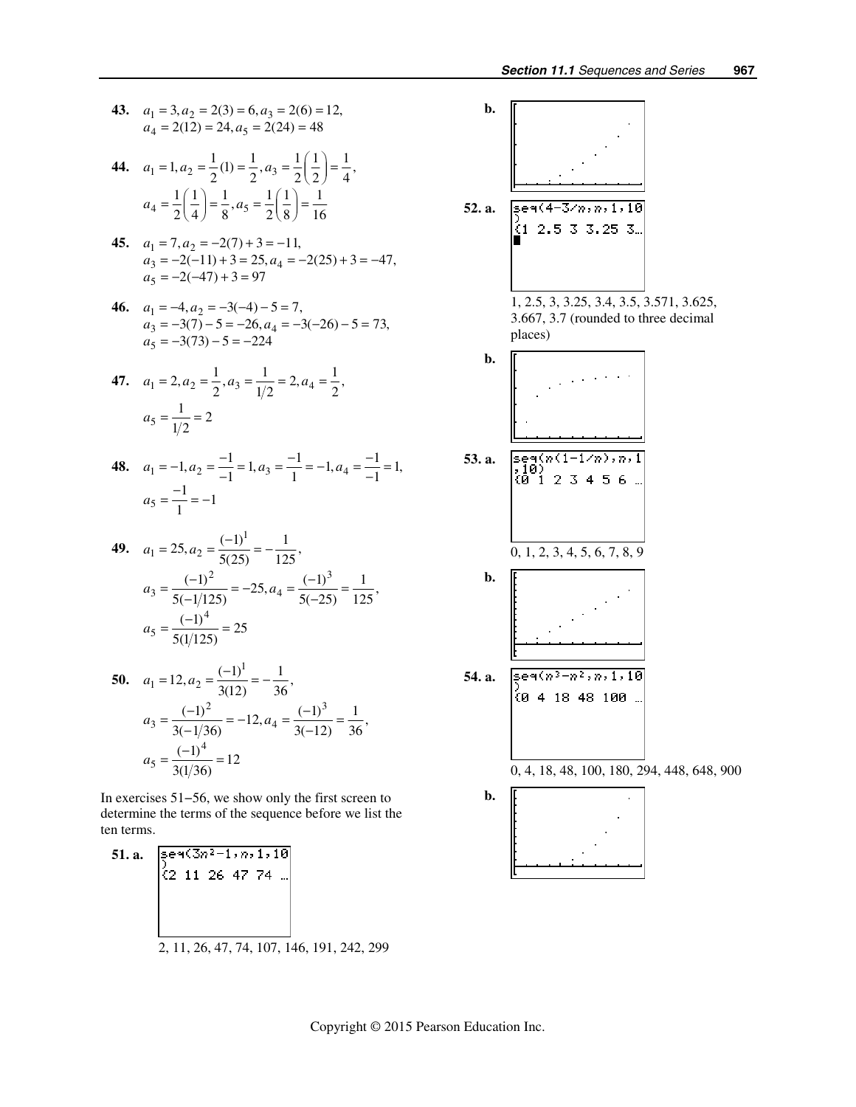**43.** 
$$
a_1 = 3, a_2 = 2(3) = 6, a_3 = 2(6) = 12,
$$
  
 $a_4 = 2(12) = 24, a_5 = 2(24) = 48$ 

- **44.**  $a_1 = 1, a_2 = \frac{1}{2}(1) = \frac{1}{2}, a_3 = \frac{1}{2}(\frac{1}{2}) = \frac{1}{4},$  $a_4 = \frac{1}{2} \left( \frac{1}{4} \right) = \frac{1}{8}, a_5 = \frac{1}{2} \left( \frac{1}{8} \right) = \frac{1}{16}$
- **45.**  $a_1 = 7, a_2$  $3 - 2(-11) + 3 - 23, u_4$  $a_5 = -2(-47) + 3 = 97$  $7, a_2 = -2(7) + 3 = -11,$  $2(-11) + 3 = 25$ ,  $a_4 = -2(25) + 3 = -47$ ,  $a_1 = 7, a$  $a_3 = -2(-11) + 3 = 25, a$  $= 7, a_2 = -2(7) + 3 = =-2(-11) + 3 = 25$ ,  $a_4 = -2(25) + 3 = -$
- **46.**  $a_1 = -4, a_2$  $3 - 3(1) - 3 - 20, u_4$ 5  $4, a_2 = -3(-4) - 5 = 7,$  $3(7) - 5 = -26$ ,  $a_4 = -3(-26) - 5 = 73$ ,  $3(73) - 5 = -224$  $a_1 = -4, a$  $a_3 = -3(7) - 5 = -26, a$ *a*  $=-4, a_2 = -3(-4) - 5 =$  $=-3(7) - 5 = -26$ ,  $a_4 = -3(-26) - 5 =$  $=-3(73)-5=-$

**47.** 
$$
a_1 = 2, a_2 = \frac{1}{2}, a_3 = \frac{1}{1/2} = 2, a_4 = \frac{1}{2}, a_5 = \frac{1}{1/2} = 2
$$

**48.**  $a_1 = -1, a_2 = \frac{-1}{-1} = 1, a_3 = \frac{-1}{1} = -1, a_4 = \frac{-1}{-1} = 1,$ <br> $a_5 = \frac{-1}{-1} = -1$  $a_5 = \frac{-1}{1} = -1$ 

**49.** 
$$
a_1 = 25, a_2 = \frac{(-1)^1}{5(25)} = -\frac{1}{125},
$$
  
\n $a_3 = \frac{(-1)^2}{5(-1/125)} = -25, a_4 = \frac{(-1)^3}{5(-25)} = \frac{1}{125},$   
\n $a_5 = \frac{(-1)^4}{5(1/125)} = 25$ 

50. 
$$
a_1 = 12, a_2 = \frac{(-1)^1}{3(12)} = -\frac{1}{36},
$$
  
\n $a_3 = \frac{(-1)^2}{3(-1/36)} = -12, a_4 = \frac{(-1)^3}{3(-12)} = \frac{1}{36},$   
\n $a_5 = \frac{(-1)^4}{3(1/36)} = 12$ 

In exercises 51−56, we show only the first screen to determine the terms of the sequence before we list the ten terms.

51. a. 
$$
\begin{bmatrix} 59(3n^2-1, n, 1, 10) \\ (2 \ 11 \ 26 \ 47 \ 74 \end{bmatrix}
$$
  
2, 11, 26, 47, 74, 107, 146, 191, 242, 299

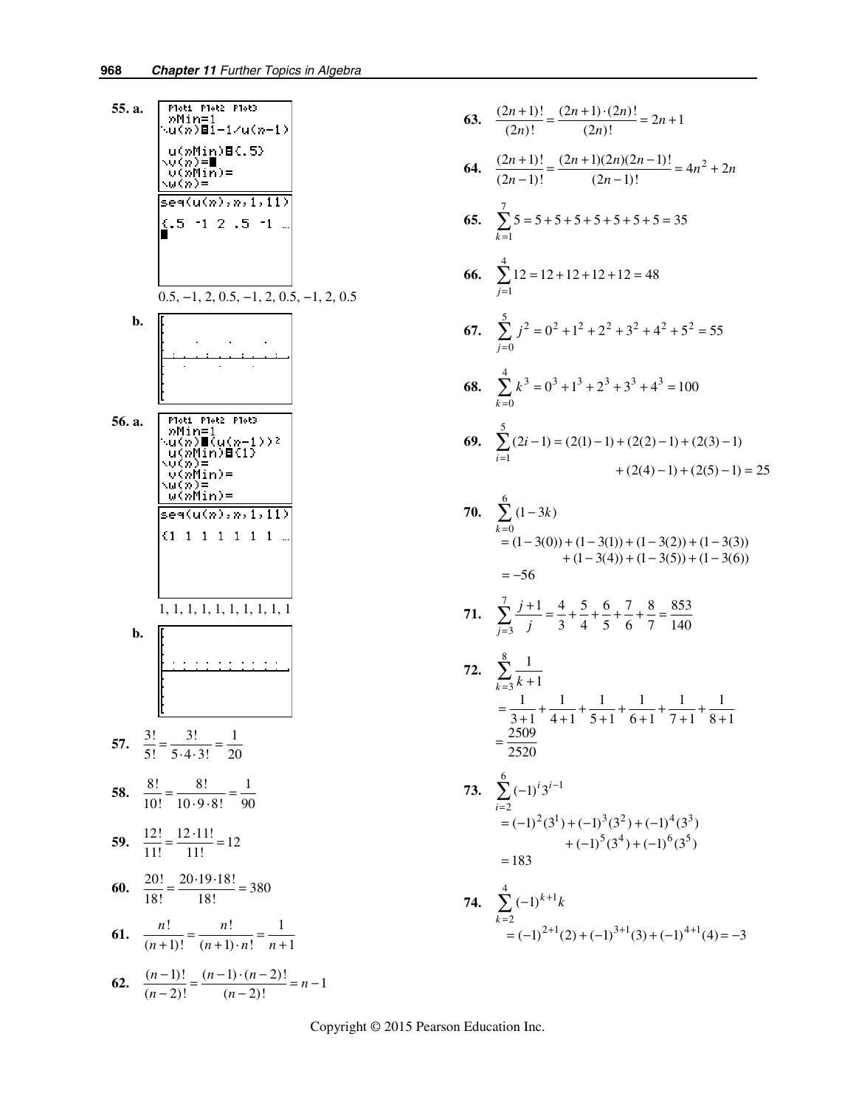55. a. 
$$
\frac{\text{Part Note that } \text{Pots} \text{ is the number of vertices in } \text{[1]} \text{ and } \text{[2]} \text{ is the number of vertices in } \text{[2]} \text{ and } \text{[3]} \text{ is the number of vertices in } \text{[3]} \text{ and } \text{[4]} \text{ is the number of vertices in } \text{[3]} \text{ and } \text{[4]} \text{ is the number of vertices in } \text{[3]} \text{ and } \text{[4]} \text{ is the number of vertices in } \text{[3]} \text{ and } \text{[4]} \text{ is the number of vertices in } \text{[3]} \text{ and } \text{[5]} \text{ is the number of vertices in } \text{[4]} \text{ and } \text{[5]} \text{ is the number of vertices in } \text{[4]} \text{ and } \text{[5]} \text{ is the number of vertices in } \text{[4]} \text{ and } \text{[5]} \text{ is the number of vertices in } \text{[4]} \text{ and } \text{[6]} \text{ is the number of vertices in } \text{[4]} \text{ and } \text{[6]} \text{ is the number of vertices in } \text{[5]} \text{ is the number of vertices in } \text{[5]} \text{ is the number of vertices in } \text{[5]} \text{ is the number of vertices in } \text{[5]} \text{ is the number of vertices in } \text{[5]} \text{ is the number of vertices in } \text{[5]} \text{ is the number of vertices in } \text{[5]} \text{ is the number of vertices in } \text{[5]} \text{ is the number of vertices in } \text{[5]} \text{ is the number of vertices in } \text{[5]} \text{ is the number of vertices in } \text{[5]} \text{ is the number of vertices in } \text{[5]} \text{ is the number of vertices in } \text{[5]} \text{ is the number of vertices in } \text{[5]} \text{ is the number of vertices in } \text{[5]} \text{ is the number of vertices in } \text{[5]} \text{ is the number of vertices in } \text{[5]} \text{ is the number of vertices in } \text{[5]} \text{ is the number of vertices in } \text{[5]} \text{ is the number of vertices in } \text{[5]} \text{ is the number of vertices in } \text{[5]} \text{ is the number of vertices in } \text{[5]} \text{ is the number of vertices in } \text{[5]} \text{ is the number of vertices in } \text{[5]} \text{ is the number of vertices in } \text{[5]} \text{ is the number of vertices in } \text{[5]}
$$

63. 
$$
\frac{(2n+1)!}{(2n)!} = \frac{(2n+1)\cdot(2n)!}{(2n)!} = 2n+1
$$
\n64. 
$$
\frac{(2n+1)!}{(2n-1)!} = \frac{(2n+1)(2n)(2n-1)!}{(2n-1)!} = 4n^2 + 2n
$$
\n65. 
$$
\sum_{k=1}^{7} 5 = 5 + 5 + 5 + 5 + 5 + 5 + 5 = 35
$$
\n66. 
$$
\sum_{j=1}^{4} 12 = 12 + 12 + 12 + 12 = 48
$$
\n67. 
$$
\sum_{j=0}^{5} j^2 = 0^2 + 1^2 + 2^2 + 3^2 + 4^2 + 5^2 = 55
$$
\n68. 
$$
\sum_{k=0}^{4} k^3 = 0^3 + 1^3 + 2^3 + 3^3 + 4^3 = 100
$$
\n69. 
$$
\sum_{i=1}^{5} (2i-1) = (2(1) - 1) + (2(2) - 1) + (2(3) - 1) + (2(4) - 1) + (2(5) - 1) = 25
$$
\n70. 
$$
\sum_{k=0}^{6} (1-3k) = (1-3(0)) + (1-3(1)) + (1-3(2)) + (1-3(3)) + (1-3(4)) + (1-3(5)) + (1-3(6)) + (1-3(4)) + (1-3(5)) + (1-3(6)) + (1-3(4)) + (1-3(5)) + (1-3(6)) + (1-3(6)) + (1-3(4)) + (1-3(5)) + (1-3(6)) + (1-3(4)) + (1-3(5)) + (1-3(5)) + (1-3(5)) + (1-3(5)) + (1-3(5)) + (1-3(5)) + (1-3(5)) + (1-3(5)) + (1-3(5)) + (1-3(5)) + (1-3(5)) + (1-3(5)) + (1-3(5)) + (1-3(5)) + (1-3(5)) + (1-3(5)) + (1-3(5)) + (1-3(5)) + (1-3(5)) + (1-3(5)) + (1-3(5)) + (1-3(5)) + (1-3(5)) + (1-3(5))
$$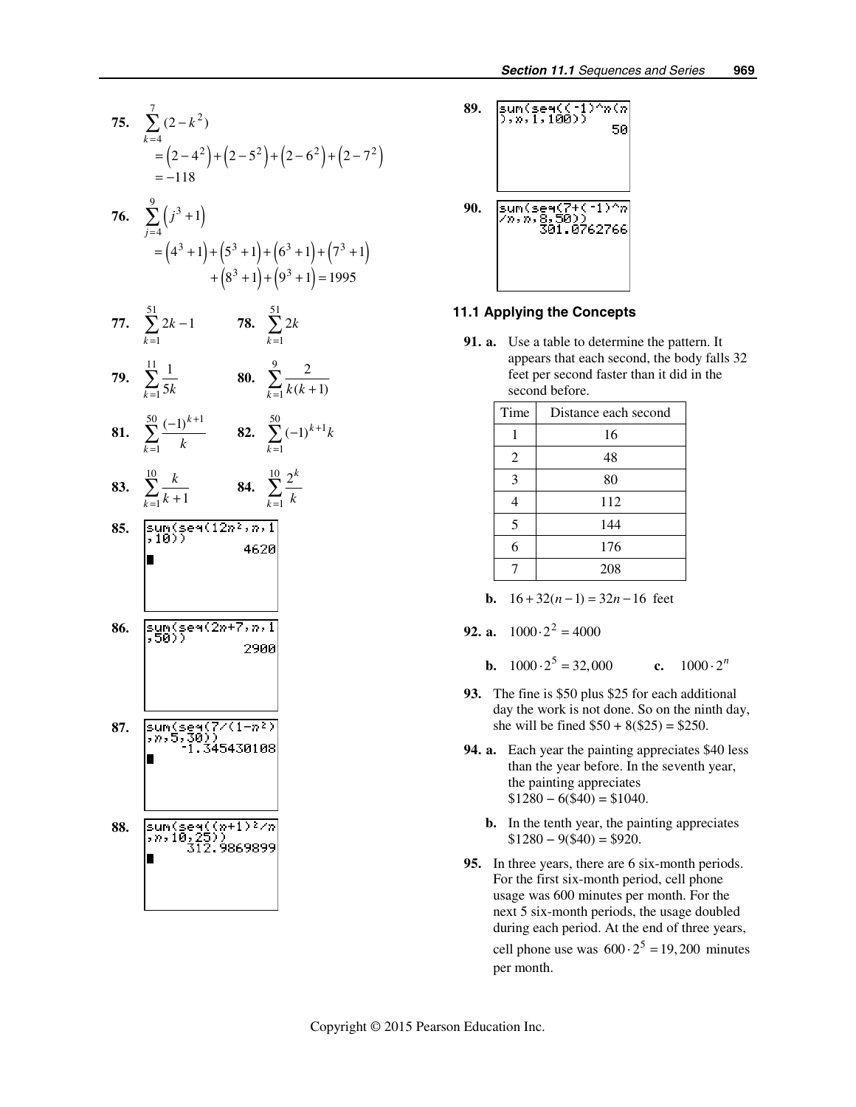



#### **11.1 Applying the Concepts**

**91. a.** Use a table to determine the pattern. It appears that each second, the body falls 32 feet per second faster than it did in the second before.

| Time | Distance each second |  |
|------|----------------------|--|
|      | 16                   |  |
| 2    | 48                   |  |
| 3    | 80                   |  |
|      | 112                  |  |
| 5    | 144                  |  |
| 6    | 176                  |  |
|      | 208                  |  |

**b.**  $16 + 32(n-1) = 32n - 16$  feet

**92. a.** 
$$
1000 \cdot 2^2 = 4000
$$

**b.**  $1000 \cdot 2^5 = 32,000$  **c.**  $1000 \cdot 2^n$ 

- **93.** The fine is \$50 plus \$25 for each additional day the work is not done. So on the ninth day, she will be fined  $$50 + 8 ($25) = $250$ .
- **94. a.** Each year the painting appreciates \$40 less than the year before. In the seventh year, the painting appreciates  $$1280 - 6 ($40) = $1040.$ 
	- **b.** In the tenth year, the painting appreciates  $$1280 - 9($40) = $920.$
- **95.** In three years, there are 6 six-month periods. For the first six-month period, cell phone usage was 600 minutes per month. For the next 5 six-month periods, the usage doubled during each period. At the end of three years, cell phone use was  $600 \cdot 2^5 = 19,200$  minutes per month.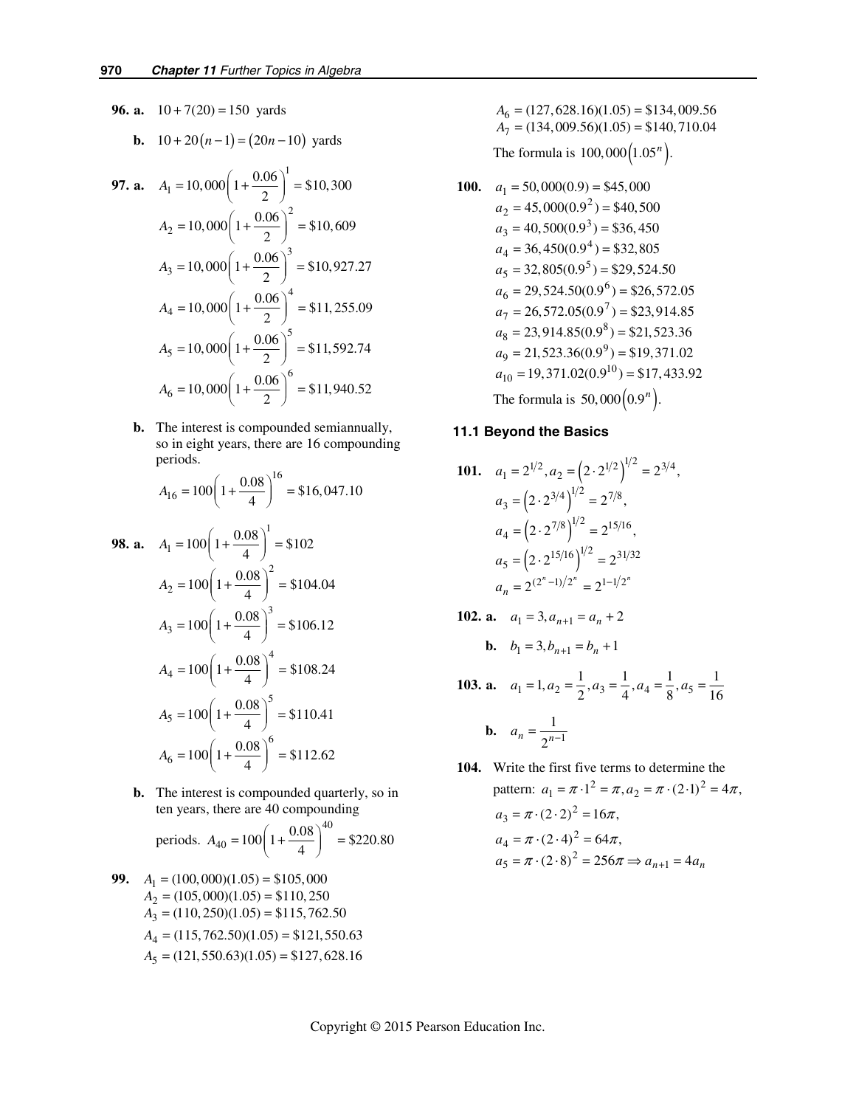**96. a.**  $10 + 7(20) = 150$  yards

**b.** 
$$
10+20(n-1) = (20n-10)
$$
 yards

**97. a.** 
$$
A_1 = 10,000 \left( 1 + \frac{0.06}{2} \right)^1 = $10,300
$$
  
\n $A_2 = 10,000 \left( 1 + \frac{0.06}{2} \right)^2 = $10,609$   
\n $A_3 = 10,000 \left( 1 + \frac{0.06}{2} \right)^3 = $10,927.27$   
\n $A_4 = 10,000 \left( 1 + \frac{0.06}{2} \right)^4 = $11,255.09$   
\n $A_5 = 10,000 \left( 1 + \frac{0.06}{2} \right)^5 = $11,592.74$   
\n $A_6 = 10,000 \left( 1 + \frac{0.06}{2} \right)^6 = $11,940.52$ 

 **b.** The interest is compounded semiannually, so in eight years, there are 16 compounding periods.

$$
A_{16} = 100 \left( 1 + \frac{0.08}{4} \right)^{16} = $16,047.10
$$

**98. a.** 
$$
A_1 = 100 \left( 1 + \frac{0.08}{4} \right)^1 = $102
$$
  
\n $A_2 = 100 \left( 1 + \frac{0.08}{4} \right)^2 = $104.04$   
\n $A_3 = 100 \left( 1 + \frac{0.08}{4} \right)^3 = $106.12$   
\n $A_4 = 100 \left( 1 + \frac{0.08}{4} \right)^4 = $108.24$   
\n $A_5 = 100 \left( 1 + \frac{0.08}{4} \right)^5 = $110.41$   
\n $A_6 = 100 \left( 1 + \frac{0.08}{4} \right)^6 = $112.62$ 

**b.** The interest is compounded quarterly, so in ten years, there are 40 compounding

periods. 
$$
A_{40} = 100 \left( 1 + \frac{0.08}{4} \right)^{40} = $220.80
$$

**99.**  $A_1 = (100,000)(1.05) = $105,000$  $A_2 = (105,000)(1.05) = $110,250$  $A_3 = (110, 250)(1.05) = $115,762.50$  $A_4 = (115, 762.50)(1.05) = $121,550.63$  $A_5 = (121, 550.63)(1.05) = $127,628.16$   $A_6 = (127, 628.16)(1.05) = $134,009.56$  $A_7 = (134,009.56)(1.05) = $140,710.04$ 

The formula is  $100,000(1.05^n)$ .

**100.**  $a_1 = 50,000(0.9) = $45,000$  $a_2 = 45,000(0.9^2) = $40,500$  $a_3 = 40,500(0.9^3) = $36,450$  $a_4 = 36,450(0.9^4) = $32,805$  $a_5 = 32,805(0.9^5) = $29,524.50$  $a_6 = 29,524.50(0.9^6) = $26,572.05$  $a_7 = 26,572.05(0.9^7) = $23,914.85$  $a_8 = 23,914.85(0.9^8) = $21,523.36$  $a_9 = 21,523.36(0.9^9) = $19,371.02$  $a_{10} = 19,371.02(0.9^{10}) = $17,433.92$ The formula is  $50,000(0.9^n)$ .

#### **11.1 Beyond the Basics**

**101.** 
$$
a_1 = 2^{1/2}, a_2 = (2 \cdot 2^{1/2})^{1/2} = 2^{3/4},
$$
  
\n $a_3 = (2 \cdot 2^{3/4})^{1/2} = 2^{7/8},$   
\n $a_4 = (2 \cdot 2^{7/8})^{1/2} = 2^{15/16},$   
\n $a_5 = (2 \cdot 2^{15/16})^{1/2} = 2^{31/32},$   
\n $a_n = 2^{(2^n - 1)/2^n} = 2^{1 - 1/2^n}$ 

**102. a.**  $a_1 = 3, a_{n+1} = a_n + 2$ **b.**  $b - 3b = b + 1$ 

$$
v_1 - 3, v_{n+1} - v_n + 1
$$

**103. a.** 
$$
a_1 = 1, a_2 = \frac{1}{2}, a_3 = \frac{1}{4}, a_4 = \frac{1}{8}, a_5 = \frac{1}{16}
$$

**b.** 
$$
a_n = \frac{1}{2^{n-1}}
$$

 **104.** Write the first five terms to determine the pattern:  $a_1 = \pi \cdot 1^2 = \pi, a_2 = \pi \cdot (2 \cdot 1)^2 = 4\pi$ ,  $a_3 = \pi \cdot (2 \cdot 2)^2 = 16\pi,$  $a_4 = \pi \cdot (2 \cdot 4)^2 = 64\pi,$  $a_4 = \pi \cdot (2 \cdot 4) = 04\pi,$ <br>  $a_5 = \pi \cdot (2 \cdot 8)^2 = 256\pi \Rightarrow a_{n+1} = 4a_n$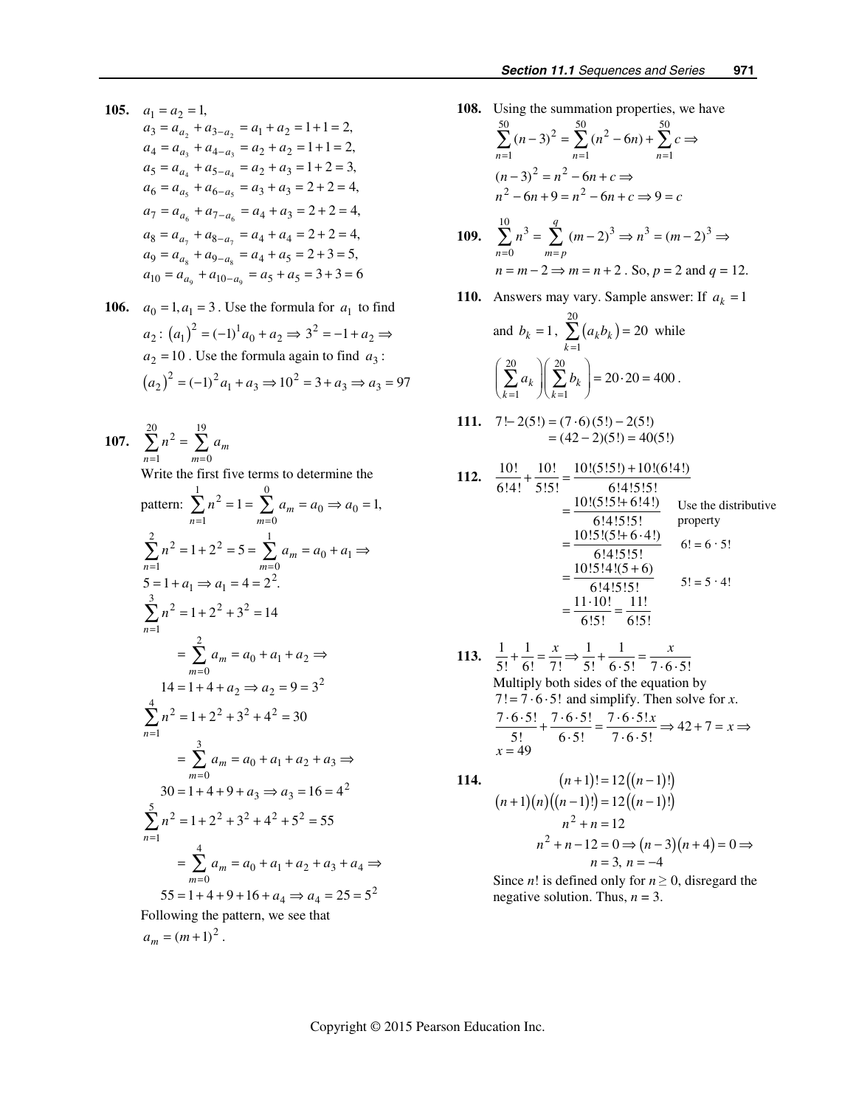- **105.**  $a_1 = a_2 = 1$ ,  $a_3 = a_{a_2} + a_{3-a_2} = a_1 + a_2 = 1 + 1 = 2,$  $a_4 = a_{a_3} + a_{4-a_3} = a_2 + a_2 = 1 + 1 = 2,$  $a_5 = a_{a_4} + a_{5-a_4} = a_2 + a_3 = 1 + 2 = 3,$  $a_6 = a_{a_5} + a_{6-a_5} = a_3 + a_3 = 2 + 2 = 4,$  $a_7 = a_{a_6} + a_{7-a_6} = a_4 + a_3 = 2 + 2 = 4,$  $a_8 = a_{a_7} + a_{8-a_7} = a_4 + a_4 = 2 + 2 = 4,$  $a_9 = a_{a_8} + a_{9-a_8} = a_4 + a_5 = 2 + 3 = 5,$  $a_{10} = a_{a_9} + a_{10-a_9} = a_5 + a_5 = 3 + 3 = 6$
- **106.**  $a_0 = 1, a_1 = 3$ . Use the formula for  $a_1$  to find  $a_2$ :  $(a_1)^2 = (-1)^1 a_0 + a_2 \Rightarrow 3^2 = -1 + a_2 \Rightarrow$  $a_2 = 10$ . Use the formula again to find  $a_3$ :  $(a_2)^2 = (-1)^2 a_1 + a_3 \Rightarrow 10^2 = 3 + a_3 \Rightarrow a_3 = 97$
- **107.**   $\sum_{n=1}^{20} n^2 - \sum_{n=1}^{19}$  $\sum_{n=1} n^2 = \sum_{m=0} a_m$  $n^2 = \sum a$ Write the first five terms to determine the pattern:  $\sum n^2 = 1 = \sum^0 a_m = a_0 \Rightarrow a_0$ 1  $m=0$  $1 = \sum a_m = a_0 \Rightarrow a_0 = 1,$  $\sum_{n=1}^{\infty} n^2 = 1 = \sum_{m=0}^{\infty} a_m = a_0 \Rightarrow a_0 =$  $n^2 = 1 = \sum a_m = a_0 \Rightarrow a$  $\sum^2 n^2 = 1 + 2^2 = 5 = \sum^1 a_m = a_0 + a_1$  $n=1$ <br>  $5 = 1 + a_1 \Rightarrow a_1 = 4 = 2^2.$  $\sum_{n=1}^{3}$   $\frac{3}{2}$   $\frac{3}{2}$   $\frac{3}{2}$ 1 2  $0 + u_1 + u_2$  $=0$  $14 = 1 + 4 + a_2 \Rightarrow a_2 = 9 = 3^2$  $\sum_{n=1}^{4} n^2 - 1 + 2^2 + 3^2 + 4^2$ 1 3  $= \sum a_m = a_0 + a_1 + a_2 + a_3 \Rightarrow$  $m=0$ <br>30 = 1 + 4 + 9 +  $a_3 \Rightarrow a_3 = 16 = 4^2$  $\sum_{n=1}^{5}$   $n^2$   $-1$   $\sqrt{2}$   $\sqrt{2}$   $\sqrt{2}$   $\sqrt{2}$   $\sqrt{2}$ 1 4  $0 + u_1 + u_2$  $=0$  $1 + 2^2 + 3^2 = 14$  $1 + 2^2 + 3^2 + 4^2 = 30$  $1 + 2^2 + 3^2 + 4^2 + 5^2 = 55$  $=1$   $m=$ = = = =  $\sum n^2 = 1 + 2^2 = 5 = \sum a_m = a_0 + a_1 \Rightarrow$  $\sum_{n=1} n^2 = 1 + 2^2 + 3^2 =$  $= \sum a_m = a_0 + a_1 + a_2 \Rightarrow$  $\sum_{n=1}$   $n^2 = 1 + 2^2 + 3^2 + 4^2 =$  $= 1 + 4 + 9 + a_3 \Rightarrow a_3 = 16 =$  $\sum_{n=1}$   $n^2 = 1 + 2^2 + 3^2 + 4^2 + 5^2 =$  $= \sum a_m = a_0 + a_1 +$  $n=1$  *m m m m*  $n^2 = 1 + 2^2 = 5 = \sum a_m = a_0 + a$ *n*  $a_m = a_0 + a_1 + a_2$ *n*  $a_3 \Rightarrow a$ *n*  $a_m = a_0 + a_1 + a_2 + a_3 + a_4 \Rightarrow$  $55 = 1 + 4 + 9 + 16 + a_4 \Rightarrow a_4 = 25 = 5^2$ Following the pattern, we see that
	- $a_m = (m+1)^2$ .

**108.** Using the summation properties, we have  $\sum_{n=1}^{50}$   $(n-3)^2$   $\sum_{n=1}^{50}$   $(n^2-6n)+\sum_{n=1}^{50}$ 1  $n=1$   $n=1$  $(n-3)^2 = \sum (n^2 - 6n)$  $n=1$   $n=1$   $n$  $(n-3)^2 = \sum (n^2 - 6n) + \sum c$  $\sum_{n=1} (n-3)^2 = \sum_{n=1} (n^2 - 6n) + \sum_{n=1} c \Rightarrow$  $2 - n^2$ 

$$
(n-3)2 = n2 - 6n + c \Rightarrow
$$
  
n<sup>2</sup> - 6n + 9 = n<sup>2</sup> - 6n + c \Rightarrow 9 = c

**109.** 
$$
\sum_{n=0}^{10} n^3 = \sum_{m=p}^{q} (m-2)^3 \Rightarrow n^3 = (m-2)^3 \Rightarrow
$$
  

$$
n = m-2 \Rightarrow m = n+2
$$
. So,  $p = 2$  and  $q = 12$ .

**110.** Answers may vary. Sample answer: If  $a_k = 1$ 

and 
$$
b_k = 1
$$
,  $\sum_{k=1}^{20} (a_k b_k) = 20$  while  
\n $\left(\sum_{k=1}^{20} a_k \right) \left(\sum_{k=1}^{20} b_k \right) = 20 \cdot 20 = 400$ .

111. 
$$
7!-2(5!) = (7 \cdot 6)(5!) - 2(5!)
$$
  
=  $(42-2)(5!) = 40(5!)$ 

112. 
$$
\frac{10!}{6!4!} + \frac{10!}{5!5!} = \frac{10!(5!5!) + 10!(6!4!)}{6!4!5!5!}
$$
  
\n
$$
= \frac{10!(5!5! + 6!4!)}{6!4!5!5!}
$$
Use the distributive property  
\n
$$
= \frac{10!5!(5! + 6 \cdot 4!)}{6!4!5!5!}
$$
of:  $6! = 6 \cdot 5!$   
\n
$$
= \frac{10!5!4!(5+6)}{6!4!5!5!}
$$
5! = 5 \cdot 4!  
\n
$$
= \frac{11 \cdot 10!}{6!5!} = \frac{11!}{6!5!}
$$

113. 
$$
\frac{1}{5!} + \frac{1}{6!} = \frac{x}{7!} \Rightarrow \frac{1}{5!} + \frac{1}{6 \cdot 5!} = \frac{x}{7 \cdot 6 \cdot 5!}
$$
  
\nMultiply both sides of the equation by  
\n7! = 7 \cdot 6 \cdot 5! and simplify. Then solve for *x*.  
\n
$$
\frac{7 \cdot 6 \cdot 5!}{5!} + \frac{7 \cdot 6 \cdot 5!}{6 \cdot 5!} = \frac{7 \cdot 6 \cdot 5!x}{7 \cdot 6 \cdot 5!} \Rightarrow 42 + 7 = x \Rightarrow x = 49
$$

114. 
$$
(n+1)! = 12((n-1)!)
$$

$$
(n+1)(n)((n-1)!) = 12((n-1)!)
$$

$$
n^2 + n = 12
$$

$$
n^2 + n - 12 = 0 \Rightarrow (n-3)(n+4) = 0 \Rightarrow n = 3, n = -4
$$

Since *n*! is defined only for  $n \geq 0$ , disregard the negative solution. Thus,  $n = 3$ .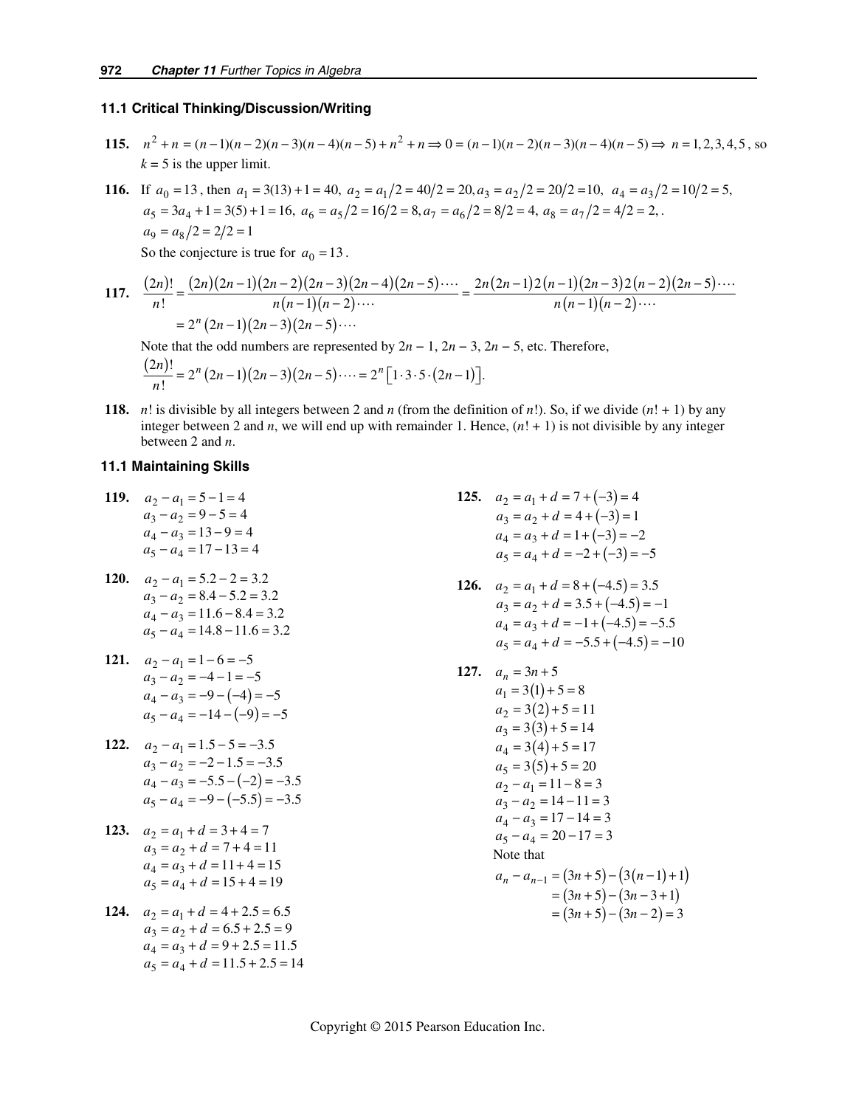#### **11.1 Critical Thinking/Discussion/Writing**

**115.**  $n^2 + n = (n-1)(n-2)(n-3)(n-4)(n-5) + n^2 + n \Rightarrow 0 = (n-1)(n-2)(n-3)(n-4)(n-5) \Rightarrow n = 1, 2, 3, 4, 5$ , so  $k = 5$  is the upper limit.

**116.** If  $a_0 = 13$ , then  $a_1 = 3(13) + 1 = 40$ ,  $a_2 = a_1/2 = 40/2 = 20$ ,  $a_3 = a_2/2 = 20/2 = 10$ ,  $a_4 = a_3/2 = 10/2 = 5$ ,  $a_5 = 3a_4 + 1 = 3(5) + 1 = 16$ ,  $a_6 = a_5/2 = 16/2 = 8$ ,  $a_7 = a_6/2 = 8/2 = 4$ ,  $a_8 = a_7/2 = 4/2 = 2$ ,  $a_9 = a_8/2 = 2/2 = 1$ So the conjecture is true for  $a_0 = 13$ .

117. 
$$
\frac{(2n)!}{n!} = \frac{(2n)(2n-1)(2n-2)(2n-3)(2n-4)(2n-5)\cdots}{n(n-1)(n-2)\cdots} = \frac{2n(2n-1)2(n-1)(2n-3)2(n-2)(2n-5)\cdots}{n(n-1)(n-2)\cdots} = 2^n (2n-1)(2n-3)(2n-5)\cdots
$$

Note that the odd numbers are represented by  $2n - 1$ ,  $2n - 3$ ,  $2n - 5$ , etc. Therefore,  $\frac{(2n)!}{n!} = 2^n (2n-1)(2n-3)(2n-5)\cdots = 2^n [1 \cdot 3 \cdot 5 \cdot (2n-1)].$ 

**118.** *n*! is divisible by all integers between 2 and *n* (from the definition of *n*!). So, if we divide  $(n! + 1)$  by any integer between 2 and *n*, we will end up with remainder 1. Hence, (*n*! + 1) is not divisible by any integer between 2 and *n*.

### **11.1 Maintaining Skills**

- **119.**  $a_2 a_1 = 5 1 = 4$  $a_3 - a_2 = 9 - 5 = 4$  $a_4 - a_3 = 13 - 9 = 4$  $a_5 - a_4 = 17 - 13 = 4$
- **120.**  $a_2 a_1 = 5.2 2 = 3.2$  $a_3 - a_2 = 8.4 - 5.2 = 3.2$  $a_4 - a_3 = 11.6 - 8.4 = 3.2$  $a_5 - a_4 = 14.8 - 11.6 = 3.2$
- **121.**  $a_2 a_1 = 1 6 = -5$  $a_4 - a_3 = -9 - (-4) = -5$  $a_5 - a_4 = -14 - (-9) = -5$  $a_3 - a_2 = -4 - 1 = -5$
- **122.**  $a_2 a_1 = 1.5 5 = -3.5$  $a_4 - a_3 = -5.5 - (-2) = -3.5$  $a_5 - a_4 = -9 - (-5.5) = -3.5$  $a_3 - a_2 = -2 - 1.5 = -3.5$
- **123.**  $a_2 = a_1 + d = 3 + 4 = 7$  $a_3 = a_2 + d = 7 + 4 = 11$  $a_4 = a_3 + d = 11 + 4 = 15$  $a_5 = a_4 + d = 15 + 4 = 19$
- **124.**  $a_2 = a_1 + d = 4 + 2.5 = 6.5$  $a_3 = a_2 + d = 6.5 + 2.5 = 9$  $a_4 = a_3 + d = 9 + 2.5 = 11.5$  $a_5 = a_4 + d = 11.5 + 2.5 = 14$
- **125.**  $a_2 = a_1 + d = 7 + (-3) = 4$  $a_3 = a_2 + d = 4 + (-3) = 1$  $a_4 = a_3 + d = 1 + (-3) = -2$  $a_5 = a_4 + d = -2 + (-3) = -5$
- **126.**  $a_2 = a_1 + d = 8 + (-4.5) = 3.5$  $a_3 = a_2 + d = 3.5 + (-4.5) = -1$  $a_4 = a_3 + d = -1 + (-4.5) = -5.5$  $a_5 = a_4 + d = -5.5 + (-4.5) = -10$
- **127.**  $a_n = 3n + 5$  $a_1 = 3(1) + 5 = 8$  $a_2 = 3(2) + 5 = 11$  $a_3 = 3(3) + 5 = 14$  $a_4 = 3(4) + 5 = 17$  $a_5 = 3(5) + 5 = 20$  $a_2 - a_1 = 11 - 8 = 3$  $a_3 - a_2 = 14 - 11 = 3$  $a_4 - a_3 = 17 - 14 = 3$  $a_5 - a_4 = 20 - 17 = 3$ Note that  $a_n - a_{n-1} = (3n + 5) - (3(n-1) + 1)$  $= (3n + 5) - (3n - 3 + 1)$  $= (3n + 5) - (3n - 2) = 3$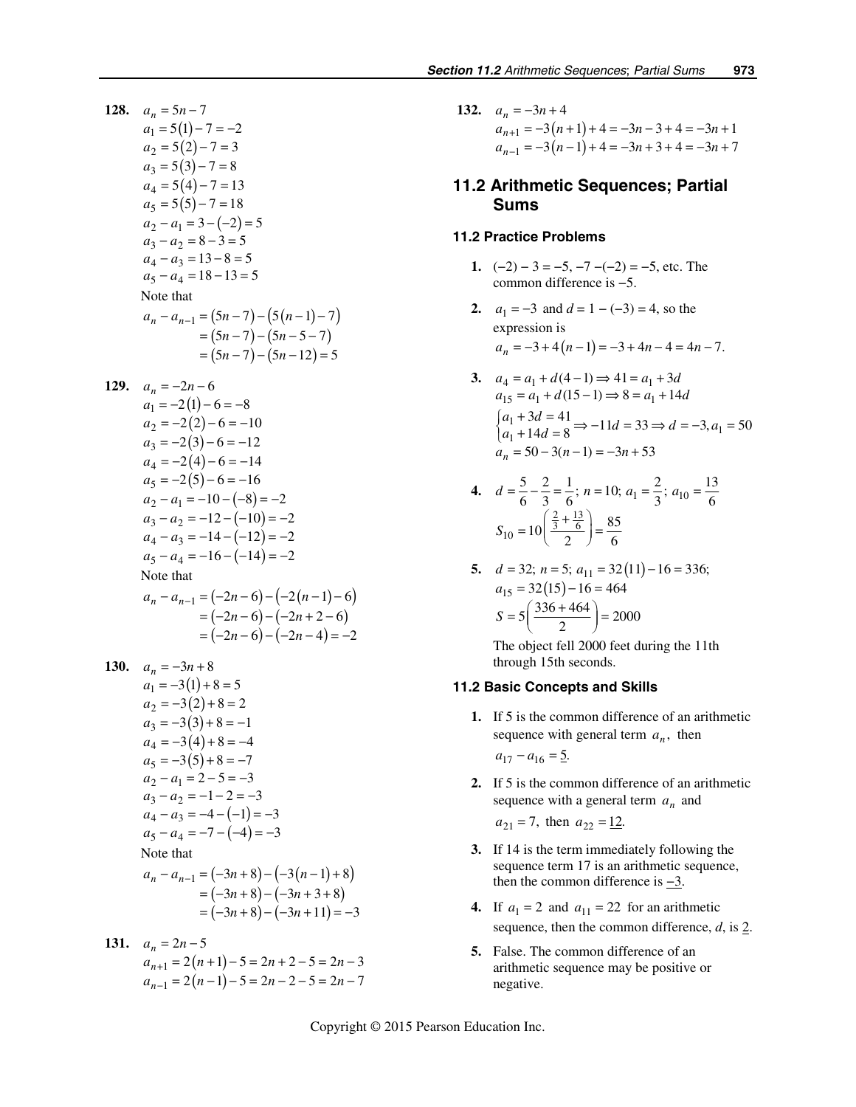**128.**  $a_n = 5n - 7$  $a_1 = 5(1) - 7 = -2$  $a_2 = 5(2) - 7 = 3$  $a_3 = 5(3) - 7 = 8$  $a_4 = 5(4) - 7 = 13$  $a_5 = 5(5) - 7 = 18$  $a_2 - a_1 = 3 - (-2) = 5$  $a_3 - a_2 = 8 - 3 = 5$  $a_4 - a_3 = 13 - 8 = 5$  $a_5 - a_4 = 18 - 13 = 5$ Note that  $a_n - a_{n-1} = (5n - 7) - (5(n - 1) - 7)$  $= (5n - 7) - (5n - 5 - 7)$  $= (5n - 7) - (5n - 12) = 5$ 

129. 
$$
a_n = -2n - 6
$$
  
\n $a_1 = -2(1) - 6 = -8$   
\n $a_2 = -2(2) - 6 = -10$   
\n $a_3 = -2(3) - 6 = -12$   
\n $a_4 = -2(4) - 6 = -14$   
\n $a_5 = -2(5) - 6 = -16$   
\n $a_2 - a_1 = -10 - (-8) = -2$   
\n $a_3 - a_2 = -12 - (-10) = -2$   
\n $a_4 - a_3 = -14 - (-12) = -2$   
\n $a_5 - a_4 = -16 - (-14) = -2$   
\nNote that  
\n $a_n - a_{n-1} = (-2n - 6) - (-2(n - 1) - 6)$   
\n $= (-2n - 6) - (-2n + 2 - 6)$   
\n $= (-2n - 6) - (-2n - 4) = -2$ 

130. 
$$
a_n = -3n+8
$$
  
\n $a_1 = -3(1) + 8 = 5$   
\n $a_2 = -3(2) + 8 = 2$   
\n $a_3 = -3(3) + 8 = -1$   
\n $a_4 = -3(4) + 8 = -4$   
\n $a_5 = -3(5) + 8 = -7$   
\n $a_2 - a_1 = 2 - 5 = -3$   
\n $a_3 - a_2 = -1 - 2 = -3$   
\n $a_4 - a_3 = -4 - (-1) = -3$   
\n $a_5 - a_4 = -7 - (-4) = -3$   
\nNote that  
\n $a_n - a_{n-1} = (-3n+8) - (-3(n-1)+8)$   
\n $= (-3n+8) - (-3n+3+8)$   
\n $= (-3n+8) - (-3n+11) = -3$ 

**131.**  $a_n = 2n - 5$  $a_{n+1} = 2(n+1) - 5 = 2n + 2 - 5 = 2n - 3$  $a_{n-1} = 2(n-1) - 5 = 2n - 2 - 5 = 2n - 7$  **132.**  $a_n = -3n + 4$  $a_{n+1} = -3(n+1) + 4 = -3n - 3 + 4 = -3n + 1$  $a_{n-1} = -3(n-1) + 4 = -3n + 3 + 4 = -3n + 7$ 

# **11.2 Arithmetic Sequences; Partial Sums**

#### **11.2 Practice Problems**

- **1.**  $(-2) 3 = -5, -7 (-2) = -5$ , etc. The common difference is −5.
- **2.**  $a_1 = -3$  and  $d = 1 (-3) = 4$ , so the expression is  $a_n = -3 + 4(n-1) = -3 + 4n - 4 = 4n - 7.$
- **3.**  $a_4 = a_1 + d(4-1) \Rightarrow 41 = a_1 + 3d$  $a_{15} = a_1 + d(15-1) \Rightarrow 8 = a_1 + 14d$  $\begin{cases} a_1 + 3d = 41 \\ a_1 + 14d = 8 \end{cases} \Rightarrow -11d = 33 \Rightarrow d = -3, a_1 = 50$  $a_n = 50 - 3(n-1) = -3n + 53$

**4.** 
$$
d = \frac{5}{6} - \frac{2}{3} = \frac{1}{6}
$$
;  $n = 10$ ;  $a_1 = \frac{2}{3}$ ;  $a_{10} = \frac{13}{6}$   
 $S_{10} = 10 \left( \frac{\frac{2}{3} + \frac{13}{6}}{2} \right) = \frac{85}{6}$ 

5. 
$$
d = 32; n = 5; a_{11} = 32(11) - 16 = 336;
$$
  
\n $a_{15} = 32(15) - 16 = 464$   
\n $S = 5\left(\frac{336 + 464}{2}\right) = 2000$ 

The object fell 2000 feet during the 11th through 15th seconds.

#### **11.2 Basic Concepts and Skills**

 **1.** If 5 is the common difference of an arithmetic sequence with general term  $a_n$ , then

 $a_{17} - a_{16} = 5.$ 

 **2.** If 5 is the common difference of an arithmetic sequence with a general term  $a_n$  and

 $a_{21} = 7$ , then  $a_{22} = 12$ .

- **3.** If 14 is the term immediately following the sequence term 17 is an arithmetic sequence, then the common difference is  $-3$ .
- **4.** If  $a_1 = 2$  and  $a_{11} = 22$  for an arithmetic sequence, then the common difference,  $d$ , is  $2$ .
- **5.** False. The common difference of an arithmetic sequence may be positive or negative.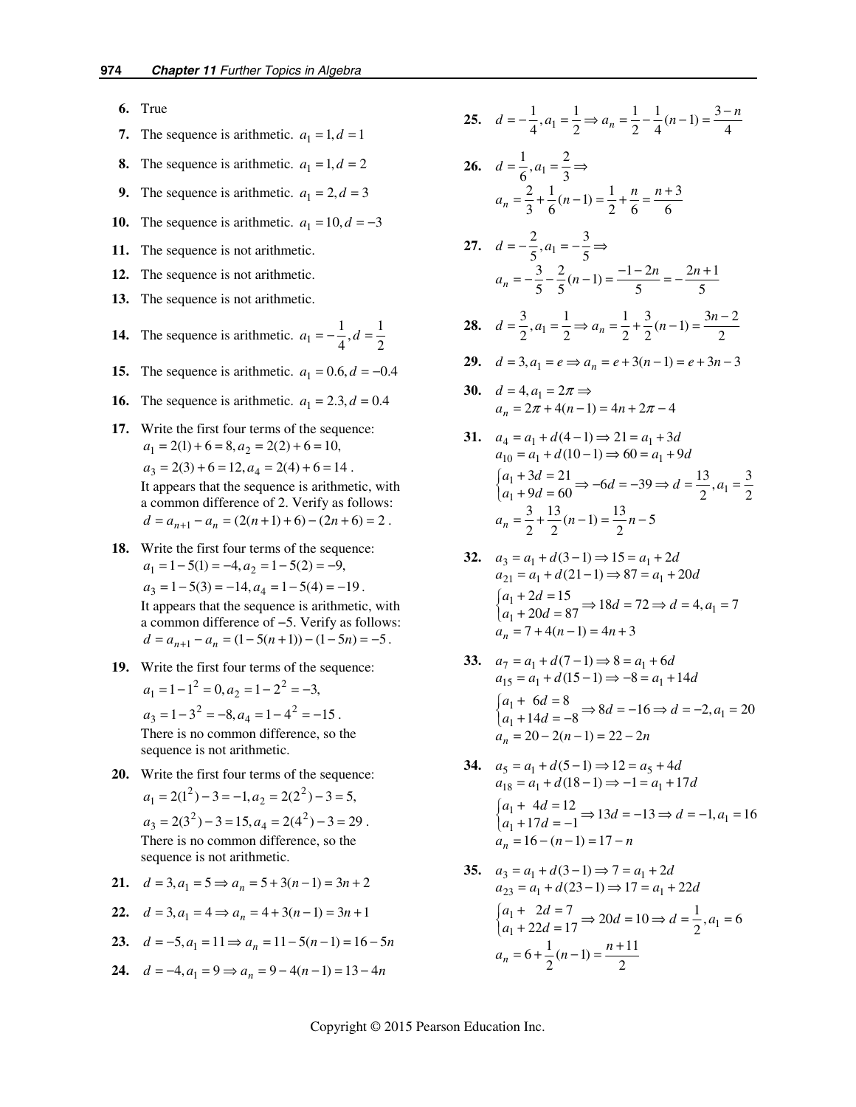- **6.** True
- **7.** The sequence is arithmetic.  $a_1 = 1, d = 1$
- **8.** The sequence is arithmetic.  $a_1 = 1, d = 2$
- **9.** The sequence is arithmetic.  $a_1 = 2, d = 3$
- **10.** The sequence is arithmetic.  $a_1 = 10, d = -3$
- **11.** The sequence is not arithmetic.
- **12.** The sequence is not arithmetic.
- **13.** The sequence is not arithmetic.
- **14.** The sequence is arithmetic.  $a_1 = -\frac{1}{4}$ ,  $d = \frac{1}{2}$
- **15.** The sequence is arithmetic.  $a_1 = 0.6, d = -0.4$
- **16.** The sequence is arithmetic.  $a_1 = 2.3, d = 0.4$
- **17.** Write the first four terms of the sequence:  $a_1 = 2(1) + 6 = 8, a_2 = 2(2) + 6 = 10,$  $a_3 = 2(3) + 6 = 12, a_4 = 2(4) + 6 = 14$ . It appears that the sequence is arithmetic, with a common difference of 2. Verify as follows:  $d = a_{n+1} - a_n = (2(n+1) + 6) - (2n+6) = 2$ .
- **18.** Write the first four terms of the sequence:  $a_1 = 1 - 5(1) = -4, a_2 = 1 - 5(2) = -9,$  $a_3 = 1 - 5(3) = -14, a_4 = 1 - 5(4) = -19$ . It appears that the sequence is arithmetic, with a common difference of −5. Verify as follows:  $d = a_{n+1} - a_n = (1 - 5(n+1)) - (1 - 5n) = -5$ .
- **19.** Write the first four terms of the sequence:
	- $a_1 = 1 1^2 = 0, a_2 = 1 2^2 = -3,$  $a_3 = 1 - 3^2 = -8, a_4 = 1 - 4^2 = -15$ .
	- There is no common difference, so the sequence is not arithmetic.
- **20.** Write the first four terms of the sequence:  $a_1 = 2(1^2) - 3 = -1, a_2 = 2(2^2) - 3 = 5,$

$$
a_3 = 2(3^2) - 3 = 15, a_4 = 2(4^2) - 3 = 29.
$$

There is no common difference, so the sequence is not arithmetic.

21. 
$$
d = 3, a_1 = 5 \Rightarrow a_n = 5 + 3(n - 1) = 3n + 2
$$

22. 
$$
d = 3, a_1 = 4 \Rightarrow a_n = 4 + 3(n - 1) = 3n + 1
$$

**23.**  $d = -5, a_1 = 11 \Rightarrow a_n = 11 - 5(n-1) = 16 - 5n$ 

**24.** 
$$
d = -4, a_1 = 9 \Rightarrow a_n = 9 - 4(n-1) = 13 - 4n
$$

**25.**  $d = -\frac{1}{4}, a_1 = \frac{1}{2} \Rightarrow a_n = \frac{1}{2} - \frac{1}{4}(n-1) = \frac{3-n}{4}$ 

26. 
$$
d = \frac{1}{6}, a_1 = \frac{2}{3} \Rightarrow
$$
  
 $a_n = \frac{2}{3} + \frac{1}{6}(n-1) = \frac{1}{2} + \frac{n}{6} = \frac{n+3}{6}$ 

- **27.**  $d = -\frac{2}{5}, a_1 = -\frac{3}{5}$  ⇒  $a_n = -\frac{3}{5} - \frac{2}{5} (n-1) = \frac{-1-2n}{5} = -\frac{2n+1}{5}$
- **28.**  $d = \frac{3}{2}, a_1 = \frac{1}{2} \Rightarrow a_n = \frac{1}{2} + \frac{3}{2}(n-1) = \frac{3n-2}{2}$
- **29.**  $d = 3, a_1 = e \Rightarrow a_n = e + 3(n-1) = e + 3n 3$
- **30.**  $d = 4, a_1 = 2\pi \Rightarrow$  $a_n = 2\pi + 4(n-1) = 4n + 2\pi - 4$
- **31.**  $a_4 = a_1 + d(4-1) \Rightarrow 21 = a_1 + 3d$  $a_{10} = a_1 + d(10-1) \Rightarrow 60 = a_1 + 9d$  $\begin{cases} a_1 + 3d = 21 \\ a_1 + 9d = 60 \end{cases} \Rightarrow -6d = -39 \Rightarrow d = \frac{13}{2}, a_1 = \frac{3}{2}$  $a_n = \frac{3}{2} + \frac{13}{2}(n-1) = \frac{13}{2}n-5$
- **32.**  $a_3 = a_1 + d(3-1) \Rightarrow 15 = a_1 + 2d$  $a_{21} = a_1 + d(21-1) \Rightarrow 87 = a_1 + 20d$  $\begin{cases} a_1 + 2d = 15 \\ a_1 + 20d = 87 \end{cases}$   $\Rightarrow$  18d = 72  $\Rightarrow$  d = 4, a<sub>1</sub> = 7  $a_n = 7 + 4(n-1) = 4n + 3$
- **33.**  $a_7 = a_1 + d(7-1) \Rightarrow 8 = a_1 + 6d$  $a_{15} = a_1 + d(15-1) \Rightarrow -8 = a_1 + 14d$  $\begin{cases} a_1 + 6d = 8 \\ a_1 + 14d = -8 \end{cases} \Rightarrow 8d = -16 \Rightarrow d = -2, a_1 = 20$  $a_n = 20 - 2(n-1) = 22 - 2n$
- **34.**  $a_5 = a_1 + d(5-1) \Rightarrow 12 = a_5 + 4d$  $a_{18} = a_1 + d(18 - 1) \Rightarrow -1 = a_1 + 17d$  $\begin{cases} a_1 + 4d = 12 \\ a_1 + 17d = -1 \end{cases}$   $\Rightarrow$  13d = -13  $\Rightarrow$  d = -1, a<sub>1</sub> = 16  $a_n = 16 - (n-1) = 17 - n$
- **35.**  $a_3 = a_1 + d(3-1) \Rightarrow 7 = a_1 + 2d$  $a_{23} = a_1 + d(23 - 1) \Rightarrow 17 = a_1 + 22d$  $\begin{cases} a_1 + 2d = 7 \\ a_1 + 22d = 17 \end{cases} \Rightarrow 20d = 10 \Rightarrow d = \frac{1}{2}, a_1 = 6$  $a_n = 6 + \frac{1}{2}(n-1) = \frac{n+11}{2}$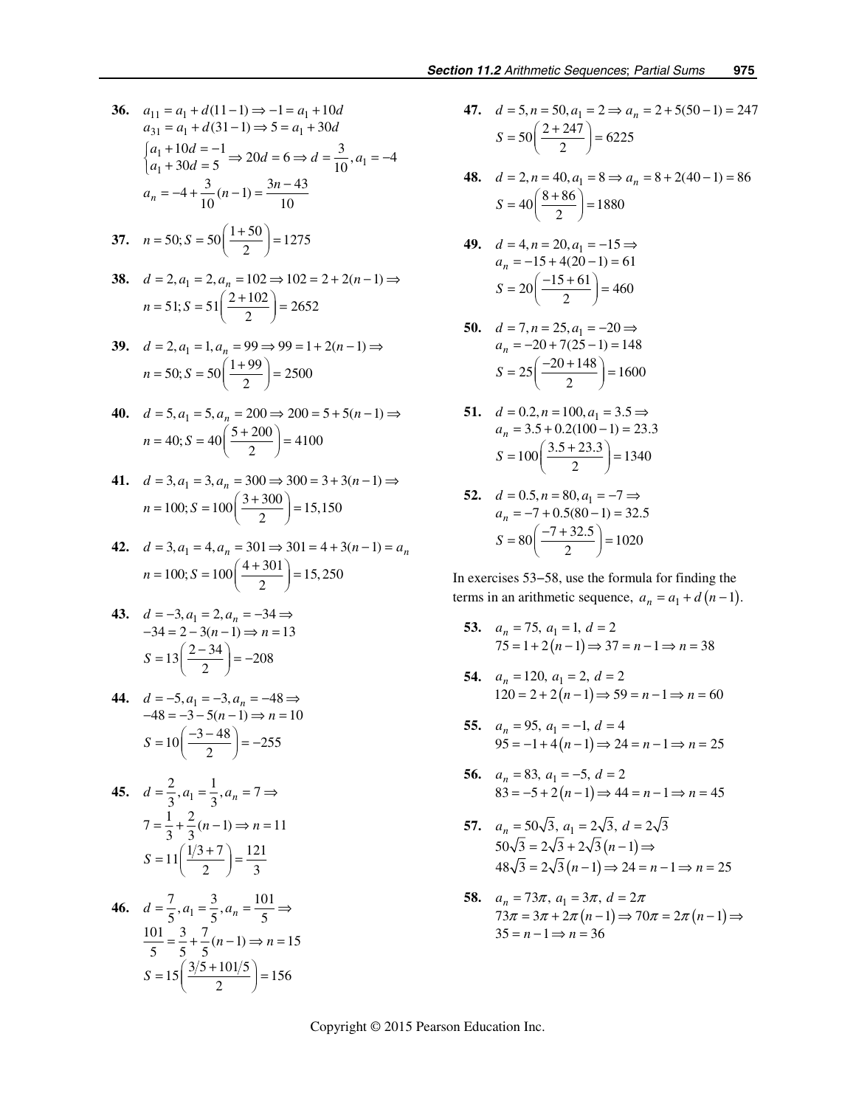36. 
$$
a_{11} = a_1 + d(11 - 1) \Rightarrow -1 = a_1 + 10d
$$
  
\n $a_{31} = a_1 + d(31 - 1) \Rightarrow 5 = a_1 + 30d$   
\n $\begin{cases} a_1 + 10d = -1 \\ a_1 + 30d = 5 \end{cases} \Rightarrow 20d = 6 \Rightarrow d = \frac{3}{10}, a_1 = -4$   
\n $a_n = -4 + \frac{3}{10}(n - 1) = \frac{3n - 43}{10}$ 

37. 
$$
n = 50; S = 50 \left( \frac{1+50}{2} \right) = 1275
$$

38. 
$$
d = 2, a_1 = 2, a_n = 102 \Rightarrow 102 = 2 + 2(n - 1) \Rightarrow
$$
  
\n $n = 51; S = 51 \left( \frac{2 + 102}{2} \right) = 2652$ 

39. 
$$
d = 2, a_1 = 1, a_n = 99 \Rightarrow 99 = 1 + 2(n - 1) \Rightarrow n = 50; S = 50 \left( \frac{1 + 99}{2} \right) = 2500
$$

40. 
$$
d = 5, a_1 = 5, a_n = 200 \Rightarrow 200 = 5 + 5(n - 1) \Rightarrow
$$
  
\n $n = 40; S = 40 \left( \frac{5 + 200}{2} \right) = 4100$ 

41. 
$$
d = 3, a_1 = 3, a_n = 300 \Rightarrow 300 = 3 + 3(n - 1) \Rightarrow n = 100; S = 100 \left( \frac{3 + 300}{2} \right) = 15,150
$$

42. 
$$
d = 3, a_1 = 4, a_n = 301 \Rightarrow 301 = 4 + 3(n - 1) = a_n
$$
  
\n $n = 100; S = 100 \left( \frac{4 + 301}{2} \right) = 15,250$ 

43. 
$$
d = -3, a_1 = 2, a_n = -34 \Rightarrow
$$
  
\n $-34 = 2 - 3(n - 1) \Rightarrow n = 13$   
\n $S = 13 \left( \frac{2 - 34}{2} \right) = -208$ 

44. 
$$
d = -5, a_1 = -3, a_n = -48 \Rightarrow
$$
  
\n $-48 = -3 - 5(n - 1) \Rightarrow n = 10$   
\n $S = 10 \left( \frac{-3 - 48}{2} \right) = -255$ 

**45.** 
$$
d = \frac{2}{3}, a_1 = \frac{1}{3}, a_n = 7 \Rightarrow
$$
  
\n $7 = \frac{1}{3} + \frac{2}{3}(n-1) \Rightarrow n = 11$   
\n $S = 11\left(\frac{1/3 + 7}{2}\right) = \frac{121}{3}$ 

**46.** 
$$
d = \frac{7}{5}, a_1 = \frac{3}{5}, a_n = \frac{101}{5} \Rightarrow
$$
  
\n $\frac{101}{5} = \frac{3}{5} + \frac{7}{5} (n-1) \Rightarrow n = 15$   
\n $S = 15 \left( \frac{3/5 + 101/5}{2} \right) = 156$ 

47. 
$$
d = 5, n = 50, a_1 = 2 \Rightarrow a_n = 2 + 5(50 - 1) = 247
$$
  
\n $S = 50 \left( \frac{2 + 247}{2} \right) = 6225$ 

**48.**  $d = 2, n = 40, a_1 = 8 \Rightarrow a_n = 8 + 2(40 - 1) = 86$  $S = 40 \left( \frac{8 + 86}{2} \right) = 1880$ 

**49.** 
$$
d = 4, n = 20, a_1 = -15 \Rightarrow
$$
  
\n $a_n = -15 + 4(20 - 1) = 61$   
\n $S = 20 \left( \frac{-15 + 61}{2} \right) = 460$ 

**50.** 
$$
d = 7, n = 25, a_1 = -20 \Rightarrow
$$
  
\n $a_n = -20 + 7(25 - 1) = 148$   
\n $S = 25\left(\frac{-20 + 148}{2}\right) = 1600$ 

**51.**  $d = 0.2, n = 100, a_1 = 3.5 \implies$  $a_n = 3.5 + 0.2(100 - 1) = 23.3$  $S = 100 \left( \frac{3.5 + 23.3}{2} \right) = 1340$ 

52. 
$$
d = 0.5, n = 80, a_1 = -7 \Rightarrow a_n = -7 + 0.5(80 - 1) = 32.5
$$
  
\n $S = 80 \left( \frac{-7 + 32.5}{2} \right) = 1020$ 

In exercises 53−58, use the formula for finding the terms in an arithmetic sequence,  $a_n = a_1 + d(n-1)$ .

- **53.**  $a_n = 75$ ,  $a_1 = 1$ ,  $d = 2$  $75 = 1 + 2(n-1) \Rightarrow 37 = n-1 \Rightarrow n = 38$
- **54.**  $a_n = 120, a_1 = 2, d = 2$  $120 = 2 + 2(n - 1) \Rightarrow 59 = n - 1 \Rightarrow n = 60$
- **55.**   $(n-1)$ 95,  $a_1 = -1$ ,  $d = 4$  $95 = -1 + 4(n - 1) \Rightarrow 24 = n - 1 \Rightarrow n = 25$  $a_n = 95$ ,  $a_1 = -1$ , *d*  $n-1 \implies 24 = n-1 \implies n$  $= 95, a_1 = -1, d =$  $=-1+4(n-1) \Rightarrow 24 = n-1 \Rightarrow n=$
- **56.**   $(n-1)$ 83,  $a_1 = -5$ ,  $d = 2$  $83 = -5 + 2(n-1) \Rightarrow 44 = n-1 \Rightarrow n = 45$  $a_n = 83$ ,  $a_1 = -5$ , *d*  $(n-1) \Rightarrow 44 = n-1 \Rightarrow n$  $= 83, a_1 = -5, d =$  $= -5 + 2(n-1) \Rightarrow 44 = n-1 \Rightarrow n =$
- **57.**  $a_n = 50\sqrt{3}, a_1 = 2\sqrt{3}, d = 2\sqrt{3}$  $50\sqrt{3} = 2\sqrt{3} + 2\sqrt{3} (n-1) \Rightarrow$  $48\sqrt{3} = 2\sqrt{3} (n-1) \Rightarrow 24 = n-1 \Rightarrow n = 25$
- **58.**  $a_n = 73\pi$ ,  $a_1 = 3\pi$ ,  $d = 2\pi$  $73\pi = 3\pi + 2\pi (n-1) \Rightarrow 70\pi = 2\pi (n-1) \Rightarrow$  $35 = n - 1 \Rightarrow n = 36$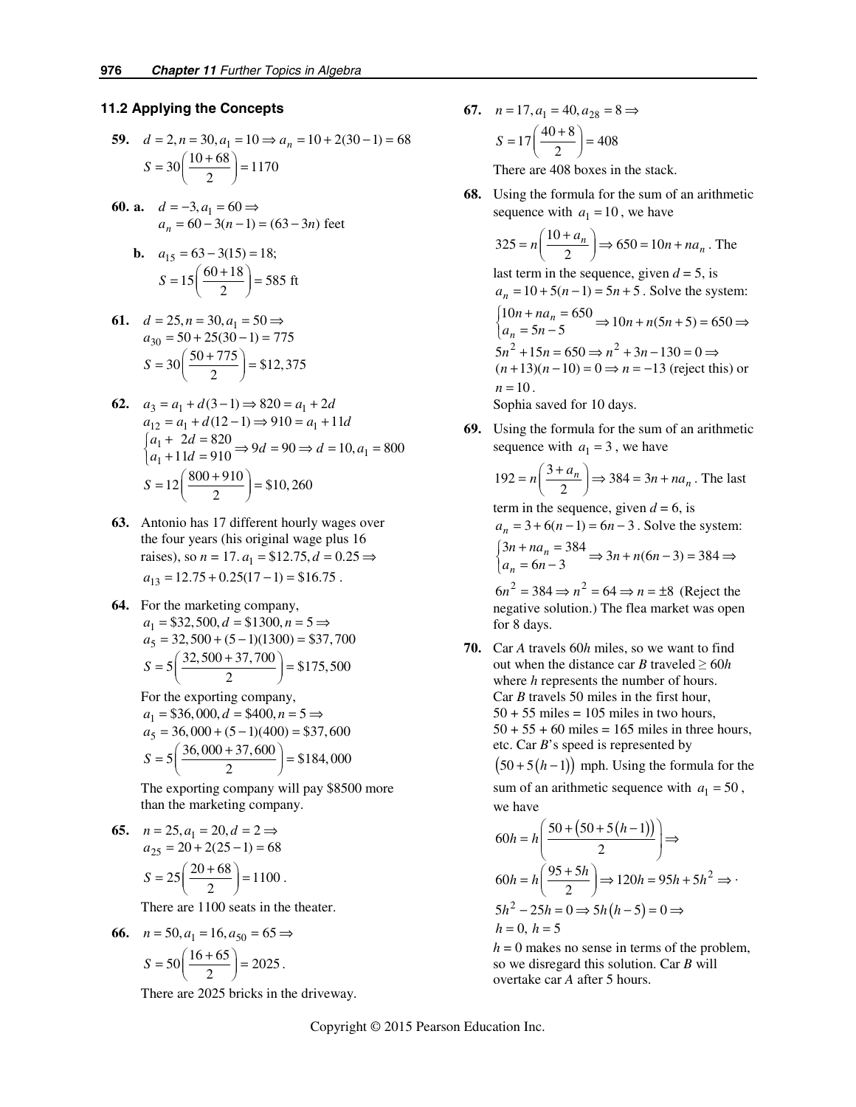### **11.2 Applying the Concepts**

59. 
$$
d = 2, n = 30, a_1 = 10 \Rightarrow a_n = 10 + 2(30 - 1) = 68
$$
  
\n $S = 30 \left( \frac{10 + 68}{2} \right) = 1170$ 

**60. a.**  $d = -3$ ,  $a_1 = 60$  ⇒  $a_n = 60 - 3(n-1) = (63 - 3n)$  feet

**b.** 
$$
a_{15} = 63 - 3(15) = 18;
$$
  
 $S = 15 \left( \frac{60 + 18}{2} \right) = 585 \text{ ft}$ 

61. 
$$
d = 25, n = 30, a_1 = 50 \Rightarrow a_{30} = 50 + 25(30 - 1) = 775
$$
  
\n $S = 30 \left( \frac{50 + 775}{2} \right) = $12,375$ 

- **62.**  $a_3 = a_1 + d(3-1) \Rightarrow 820 = a_1 + 2d$  $a_{12} = a_1 + d(12 - 1) \Rightarrow 910 = a_1 + 11d$  $\begin{cases} a_1 + 2d = 820 \\ a_1 + 11d = 910 \end{cases} \Rightarrow 9d = 90 \Rightarrow d = 10, a_1 = 800$  $S = 12 \left( \frac{800 + 910}{2} \right) = $10,260$ 
	- **63.** Antonio has 17 different hourly wages over the four years (his original wage plus 16 raises), so *n* = 17.  $a_1$  = \$12.75,  $d$  = 0.25 ⇒  $a_{13} = 12.75 + 0.25(17 - 1) = $16.75$ .
- **64.** For the marketing company,  $a_1 = $32,500, d = $1300, n = 5 \implies$  $a_5 = 32,500 + (5-1)(1300) = $37,700$  $S = 5\left(\frac{32,500 + 37,700}{2}\right) = $175,500$

For the exporting company,

$$
a_1 = $36,000, d = $400, n = 5 \Rightarrow
$$
  
\n
$$
a_5 = 36,000 + (5-1)(400) = $37,600
$$
  
\n
$$
S = 5\left(\frac{36,000 + 37,600}{2}\right) = $184,000
$$

The exporting company will pay \$8500 more than the marketing company.

65. 
$$
n = 25, a_1 = 20, d = 2 \Rightarrow
$$
  
\n $a_{25} = 20 + 2(25 - 1) = 68$   
\n $S = 25 \left( \frac{20 + 68}{2} \right) = 1100.$ 

There are 1100 seats in the theater.

66. 
$$
n = 50, a_1 = 16, a_{50} = 65 \Rightarrow
$$
  
 $S = 50 \left( \frac{16 + 65}{2} \right) = 2025.$ 

There are 2025 bricks in the driveway.

**67.**  $n = 17, a_1 = 40, a_{28} = 8 \implies$  $S = 17 \left( \frac{40 + 8}{2} \right) = 408$ 

There are 408 boxes in the stack.

 **68.** Using the formula for the sum of an arithmetic sequence with  $a_1 = 10$ , we have

$$
325 = n\left(\frac{10 + a_n}{2}\right) \Rightarrow 650 = 10n + na_n
$$
. The

last term in the sequence, given  $d = 5$ , is  $a_n = 10 + 5(n-1) = 5n + 5$ . Solve the system:  $5n^2 + 15n = 650 \Rightarrow n^2 + 3n - 130 = 0 \Rightarrow$  $10n + na_n = 650$ <br>  $a_n = 5n - 5$   $\Rightarrow$   $10n + n(5n + 5) = 650$  $(n+13)(n-10) = 0 \Rightarrow n = -13$  (reject this) or  $\begin{cases} 10n + na_n = 650 \\ a_n = 5n - 5 \end{cases}$  ⇒  $10n + n(5n + 5) = 650$  ⇒  $n = 10$ . Sophia saved for 10 days.

**69.** Using the formula for the sum of an arithmetic sequence with  $a_1 = 3$ , we have

$$
192 = n\left(\frac{3 + a_n}{2}\right) \Rightarrow 384 = 3n + na_n
$$
. The last

term in the sequence, given  $d = 6$ , is  $a_n = 3 + 6(n-1) = 6n - 3$ . Solve the system:  $3n + na_n = 384$ <br>  $a_n = 6n - 3$   $\Rightarrow 3n + n(6n - 3) = 384$  $\begin{cases} 3n + na_n = 384 \\ a_n = 6n - 3 \end{cases}$  ⇒  $3n + n(6n - 3) = 384$  ⇒

 $6n^2 = 384 \Rightarrow n^2 = 64 \Rightarrow n = \pm 8$  (Reject the negative solution.) The flea market was open for 8 days.

 **70.** Car *A* travels 60*h* miles, so we want to find out when the distance car *B* traveled  $> 60h$ where *h* represents the number of hours. Car *B* travels 50 miles in the first hour,  $50 + 55$  miles = 105 miles in two hours,  $50 + 55 + 60$  miles = 165 miles in three hours, etc. Car *B*'s speed is represented by  $(50+5(h-1))$  mph. Using the formula for the

sum of an arithmetic sequence with  $a_1 = 50$ , we have

$$
60h = h\left(\frac{50 + (50 + 5(h-1))}{2}\right) \Rightarrow
$$
  
\n
$$
60h = h\left(\frac{95 + 5h}{2}\right) \Rightarrow 120h = 95h + 5h^2 \Rightarrow
$$
  
\n
$$
5h^2 - 25h = 0 \Rightarrow 5h(h-5) = 0 \Rightarrow
$$
  
\n
$$
h = 0, h = 5
$$

 $h = 0$  makes no sense in terms of the problem, so we disregard this solution. Car *B* will overtake car *A* after 5 hours.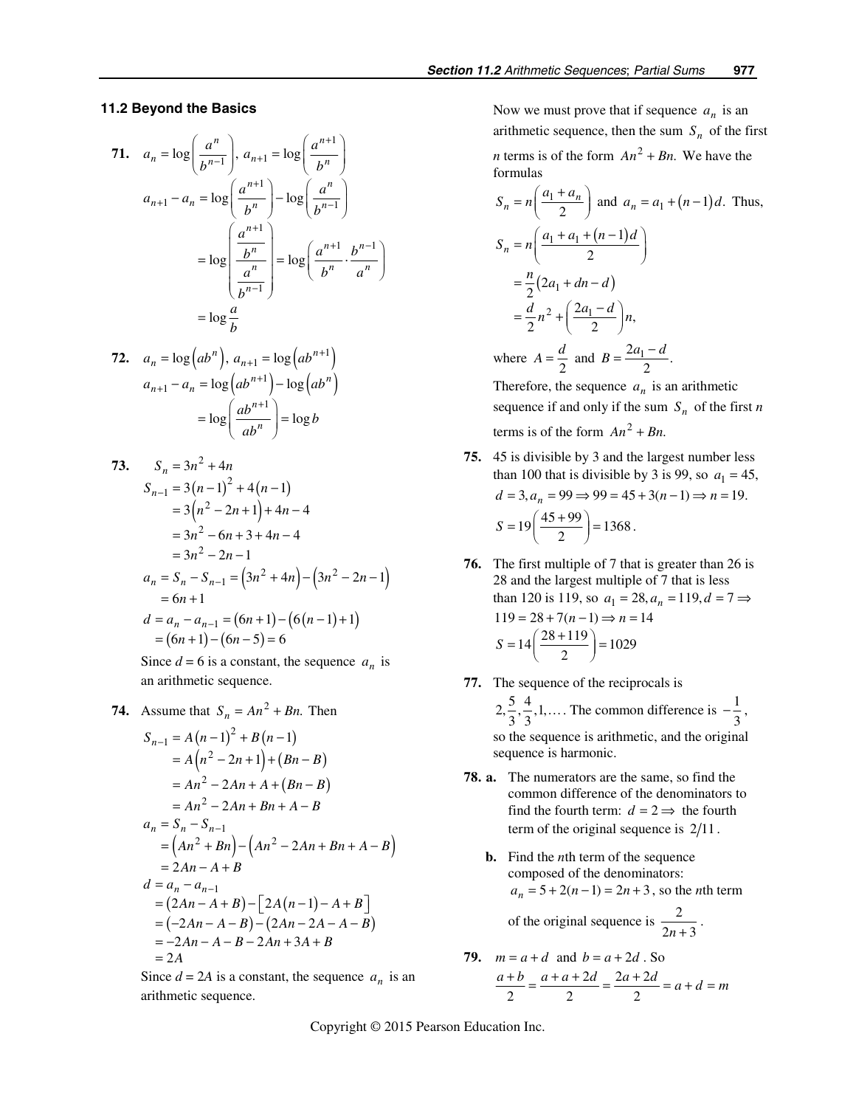#### *11.2 Beyond the Basics*

71. 
$$
a_n = \log\left(\frac{a^n}{b^{n-1}}\right), a_{n+1} = \log\left(\frac{a^{n+1}}{b^n}\right)
$$
  
\n $a_{n+1} - a_n = \log\left(\frac{a^{n+1}}{b^n}\right) - \log\left(\frac{a^n}{b^{n-1}}\right)$   
\n $= \log\left(\frac{\frac{a^{n+1}}{b^n}}{\frac{a^n}{b^{n-1}}}\right) = \log\left(\frac{a^{n+1}}{b^n}\cdot\frac{b^{n-1}}{a^n}\right)$   
\n $= \log\frac{a}{b}$ 

$$
\begin{aligned} \mathbf{72.} \quad a_n &= \log\left(ab^n\right), \ a_{n+1} = \log\left(ab^{n+1}\right) \\ a_{n+1} - a_n &= \log\left(ab^{n+1}\right) - \log\left(ab^n\right) \\ &= \log\left(\frac{ab^{n+1}}{ab^n}\right) = \log b \end{aligned}
$$

73. 
$$
S_n = 3n^2 + 4n
$$
  
\n
$$
S_{n-1} = 3(n-1)^2 + 4(n-1)
$$
  
\n
$$
= 3(n^2 - 2n + 1) + 4n - 4
$$
  
\n
$$
= 3n^2 - 6n + 3 + 4n - 4
$$
  
\n
$$
= 3n^2 - 2n - 1
$$
  
\n
$$
a_n = S_n - S_{n-1} = (3n^2 + 4n) - (3n^2 - 2n - 1)
$$
  
\n
$$
= 6n + 1
$$
  
\n
$$
d = a_n - a_{n-1} = (6n + 1) - (6(n - 1) + 1)
$$
  
\n
$$
= (6n + 1) - (6n - 5) = 6
$$

Since  $d = 6$  is a constant, the sequence  $a_n$  is an arithmetic sequence.

74. Assume that 
$$
S_n = An^2 + Bn
$$
. Then  
\n
$$
S_{n-1} = A(n-1)^2 + B(n-1)
$$
\n
$$
= A(n^2 - 2n + 1) + (Bn - B)
$$
\n
$$
= An^2 - 2An + A + (Bn - B)
$$
\n
$$
= An^2 - 2An + Bn + A - B
$$
\n
$$
a_n = S_n - S_{n-1}
$$
\n
$$
= (An^2 + Bn) - (An^2 - 2An + Bn + A - B)
$$
\n
$$
= 2An - A + B
$$
\n
$$
d = a_n - a_{n-1}
$$
\n
$$
= (2An - A + B) - [2A(n-1) - A + B]
$$
\n
$$
= (-2An - A - B) - (2An - 2A - A - B)
$$
\n
$$
= -2An - A - B - 2An + 3A + B
$$
\n
$$
= 2A
$$

Since  $d = 2A$  is a constant, the sequence  $a_n$  is an arithmetic sequence.

Now we must prove that if sequence  $a_n$  is an arithmetic sequence, then the sum  $S_n$  of the first *n* terms is of the form  $An^2 + Bn$ . We have the formulas

$$
S_n = n\left(\frac{a_1 + a_n}{2}\right) \text{ and } a_n = a_1 + (n-1)d. \text{ Thus,}
$$
  
\n
$$
S_n = n\left(\frac{a_1 + a_1 + (n-1)d}{2}\right)
$$
  
\n
$$
= \frac{n}{2}(2a_1 + dn - d)
$$
  
\n
$$
= \frac{d}{2}n^2 + \left(\frac{2a_1 - d}{2}\right)n,
$$
  
\nwhere  $A = \frac{d}{2}$  and  $B = \frac{2a_1 - d}{2}$ .

Therefore, the sequence  $a_n$  is an arithmetic sequence if and only if the sum  $S_n$  of the first *n* terms is of the form  $An^2 + Bn$ .

- **75.** 45 is divisible by 3 and the largest number less than 100 that is divisible by 3 is 99, so  $a_1 = 45$ ,  $d = 3, a_n = 99 \Rightarrow 99 = 45 + 3(n-1) \Rightarrow n = 19.$  $S = 19 \left( \frac{45 + 99}{2} \right) = 1368$ .
- **76.** The first multiple of 7 that is greater than 26 is 28 and the largest multiple of 7 that is less than 120 is 119, so  $a_1 = 28$ ,  $a_n = 119$ ,  $d = 7 \implies$  $119 = 28 + 7(n-1) \Rightarrow n = 14$  $S = 14 \left( \frac{28 + 119}{2} \right) = 1029$
- **77.** The sequence of the reciprocals is
	- $2, \frac{5}{3}, \frac{4}{3}, 1, \ldots$  The common difference is  $-\frac{1}{3}$ , so the sequence is arithmetic, and the original sequence is harmonic.
- **78. a.** The numerators are the same, so find the common difference of the denominators to find the fourth term:  $d = 2 \implies$  the fourth term of the original sequence is  $2/11$ .
	- **b.** Find the *n*th term of the sequence composed of the denominators:  $a_n = 5 + 2(n - 1) = 2n + 3$ , so the *n*th term of the original sequence is  $\frac{2}{2n+3}$ .
- **79.**  $m = a + d$  and  $b = a + 2d$ . So  $2d = 2a + 2$  $\frac{a+b}{2} = \frac{a+a+2d}{2} = \frac{2a+2d}{2} = a+d = m$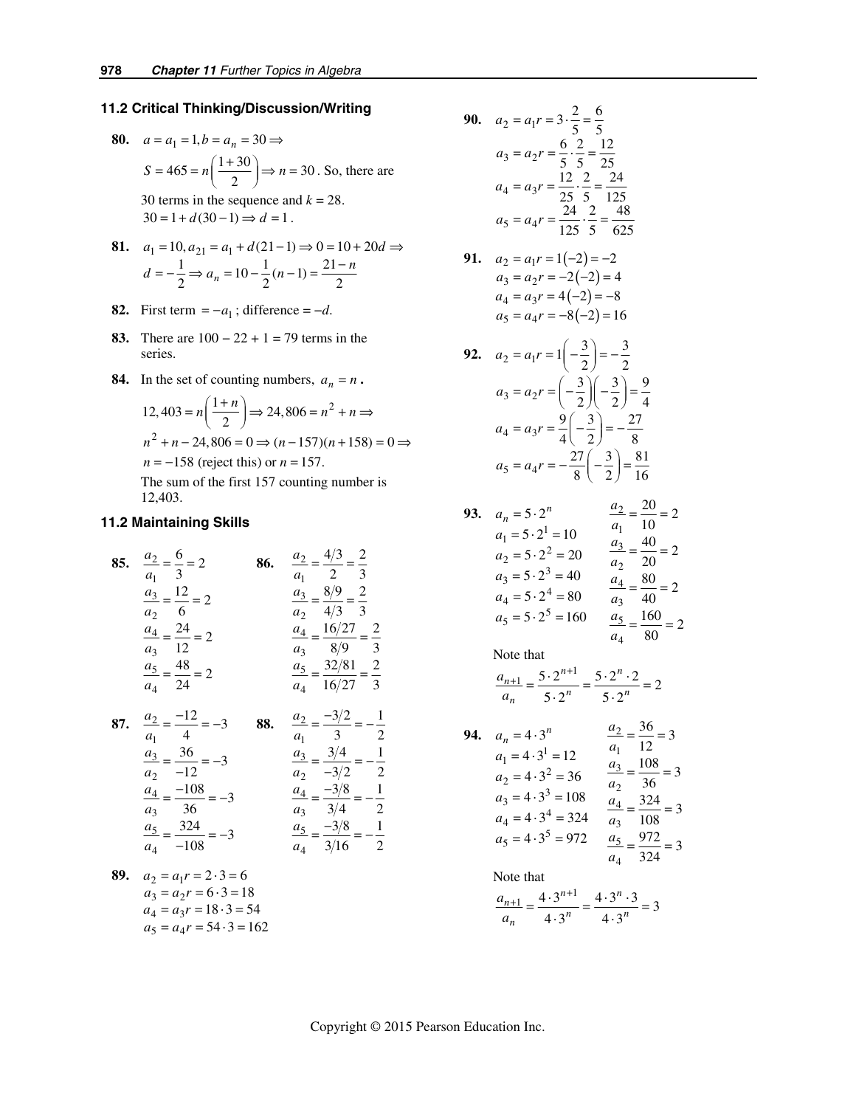#### *11.2 Critical Thinking/Discussion/Writing*

- **80.**  $a = a_1 = 1, b = a_n = 30 \implies$  $S = 465 = n \left( \frac{1+30}{2} \right) \Rightarrow n = 30$ . So, there are 30 terms in the sequence and  $k = 28$ .  $30 = 1 + d(30 - 1) \Rightarrow d = 1$ .
- **81.**  $a_1 = 10, a_{21} = a_1 + d(21 1) \Rightarrow 0 = 10 + 20d \Rightarrow$  $d = -\frac{1}{2} \Rightarrow a_n = 10 - \frac{1}{2}(n-1) = \frac{21-n}{2}$
- **82.** First term =  $-a_1$ ; difference =  $-d$ .
- **83.** There are 100 − 22 + 1 = 79 terms in the series.
- **84.** In the set of counting numbers,  $a_n = n$ .

$$
12,403 = n\left(\frac{1+n}{2}\right) \Rightarrow 24,806 = n^2 + n \Rightarrow
$$
  

$$
n^2 + n - 24,806 = 0 \Rightarrow (n - 157)(n + 158) = 0 \Rightarrow
$$
  

$$
n = -158 \text{ (reject this) or } n = 157.
$$
  
The sum of the first 157 counting number is

The sum of the first 157 counting number is 12,403.

#### *11.2 Maintaining Skills*

85. 
$$
\frac{a_2}{a_1} = \frac{6}{3} = 2
$$
  
\n $\frac{a_3}{a_2} = \frac{12}{6} = 2$   
\n $\frac{a_4}{a_3} = \frac{24}{12} = 2$   
\n $\frac{a_5}{a_4} = \frac{48}{24} = 2$   
\n86.  $\frac{a_2}{a_1} = \frac{4/3}{2} = \frac{2}{3}$   
\n $\frac{a_3}{a_2} = \frac{8/9}{4/3} = \frac{2}{3}$   
\n $\frac{a_4}{a_3} = \frac{16/27}{8/9} = \frac{2}{3}$   
\n87.  $\frac{a_2}{a_3} = \frac{-12}{4} = -3$   
\n88.  $\frac{a_2}{a_3} = \frac{-3/2}{3} = -\frac{1}{3}$ 

| $a_1$                                      | 4                                                    | $a_1$ | 3 | 2 |
|--------------------------------------------|------------------------------------------------------|-------|---|---|
| $\frac{a_3}{a_2} = \frac{36}{-12} = -3$    | $\frac{a_3}{a_2} = \frac{3/4}{-3/2} = -\frac{1}{2}$  |       |   |   |
| $\frac{a_4}{a_3} = \frac{-108}{36} = -3$   | $\frac{a_4}{a_3} = \frac{-3/8}{3/4} = -\frac{1}{2}$  |       |   |   |
| $\frac{a_5}{a_4} = \frac{-3/8}{-108} = -3$ | $\frac{a_5}{a_4} = \frac{-3/8}{3/16} = -\frac{1}{2}$ |       |   |   |

89. 
$$
a_2 = a_1 r = 2 \cdot 3 = 6
$$
  
\n $a_3 = a_2 r = 6 \cdot 3 = 18$   
\n $a_4 = a_3 r = 18 \cdot 3 = 54$   
\n $a_5 = a_4 r = 54 \cdot 3 = 162$ 

90. 
$$
a_2 = a_1 r = 3 \cdot \frac{2}{5} = \frac{6}{5}
$$
  
\n $a_3 = a_2 r = \frac{6}{5} \cdot \frac{2}{5} = \frac{12}{25}$   
\n $a_4 = a_3 r = \frac{12}{25} \cdot \frac{2}{5} = \frac{24}{125}$   
\n $a_5 = a_4 r = \frac{24}{125} \cdot \frac{2}{5} = \frac{48}{625}$ 

**91.** 
$$
a_2 = a_1 r = 1(-2) = -2
$$
  
\n $a_3 = a_2 r = -2(-2) = 4$   
\n $a_4 = a_3 r = 4(-2) = -8$   
\n $a_5 = a_4 r = -8(-2) = 16$ 

**92.**  $a_2 = a_1 r = 1 \left( -\frac{3}{2} \right) = -\frac{3}{2}$  $3 - u_2$  $4 - u_3$  $5 - u_4$  $3 \mid 3 \mid 9$  $a_3 = a_2 r = \left(-\frac{3}{2}\right)\left(-\frac{3}{2}\right) = \frac{9}{4}$  $9(3) 27$  $a_4 = a_3r = \frac{9}{4}\left(-\frac{3}{2}\right) = -\frac{27}{8}$  $27(3)$  81  $a_5 = a_4r = -\frac{27}{8} \left( -\frac{3}{2} \right) = \frac{81}{16}$ 

93. 
$$
a_n = 5 \cdot 2^n
$$
  
\n $a_1 = 5 \cdot 2^1 = 10$   
\n $a_2 = 5 \cdot 2^2 = 20$   
\n $a_3 = 5 \cdot 2^3 = 40$   
\n $a_4 = 5 \cdot 2^4 = 80$   
\n $a_5 = 5 \cdot 2^5 = 160$   
\n $a_6 = 5 \cdot 2^5 = 160$   
\n $a_7 = \frac{160}{160} = 2$   
\n $a_8 = 20$   
\n $a_9 = 20$   
\n $a_1 = \frac{160}{160} = 2$ 

Note that

$$
\frac{a_{n+1}}{a_n} = \frac{5 \cdot 2^{n+1}}{5 \cdot 2^n} = \frac{5 \cdot 2^n \cdot 2}{5 \cdot 2^n} = 2
$$

*a*

**94.** 
$$
a_n = 4 \cdot 3^n
$$
  $\frac{a_2}{a_1} = \frac{36}{12} = 3$   
\n $a_1 = 4 \cdot 3^1 = 12$   $\frac{a_3}{a_2} = \frac{108}{36} = 3$   
\n $a_2 = 4 \cdot 3^2 = 36$   $\frac{a_3}{a_2} = \frac{108}{36} = 3$   
\n $a_3 = 4 \cdot 3^3 = 108$   $\frac{a_4}{a_3} = \frac{324}{108} = 3$   
\n $a_4 = 4 \cdot 3^4 = 324$   $\frac{a_5}{a_4} = \frac{972}{324} = 3$ 

Note that

$$
\frac{a_{n+1}}{a_n} = \frac{4 \cdot 3^{n+1}}{4 \cdot 3^n} = \frac{4 \cdot 3^n \cdot 3}{4 \cdot 3^n} = 3
$$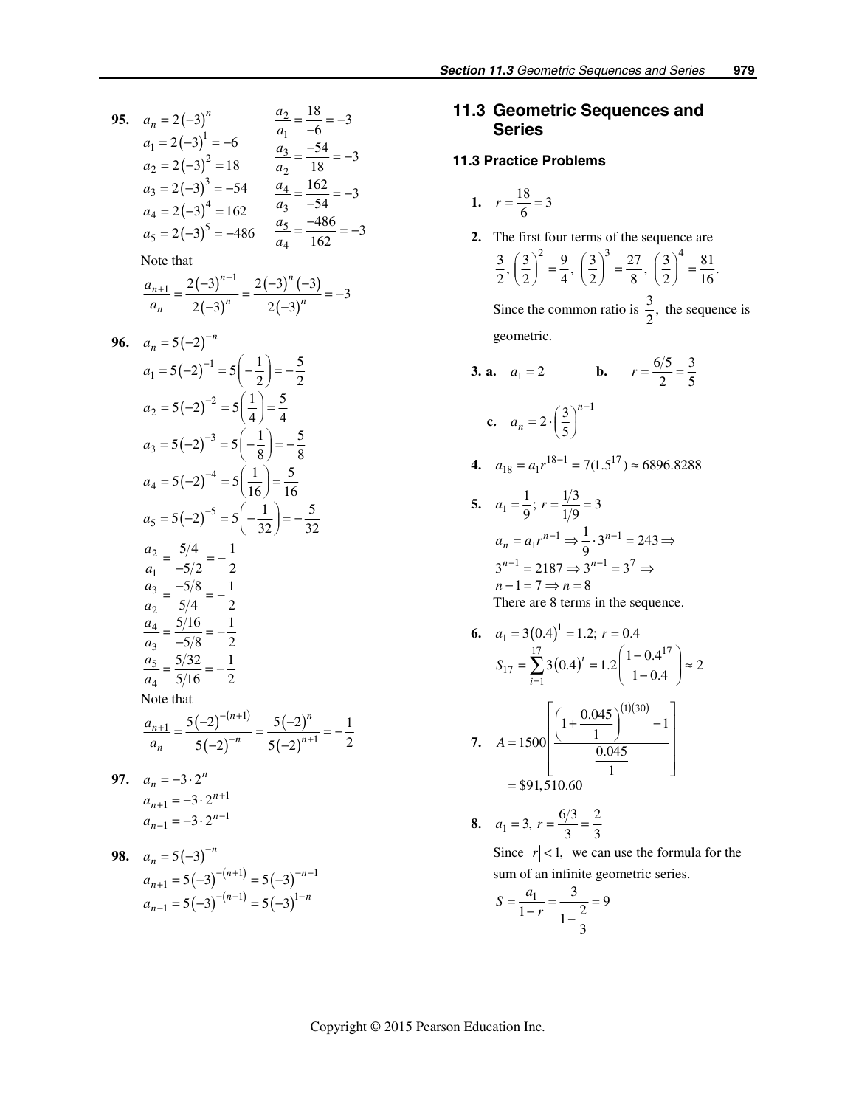95. 
$$
a_n = 2(-3)^n
$$
  $\frac{a_2}{a_1} = \frac{18}{-6} = -3$   
\n $a_1 = 2(-3)^1 = -6$   $\frac{a_3}{a_1} = \frac{-54}{-6} = -3$   
\n $a_2 = 2(-3)^2 = 18$   $\frac{a_3}{a_2} = \frac{-54}{18} = -3$   
\n $a_3 = 2(-3)^3 = -54$   $\frac{a_4}{a_3} = \frac{162}{-54} = -3$   
\n $a_4 = 2(-3)^4 = 162$   $\frac{a_5}{a_3} = \frac{-486}{-54} = -3$   
\nNote that  
\n $\frac{a_{n+1}}{a_n} = \frac{2(-3)^{n+1}}{2(-3)^n} = \frac{2(-3)^n(-3)}{2(-3)^n} = -3$   
\n96.  $a_n = 5(-2)^{-n}$   
\n $a_1 = 5(-2)^{-1} = 5(-\frac{1}{2}) = -\frac{5}{2}$   
\n $a_2 = 5(-2)^{-2} = 5(\frac{1}{4}) = \frac{5}{4}$   
\n $a_3 = 5(-2)^{-3} = 5(-\frac{1}{8}) = -\frac{5}{8}$   
\n $a_4 = 5(-2)^{-4} = 5(\frac{1}{16}) = \frac{5}{16}$   
\n $a_5 = 5(-2)^{-5} = 5(-\frac{1}{32}) = -\frac{5}{32}$   
\n $\frac{a_2}{a_1} = \frac{5/4}{-5/2} = -\frac{1}{2}$   
\n $\frac{a_3}{a_2} = \frac{5/4}{5/4} = -\frac{1}{2}$   
\n $\frac{a_4}{a_3} = \frac{5/16}{-5/8} = -\frac{1}{2}$   
\n $\frac{a_5}{a_3} = \frac{5/32}{-5/8} = -\frac{1}{2}$   
\nNote that  
\n $\frac{a_{n+1}}{a_n} = \frac{5(-2)^{-(n+1)}}{5(-2)^{-n}} = \frac{5(-2)^n}{5(-2)^{n+1}} = -$ 

 $(-3)^{-(n-1)} = 5(-3)$ 

 $5(-3)^{-(n-1)} = 5(-3)$ 

 $=5(-3)^{-(n-1)}=5(-$ 

1

−

*n*

*a*

1) =  $5(2)$ 

 $-(n-1)$  =  $5(2n)$ 

 $(n-1)$  =  $5(2n)^{1-n}$ 

# *11.3 Geometric Sequences and Series*

## *11.3 Practice Problems*

1. 
$$
r = \frac{18}{6} = 3
$$

 **2.** The first four terms of the sequence are

$$
\frac{3}{2}, \left(\frac{3}{2}\right)^2 = \frac{9}{4}, \left(\frac{3}{2}\right)^3 = \frac{27}{8}, \left(\frac{3}{2}\right)^4 = \frac{81}{16}.
$$

Since the common ratio is  $\frac{3}{2}$ , the sequence is geometric.

**3. a.** 
$$
a_1 = 2
$$
 **b.**  $r = \frac{6/5}{2} = \frac{3}{5}$   
**c.**  $a_n = 2 \cdot \left(\frac{3}{5}\right)^{n-1}$ 

**4.** 
$$
a_{18} = a_1 r^{18-1} = 7(1.5^{17}) \approx 6896.8288
$$

5. 
$$
a_1 = \frac{1}{9}
$$
;  $r = \frac{1/3}{1/9} = 3$   
\n $a_n = a_1 r^{n-1} \Rightarrow \frac{1}{9} \cdot 3^{n-1} = 243 \Rightarrow$   
\n $3^{n-1} = 2187 \Rightarrow 3^{n-1} = 3^7 \Rightarrow$   
\n $n - 1 = 7 \Rightarrow n = 8$   
\nThere are 8 terms in the sequence.

6. 
$$
a_1 = 3(0.4)^1 = 1.2; r = 0.4
$$
  
\n
$$
S_{17} = \sum_{i=1}^{17} 3(0.4)^i = 1.2 \left( \frac{1 - 0.4^{17}}{1 - 0.4} \right) \approx 2
$$
\n7.  $A = 1500 \left[ \frac{\left( 1 + \frac{0.045}{1} \right)^{(1)(30)} - 1}{\frac{0.045}{1}} \right]$   
\n= \$91,510.60

8. 
$$
a_1 = 3, r = \frac{6/3}{3} = \frac{2}{3}
$$

Since  $|r| < 1$ , we can use the formula for the sum of an infinite geometric series.

$$
S = \frac{a_1}{1 - r} = \frac{3}{1 - \frac{2}{3}} = 9
$$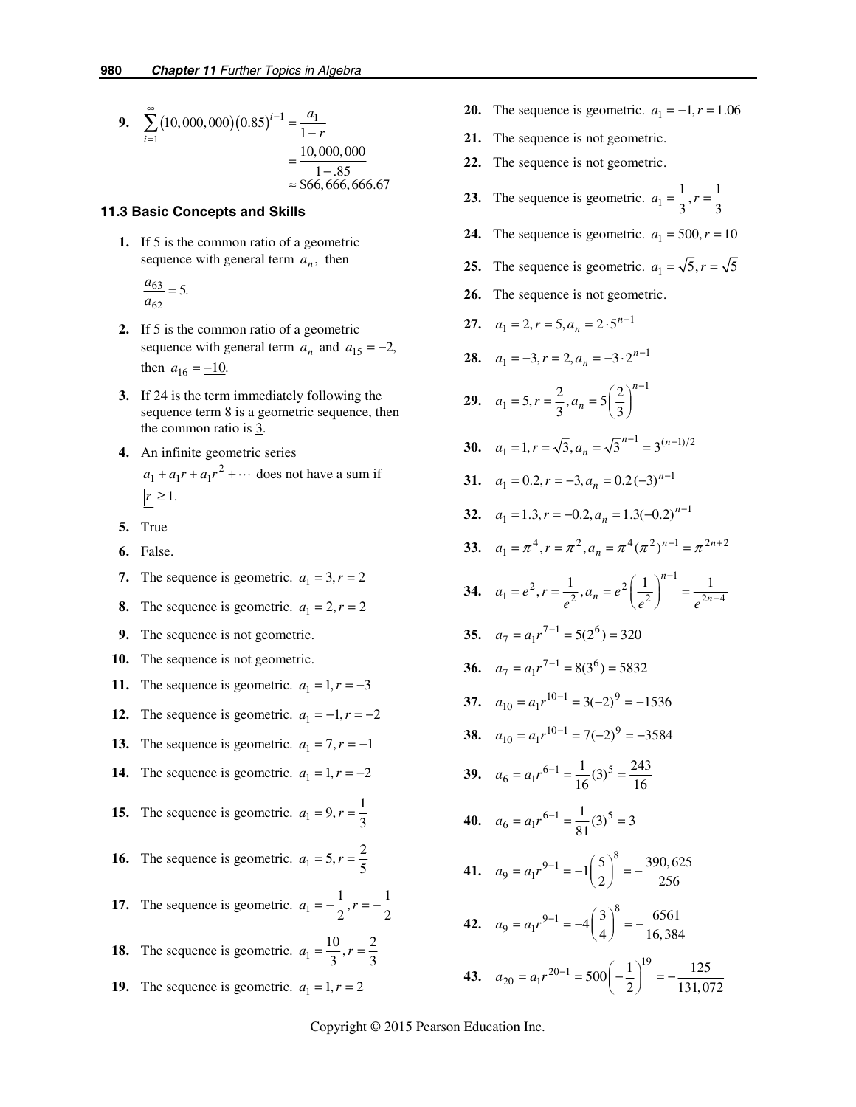9. 
$$
\sum_{i=1}^{\infty} (10,000,000) (0.85)^{i-1} = \frac{a_1}{1-r}
$$

$$
= \frac{10,000,000}{1-.85}
$$

$$
\approx $66,666,666.67
$$

#### *11.3 Basic Concepts and Skills*

 **1.** If 5 is the common ratio of a geometric sequence with general term  $a_n$ , then

$$
\frac{a_{63}}{a_{62}} = \underline{5}.
$$

- **2.** If 5 is the common ratio of a geometric sequence with general term  $a_n$  and  $a_{15} = -2$ , then  $a_{16} = -10$ .
- **3.** If 24 is the term immediately following the sequence term 8 is a geometric sequence, then the common ratio is 3.
- **4.** An infinite geometric series  $a_1 + a_1 r + a_1 r^2 + \cdots$  does not have a sum if  $|r| \geq 1$ .
- **5.** True
- **6.** False.
- **7.** The sequence is geometric.  $a_1 = 3, r = 2$
- **8.** The sequence is geometric.  $a_1 = 2, r = 2$
- **9.** The sequence is not geometric.
- **10.** The sequence is not geometric.
- **11.** The sequence is geometric.  $a_1 = 1, r = -3$
- **12.** The sequence is geometric.  $a_1 = -1, r = -2$
- **13.** The sequence is geometric.  $a_1 = 7, r = -1$
- **14.** The sequence is geometric.  $a_1 = 1, r = -2$
- **15.** The sequence is geometric.  $a_1 = 9, r = \frac{1}{3}$
- **16.** The sequence is geometric.  $a_1 = 5, r = \frac{2}{5}$
- **17.** The sequence is geometric.  $a_1 = -\frac{1}{2}$ ,  $r = -\frac{1}{2}$
- **18.** The sequence is geometric.  $a_1 = \frac{10}{3}, r = \frac{2}{3}$
- **19.** The sequence is geometric.  $a_1 = 1, r = 2$
- **20.** The sequence is geometric.  $a_1 = -1, r = 1.06$
- **21.** The sequence is not geometric.
- **22.** The sequence is not geometric.
- **23.** The sequence is geometric.  $a_1 = \frac{1}{3}, r = \frac{1}{3}$
- **24.** The sequence is geometric.  $a_1 = 500, r = 10$
- **25.** The sequence is geometric.  $a_1 = \sqrt{5}$ ,  $r = \sqrt{5}$
- **26.** The sequence is not geometric.
- **27.**  $a_1 = 2, r = 5, a_n = 2 \cdot 5^{n-1}$
- **28.**  $a_1 = -3, r = 2, a_n = -3 \cdot 2^{n-1}$
- **29.**  1  $a_1 = 5, r = \frac{2}{3}, a_n = 5\left(\frac{2}{3}\right)^n$  $a_1 = 5, r = \frac{2}{3}, a_n = 5\left(\frac{2}{3}\right)^{n-1}$
- **30.**  $a_1 = 1, r = \sqrt{3}, a_n = \sqrt{3}^{n-1} = 3^{(n-1)/2}$
- **31.**  $a_1 = 0.2, r = -3, a_n = 0.2(-3)^{n-1}$
- **32.**  $a_1 = 1.3, r = -0.2, a_n = 1.3(-0.2)^{n-1}$
- **33.**  $a_1 = \pi^4, r = \pi^2, a_n = \pi^4 (\pi^2)^{n-1} = \pi^{2n+2}$
- **34.**   $a_1 = e^2$ ,  $r = \frac{1}{e^2}$ ,  $a_n = e^2 \left(\frac{1}{e^2}\right)^{n-1} = \frac{1}{e^{2n-4}}$  $a_1 = e^2, r = \frac{1}{e^2}, a_n = e^2 \left(\frac{1}{e^2}\right) = \frac{1}{e^{2n}}$ −  $=e^{2}$ ,  $r = \frac{1}{e^{2}}$ ,  $a_n = e^{2} \left(\frac{1}{e^{2}}\right)^{n-1} = \frac{1}{e^{2n-1}}$ 
	- **35.**  $a_7 = a_1 r^{7-1} = 5(2^6) = 320$
- **36.**  $a_7 = a_1 r^{7-1} = 8(3^6) = 5832$
- **37.**  $a_{10} = a_1 r^{10-1} = 3(-2)^9 = -1536$
- **38.**  $a_{10} = a_1 r^{10-1} = 7(-2)^9 = -3584$
- **39.**  $a_6 = a_1 r^{6-1} = \frac{1}{16} (3)^5 = \frac{243}{16}$
- **40.**  $a_6 = a_1 r^{6-1} = \frac{1}{81} (3)^5 = 3$
- **41.**   $a_9 = a_1 r^{9-1} = -1 \left(\frac{5}{2}\right)^8 = -\frac{390,625}{256}$
- **42.**   $a_9 = a_1 r^{9-1} = -4 \left(\frac{3}{4}\right)^8 = -\frac{6561}{16,384}$
- **43.**   $a_{20} = a_1 r^{20-1} = 500 \left( -\frac{1}{2} \right)^{19} = -\frac{125}{131,072}$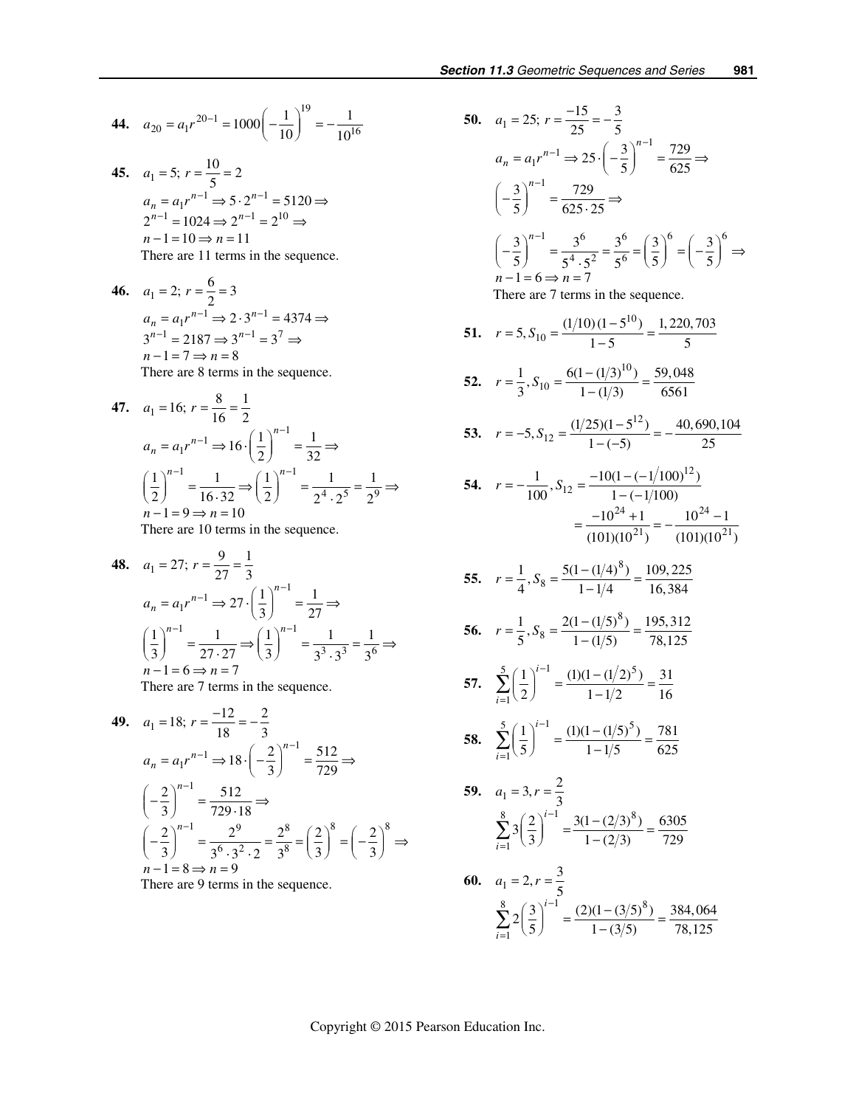**44.** 
$$
a_{20} = a_1 r^{20-1} = 1000 \left( -\frac{1}{10} \right)^{19} = -\frac{1}{10^{16}}
$$

 $\overline{18}$ 

- **45.**  $a_1 = 5; r = \frac{10}{5} = 2$  $a_n = a_1 r^{n-1} \Rightarrow 5 \cdot 2^{n-1} = 5120 \Rightarrow$  $2^{n-1} = 1024 \Rightarrow 2^{n-1} = 2^{10} \Rightarrow$  $n-1=10 \Rightarrow n=11$ There are 11 terms in the sequence.
- **46.**  $a_1 = 2; r = \frac{6}{2} = 3$  $= a_1 r^{n-1} \Rightarrow 2 \cdot 3^{n-1} =$ <br> $\frac{1}{1} - 2187 \Rightarrow 3^{n-1} - 3^7$  $2 \cdot 3^{n-1} = 4374$  $3^{n-1} = 2187 \Rightarrow 3^{n-1} = 3$  $n-1=7 \Rightarrow n=8$  $a_n = a_1 r^{n-1} \Rightarrow 2 \cdot 3^n$ <br>  $a_{n-1} = 2187 \Rightarrow 3^{n-1}$  $a_n = a_1 r^{n-1} \Rightarrow 2 \cdot 3^{n-1}$  $^{-1}$  – 2187 –  $2^{n-1}$  $= a_1 r^{n-1} \Rightarrow 2 \cdot 3^{n-1} = 4374 \Rightarrow$  $= 2187 \Rightarrow 3^{n-1} = 3' \Rightarrow$ There are 8 terms in the sequence.

47. 
$$
a_1 = 16; r = \frac{8}{16} = \frac{1}{2}
$$
  
\n $a_n = a_1 r^{n-1} \Rightarrow 16 \cdot \left(\frac{1}{2}\right)^{n-1} = \frac{1}{32} \Rightarrow$   
\n $\left(\frac{1}{2}\right)^{n-1} = \frac{1}{16 \cdot 32} \Rightarrow \left(\frac{1}{2}\right)^{n-1} = \frac{1}{2^4 \cdot 2^5} = \frac{1}{2^9} \Rightarrow$   
\n $n-1 = 9 \Rightarrow n = 10$   
\nThere are 10 terms in the sequence

There are 10 terms in the sequence.

**48.** 
$$
a_1 = 27; r = \frac{9}{27} = \frac{1}{3}
$$
  
\n $a_n = a_1 r^{n-1} \Rightarrow 27 \cdot \left(\frac{1}{3}\right)^{n-1} = \frac{1}{27} \Rightarrow$   
\n $\left(\frac{1}{3}\right)^{n-1} = \frac{1}{27 \cdot 27} \Rightarrow \left(\frac{1}{3}\right)^{n-1} = \frac{1}{3^3 \cdot 3^3} = \frac{1}{3^6} \Rightarrow$   
\n $n - 1 = 6 \Rightarrow n = 7$ 

There are 7 terms in the sequence.

49. 
$$
a_1 = 18; r = \frac{-12}{18} = -\frac{2}{3}
$$
  
\n $a_n = a_1 r^{n-1} \Rightarrow 18 \cdot \left(-\frac{2}{3}\right)^{n-1} = \frac{512}{729} \Rightarrow$   
\n $\left(-\frac{2}{3}\right)^{n-1} = \frac{512}{729 \cdot 18} \Rightarrow$   
\n $\left(-\frac{2}{3}\right)^{n-1} = \frac{2^9}{3^6 \cdot 3^2 \cdot 2} = \frac{2^8}{3^8} = \left(\frac{2}{3}\right)^8 = \left(-\frac{2}{3}\right)^8 \Rightarrow$   
\n $n-1 = 8 \Rightarrow n = 9$ 

There are 9 terms in the sequence.

50. 
$$
a_1 = 25
$$
;  $r = \frac{-15}{25} = -\frac{3}{5}$   
\n $a_n = a_1 r^{n-1} \Rightarrow 25 \cdot \left(-\frac{3}{5}\right)^{n-1} = \frac{729}{625} \Rightarrow$   
\n $\left(-\frac{3}{5}\right)^{n-1} = \frac{729}{625 \cdot 25} \Rightarrow$   
\n $\left(-\frac{3}{5}\right)^{n-1} = \frac{3^6}{5^4 \cdot 5^2} = \frac{3^6}{5^6} = \left(\frac{3}{5}\right)^6 = \left(-\frac{3}{5}\right)^6 \Rightarrow$   
\n $n-1=6 \Rightarrow n=7$   
\nThere are 7 terms in the sequence.  
\n51.  $r = 5$ ,  $S_{10} = \frac{(1/10)(1-5^{10})}{1-5} = \frac{1,220,703}{5}$   
\n52.  $r = \frac{1}{3}$ ,  $S_{10} = \frac{6(1-(1/3)^{10})}{1-(1/3)} = \frac{59,048}{6561}$   
\n53.  $r = -5$ ,  $S_{12} = \frac{(1/25)(1-5^{12})}{1-(-5)} = -\frac{40,690,104}{25}$   
\n54.  $r = -\frac{1}{100}$ ,  $S_{12} = \frac{-10(1-(-1/100)^{12})}{1-(-1/100)}$   
\n $= \frac{-10^{24} + 1}{(101)(10^{21})} = -\frac{10^{24} - 1}{(101)(10^{21})}$   
\n55.  $r = \frac{1}{4}$ ,  $S_8 = \frac{5(1 - (1/4)^8)}{1 - 1/4} = \frac{109,225}{16,384}$   
\n56.  $r = \frac{1}{5}$ ,  $S_8 = \frac{2(1 - (1/5)^8)}{1 - 1/2} = \frac{195,312}{78,125}$   
\n57.  $\sum_{i=1}^{5} \left(\frac{1}{2}\right)^{i-1} = \frac{(1)(1 - (1/2)^5)}{1 - 1/2} = \frac$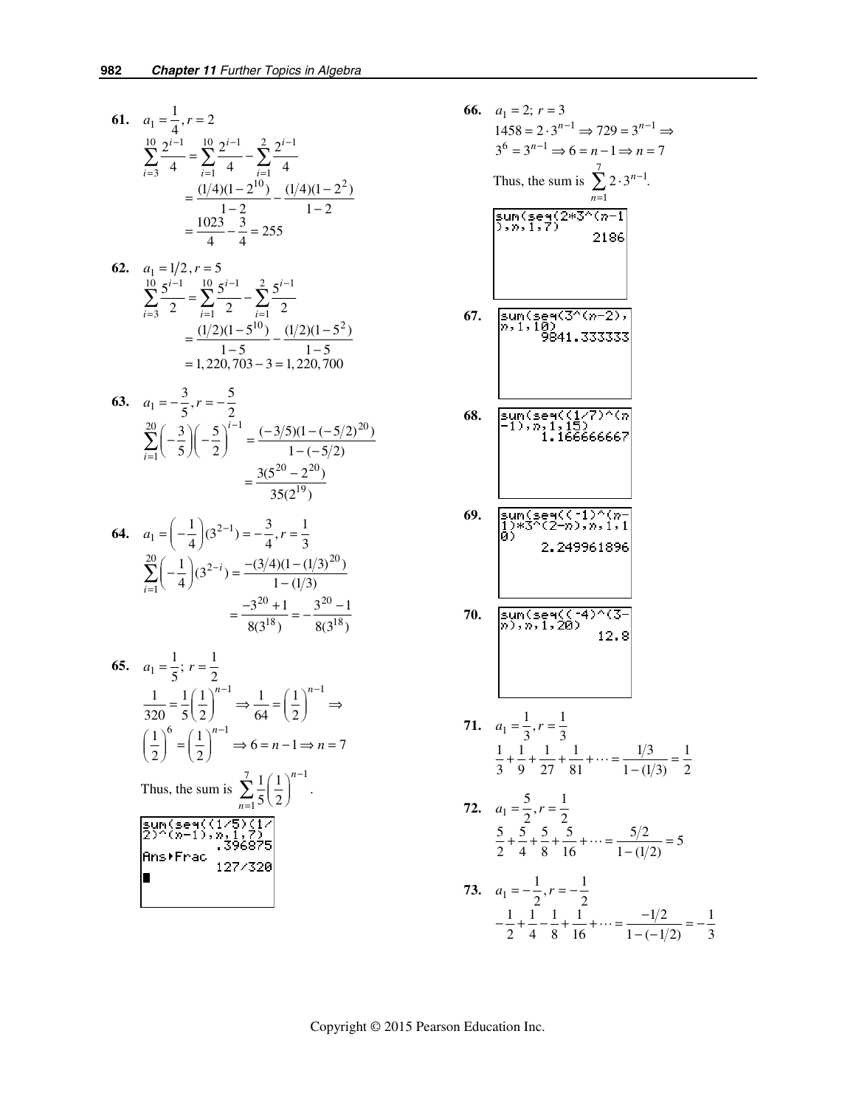61. 
$$
a_1 = \frac{1}{4}
$$
,  $r = 2$   
\n
$$
\sum_{i=3}^{10} \frac{2^{i-1}}{4} = \sum_{i=1}^{10} \frac{2^{i-1}}{4} - \sum_{i=1}^{2} \frac{2^{i-1}}{4}
$$
\n
$$
= \frac{(1/4)(1-2^{10})}{1-2} - \frac{(1/4)(1-2^2)}{1-2}
$$
\n
$$
= \frac{1023}{4} - \frac{3}{4} = 255
$$

62. 
$$
a_1 = 1/2, r = 5
$$
  
\n
$$
\sum_{i=3}^{10} \frac{5^{i-1}}{2} = \sum_{i=1}^{10} \frac{5^{i-1}}{2} - \sum_{i=1}^{2} \frac{5^{i-1}}{2}
$$
\n
$$
= \frac{(1/2)(1-5^{10})}{1-5} - \frac{(1/2)(1-5^2)}{1-5}
$$
\n= 1,220,703 - 3 = 1,220,700

63. 
$$
a_1 = -\frac{3}{5}, r = -\frac{5}{2}
$$
  
\n
$$
\sum_{i=1}^{20} \left(-\frac{3}{5}\right) \left(-\frac{5}{2}\right)^{i-1} = \frac{(-3/5)(1 - (-5/2)^{20})}{1 - (-5/2)}
$$
\n
$$
= \frac{3(5^{20} - 2^{20})}{35(2^{19})}
$$

$$
64. \quad a_1 = \left(-\frac{1}{4}\right)(3^{2-1}) = -\frac{3}{4}, r = \frac{1}{3}
$$
\n
$$
\sum_{i=1}^{20} \left(-\frac{1}{4}\right)(3^{2-i}) = \frac{-(3/4)(1 - (1/3)^{20})}{1 - (1/3)}
$$
\n
$$
= \frac{-3^{20} + 1}{8(3^{18})} = -\frac{3^{20} - 1}{8(3^{18})}
$$

65. 
$$
a_1 = \frac{1}{5}
$$
;  $r = \frac{1}{2}$   
\n $\frac{1}{320} = \frac{1}{5} \left(\frac{1}{2}\right)^{n-1} \Rightarrow \frac{1}{64} = \left(\frac{1}{2}\right)^{n-1} \Rightarrow$   
\n $\left(\frac{1}{2}\right)^6 = \left(\frac{1}{2}\right)^{n-1} \Rightarrow 6 = n - 1 \Rightarrow n = 7$   
\nThus, the sum is  $\sum_{n=1}^{7} \frac{1}{5} \left(\frac{1}{2}\right)^{n-1}$ .  
\n $\frac{\text{sum} (\text{seq} \cdot (1/5) \cdot (1/5) \cdot 7)}{326875}$   
\nAns. \text{Frac .396875}

66. 
$$
a_1 = 2; r = 3
$$
  
\n $1458 = 2 \cdot 3^{n-1} \Rightarrow 729 = 3^{n-1} \Rightarrow$   
\n $3^6 = 3^{n-1} \Rightarrow 6 = n-1 \Rightarrow n = 7$   
\nThus, the sum is  $\sum_{n=1}^{7} 2 \cdot 3^{n-1}$ .  
\n $\frac{\sin n(\sec n/2) \cdot 3^{n-1}}{2 \cdot 3^{n-1}} = 2186$   
\n67.  $\frac{\sin n(\sec n/3^{n/2} \cdot 7)}{841.333333}$   
\n $\frac{3341.333333}{841.333333}$   
\n68.  $\frac{\sin n(\sec n/17) \cdot \cos n}{1 \cdot 1 \cdot 1566666667}$   
\n69.  $\frac{\sin n(\sec n/17) \cdot \cos n \cdot 1}{1 \cdot 1566666667}$   
\n70.  $\frac{\sin n(\sec n/17) \cdot \cos n \cdot 1}{1 \cdot 1566666667}$   
\n70.  $\frac{\sin n(\sec n/17) \cdot \cos n \cdot 1}{1 \cdot 1566666667}$   
\n71.  $a_1 = \frac{1}{3}, r = \frac{1}{3}$   
\n $\frac{1}{3} + \frac{1}{9} + \frac{1}{27} + \frac{1}{81} + \cdots = \frac{1/3}{1 - (1/3)} = \frac{1}{2}$   
\n72.  $a_1 = \frac{5}{2}, r = \frac{1}{2}$   
\n $\frac{5}{2} + \frac{5}{4} + \frac{5}{8} + \frac{5}{16} + \cdots = \frac{5/2}{1 - (1/2)} = 5$   
\n73.  $a_1 = -\frac{1}{2}, r = -\frac{1}{2}$   
\n $-\frac{1}{2} + \frac{1}{4} - \frac{1}{8} + \frac{1}{16} + \cdots = \frac{-1/2}{1 - (-1/2)} = -\frac{1}{3}$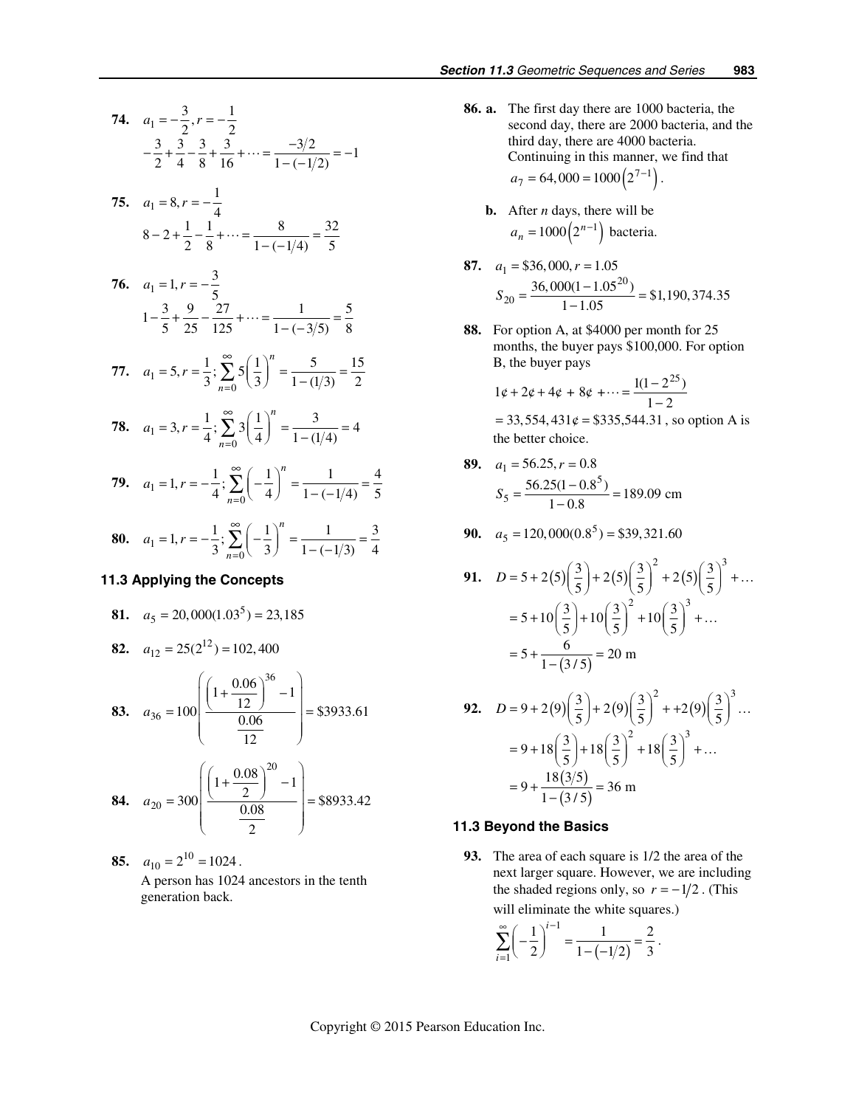74. 
$$
a_1 = -\frac{3}{2}, r = -\frac{1}{2}
$$
  
\n $-\frac{3}{2} + \frac{3}{4} - \frac{3}{8} + \frac{3}{16} + \cdots = \frac{-3/2}{1 - (-1/2)} = -1$   
\n75.  $a_1 = 8, r = -\frac{1}{4}$   
\n $8 - 2 + \frac{1}{2} - \frac{1}{8} + \cdots = \frac{8}{1 - (-1/4)} = \frac{32}{5}$   
\n76.  $a_1 = 1, r = -\frac{3}{5}$   
\n $1 - \frac{3}{5} + \frac{9}{25} - \frac{27}{125} + \cdots = \frac{1}{1 - (-3/5)} = \frac{5}{8}$   
\n77.  $a_1 = 5, r = \frac{1}{3}; \sum_{n=0}^{\infty} 5(\frac{1}{3})^n = \frac{5}{1 - (1/3)} = \frac{15}{2}$   
\n78.  $a_1 = 3, r = \frac{1}{4}; \sum_{n=0}^{\infty} 3(\frac{1}{4})^n = \frac{3}{1 - (1/4)} = 4$   
\n79.  $a_1 = 1, r = -\frac{1}{4}; \sum_{n=0}^{\infty} (-\frac{1}{4})^n = \frac{1}{1 - (-1/4)} = \frac{4}{5}$ 

**80.** 
$$
a_1 = 1, r = -\frac{1}{3}; \sum_{n=0}^{\infty} \left(-\frac{1}{3}\right)^n = \frac{1}{1 - (-1/3)} = \frac{3}{4}
$$

*n*

### *11.3 Applying the Concepts*

**81.** 
$$
a_5 = 20,000(1.03^5) = 23,185
$$

**82.** 
$$
a_{12} = 25(2^{12}) = 102,400
$$

**83.** 
$$
a_{36} = 100 \left( \frac{\left( 1 + \frac{0.06}{12} \right)^{36} - 1}{\frac{0.06}{12}} \right) = $3933.61
$$

**84.** 
$$
a_{20} = 300 \left( \frac{\left( 1 + \frac{0.08}{2} \right)^{20} - 1}{\frac{0.08}{2}} \right) = $8933.42
$$

85. 
$$
a_{10} = 2^{10} = 1024
$$
.  
A person has 1024 ancestors in the tenth generation back.

- **86. a.** The first day there are 1000 bacteria, the second day, there are 2000 bacteria, and the third day, there are 4000 bacteria. Continuing in this manner, we find that  $a_7 = 64,000 = 1000 (2^{7-1})$ .
	- **b.** After *n* days, there will be  $a_n = 1000 (2^{n-1})$  bacteria.
- **87.**  $a_1 = $36,000, r = 1.05$ 20  $S_{20} = \frac{36,000(1-1.05^{20})}{1-1.05} = $1,190,374.35$
- **88.** For option A, at \$4000 per month for 25 months, the buyer pays \$100,000. For option B, the buyer pays

$$
1\psi + 2\psi + 4\psi + 8\psi + \dots = \frac{1(1 - 2^{25})}{1 - 2}
$$
  
= 33,554,431\psi = \$335,544.31, so option A is

the better choice.

89. 
$$
a_1 = 56.25, r = 0.8
$$
  

$$
S_5 = \frac{56.25(1 - 0.8^5)}{1 - 0.8} = 189.09
$$
 cm

**90.**  $a_5 = 120,000(0.8^5) = $39,321.60$ 

91. 
$$
D = 5 + 2(5) \left(\frac{3}{5}\right) + 2(5) \left(\frac{3}{5}\right)^2 + 2(5) \left(\frac{3}{5}\right)^3 + \dots
$$
  
\n
$$
= 5 + 10 \left(\frac{3}{5}\right) + 10 \left(\frac{3}{5}\right)^2 + 10 \left(\frac{3}{5}\right)^3 + \dots
$$
  
\n
$$
= 5 + \frac{6}{1 - (3/5)} = 20 \text{ m}
$$

92. 
$$
D = 9 + 2(9)\left(\frac{3}{5}\right) + 2(9)\left(\frac{3}{5}\right)^2 + 2(9)\left(\frac{3}{5}\right)^3...
$$

$$
= 9 + 18\left(\frac{3}{5}\right) + 18\left(\frac{3}{5}\right)^2 + 18\left(\frac{3}{5}\right)^3 + ...
$$

$$
= 9 + \frac{18(3/5)}{1 - (3/5)} = 36 \text{ m}
$$

#### *11.3 Beyond the Basics*

 **93.** The area of each square is 1/2 the area of the next larger square. However, we are including the shaded regions only, so  $r = -1/2$ . (This will eliminate the white squares.)

$$
\sum_{i=1}^{\infty} \left(-\frac{1}{2}\right)^{i-1} = \frac{1}{1 - (-1/2)} = \frac{2}{3}.
$$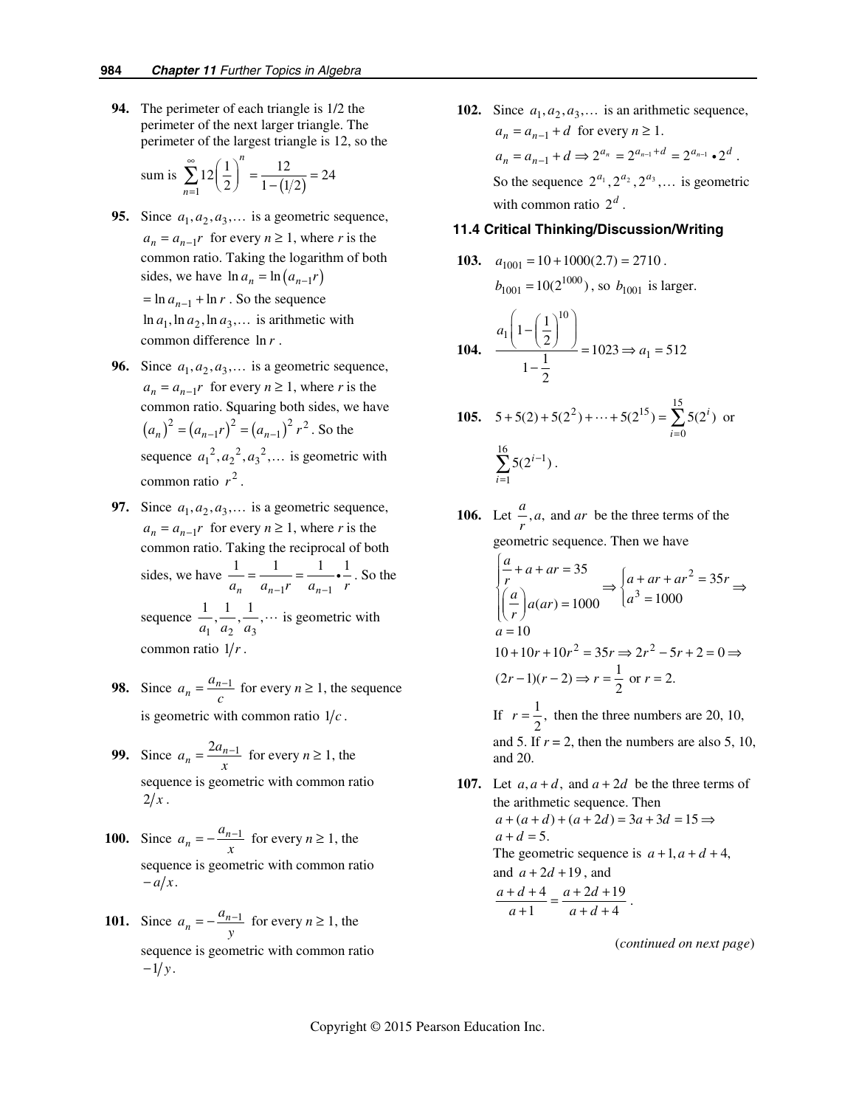**94.** The perimeter of each triangle is 1/2 the perimeter of the next larger triangle. The perimeter of the largest triangle is 12, so the

sum is 
$$
\sum_{n=1}^{\infty} 12\left(\frac{1}{2}\right)^n = \frac{12}{1 - (1/2)} = 24
$$

- **95.** Since  $a_1, a_2, a_3, \ldots$  is a geometric sequence,  $a_n = a_{n-1}r$  for every  $n \ge 1$ , where *r* is the common ratio. Taking the logarithm of both sides, we have  $\ln a_n = \ln \left( a_{n-1} r \right)$  $=$  ln  $a_{n-1}$  + ln r. So the sequence  $\ln a_1$ ,  $\ln a_2$ ,  $\ln a_3$ , ... is arithmetic with common difference ln *r* .
- **96.** Since  $a_1, a_2, a_3, \ldots$  is a geometric sequence,  $a_n = a_{n-1}r$  for every  $n \ge 1$ , where *r* is the common ratio. Squaring both sides, we have  $(a_n)^2 = (a_{n-1}r)^2 = (a_{n-1})^2 r^2$ . So the sequence  $a_1^2$ ,  $a_2^2$ ,  $a_3^2$ ,... is geometric with common ratio  $r^2$ .
- **97.** Since  $a_1, a_2, a_3, \ldots$  is a geometric sequence,  $a_n = a_{n-1}r$  for every  $n \ge 1$ , where *r* is the common ratio. Taking the reciprocal of both sides, we have  $1'$   $u_{n-1}$  $1 \t 1 \t 1 \t 1$  $\frac{1}{a_n} = \frac{1}{a_{n-1}r} = \frac{1}{a_{n-1}r} \cdot \frac{1}{r}$ . So the sequence  $\frac{1}{a_1}, \frac{1}{a_2}, \frac{1}{a_3}, \cdots$  is geometric with common ratio  $1/r$ .
- **98.** Since  $a_n = \frac{a_{n-1}}{c}$  for every  $n \ge 1$ , the sequence is geometric with common ratio  $1/c$ .
- **99.** Since  $a_n = \frac{2a_{n-1}}{x}$  for every  $n \ge 1$ , the sequence is geometric with common ratio  $2/x$ .
- **100.** Since  $a_n = -\frac{a_{n-1}}{x}$  for every  $n \ge 1$ , the sequence is geometric with common ratio  $-a/x$ .
- **101.** Since  $a_n = -\frac{a_{n-1}}{y}$  for every  $n \ge 1$ , the sequence is geometric with common ratio  $-1/y$ .

**102.** Since  $a_1, a_2, a_3, \ldots$  is an arithmetic sequence,  $a_n = a_{n-1} + d$  for every  $n \ge 1$ .  $a_n = a_{n-1} + d \Rightarrow 2^{a_n} = 2^{a_{n-1} + d} = 2^{a_{n-1}} \cdot 2^d$ . So the sequence  $2^{a_1}$ ,  $2^{a_2}$ ,  $2^{a_3}$ ,... is geometric with common ratio  $2^d$ .

#### **11.4 Critical Thinking/Discussion/Writing**

**103.** 
$$
a_{1001} = 10 + 1000(2.7) = 2710
$$
.  
 $b_{1001} = 10(2^{1000})$ , so  $b_{1001}$  is larger.

$$
104. \quad \frac{a_1\left(1 - \left(\frac{1}{2}\right)^{10}\right)}{1 - \frac{1}{2}} = 1023 \Rightarrow a_1 = 512
$$

**105.** 
$$
5 + 5(2) + 5(2^2) + \dots + 5(2^{15}) = \sum_{i=0}^{15} 5(2^i)
$$
 or 
$$
\sum_{i=1}^{16} 5(2^{i-1}).
$$

- **106.** Let  $\frac{a}{r}$ , *a*, and *ar* be the three terms of the geometric sequence. Then we have 2 3  $35$   $\int a + ar + ar^2 = 35$  $(ar) = 1000$   $\left[ a^3 = 1000 \right]$ 10  $\frac{a}{r} + a + ar = 35$  <br>  $\frac{a}{r} + ar + ar^2 = 35r$  $\begin{cases} \frac{a}{r} + a + ar = 35 \\ \left(\frac{a}{r}\right) a(ar) = 1000 \end{cases} \Rightarrow \begin{cases} a + ar + ar^2 = 35r \\ a^3 = 1000 \end{cases} \Rightarrow$ *a* =  $10+10r+10r^2 = 35r \Rightarrow 2r^2 - 5r + 2 = 0 \Rightarrow$  $(2r-1)(r-2) \Rightarrow r = \frac{1}{2}$  or  $r = 2$ . If  $r = \frac{1}{2}$ , then the three numbers are 20, 10, and 5. If  $r = 2$ , then the numbers are also 5, 10, and 20. **107.** Let  $a, a+d$ , and  $a+2d$  be the three terms of
	- the arithmetic sequence. Then  $a + (a + d) + (a + 2d) = 3a + 3d = 15 \implies$  $a + d = 5$ . The geometric sequence is  $a+1$ ,  $a+d+4$ , and  $a + 2d + 19$ , and  $4 a + 2d + 19$ 1  $a+d+4$  $a + d + 4$   $a + 2d$  $\frac{+d+4}{a+1} = \frac{a+2d+19}{a+d+4}$ .

(*continued on next page*)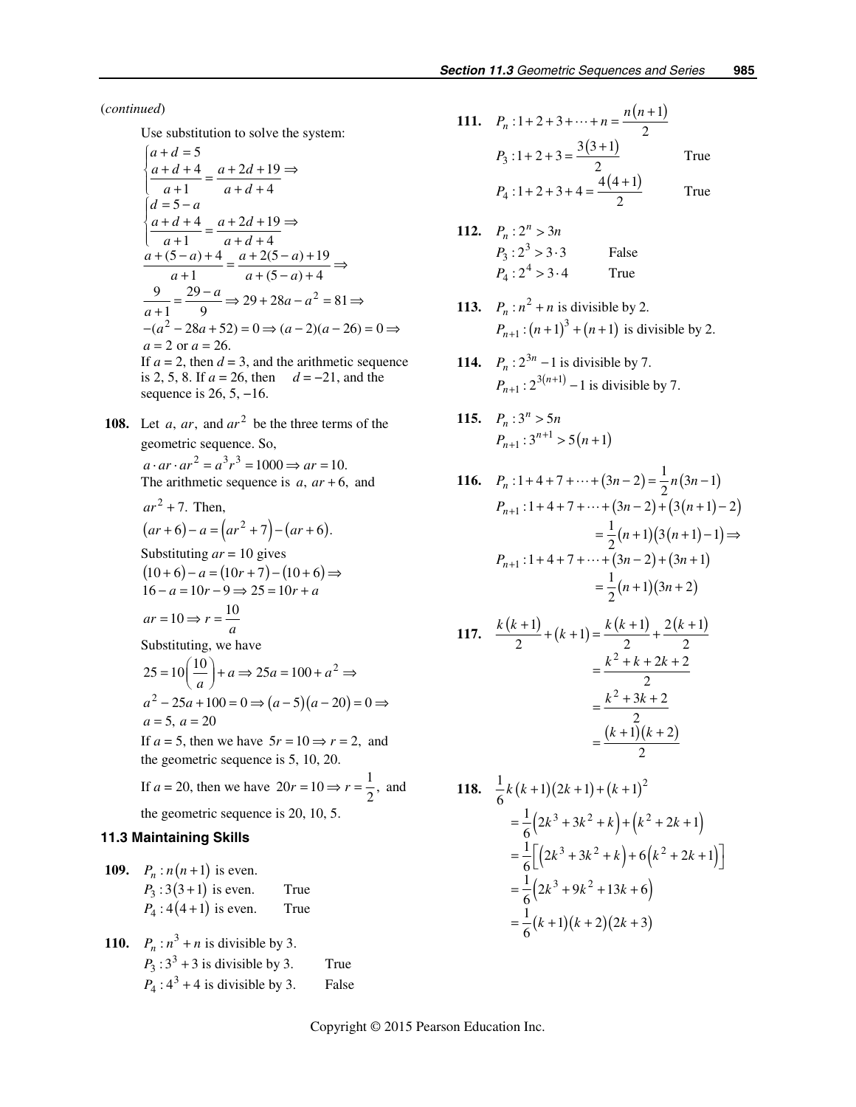(*continued*)

Use substitution to solve the system:

$$
\begin{cases}\na + d = 5 \\
\frac{a + d + 4}{a + 1} = \frac{a + 2d + 19}{a + d + 4} \\
d = 5 - a \\
\frac{a + d + 4}{a + 1} = \frac{a + 2d + 19}{a + d + 4} \\
\frac{a + (5 - a) + 4}{a + 1} = \frac{a + 2(5 - a) + 19}{a + (5 - a) + 4} \Rightarrow \\
\frac{9}{a + 1} = \frac{29 - a}{9} \Rightarrow 29 + 28a - a^2 = 81 \Rightarrow \\
-(a^2 - 28a + 52) = 0 \Rightarrow (a - 2)(a - 26) = 0 \Rightarrow \\
a = 2 \text{ or } a = 26. \\
\text{If } a = 2, \text{ then } d = 3, \text{ and the arithmetic sequence is } 2, 5, 8. \text{ If } a = 26, \text{ then } d = -21, \text{ and the sequence is } 26, 5, -16.\n\end{cases}
$$

**108.** Let  $a$ ,  $ar$ , and  $ar<sup>2</sup>$  be the three terms of the geometric sequence. So,  $a \cdot ar \cdot ar^2 = a^3 r^3 = 1000 \Rightarrow ar = 10.$ 

The arithmetic sequence is  $a, ar + 6$ , and

$$
ar2 + 7. Then,(ar + 6) - a = (ar2 + 7) - (ar + 6).
$$
  
Substituting ar = 10 gives  

$$
(10+6) - a = (10r + 7) - (10+6) \Rightarrow
$$

$$
16 - a = 10r - 9 \Rightarrow 25 = 10r + a
$$

$$
ar = 10 \Rightarrow r = \frac{10}{a}
$$

Substituting, we have

$$
25 = 10\left(\frac{10}{a}\right) + a \Rightarrow 25a = 100 + a^2 \Rightarrow
$$
  
\n
$$
a^2 - 25a + 100 = 0 \Rightarrow (a - 5)(a - 20) = 0 \Rightarrow
$$
  
\n
$$
a = 5, a = 20
$$

If  $a = 5$ , then we have  $5r = 10 \Rightarrow r = 2$ , and the geometric sequence is 5, 10, 20.

If  $a = 20$ , then we have  $20r = 10 \Rightarrow r = \frac{1}{2}$ , and the geometric sequence is 20, 10, 5.

### *11.3 Maintaining Skills*

**109.** 
$$
P_n : n(n+1)
$$
 is even.  
\n $P_3 : 3(3+1)$  is even. True  
\n $P_4 : 4(4+1)$  is even. True

110. 
$$
P_n : n^3 + n
$$
 is divisible by 3.  
\n $P_3 : 3^3 + 3$  is divisible by 3. True  
\n $P_4 : 4^3 + 4$  is divisible by 3. False

111. 
$$
P_n: 1+2+3+\cdots+n = \frac{n(n+1)}{2}
$$
  
\n $P_3: 1+2+3 = \frac{3(3+1)}{2}$  True  
\n $P_4: 1+2+3+4 = \frac{4(4+1)}{2}$  True

- **112.**  $P_n: 2^n > 3n$  $P_3: 2^3 > 3 \cdot 3$  False  $P_4: 2^4 > 3 \cdot 4$  True
- 113.  $P_n : n^2 + n$  is divisible by 2.  $(n+1)^3 + (n+1)$  $P_{n+1}$ :  $(n+1)^3 + (n+1)$  is divisible by 2.
- **114.**  $P_n: 2^{3n} 1$  is divisible by 7.  $P_{n+1}$ :  $2^{3(n+1)} - 1$  is divisible by 7.
- **115.**  $P_n: 3^n > 5n$  $P_{n+1}$ : 3<sup>n+1</sup> > 5(n+1)

116. 
$$
P_n: 1+4+7+\cdots+(3n-2) = \frac{1}{2}n(3n-1)
$$
  
\n
$$
P_{n+1}: 1+4+7+\cdots+(3n-2)+(3(n+1)-2)
$$
\n
$$
= \frac{1}{2}(n+1)(3(n+1)-1) \Rightarrow
$$
\n
$$
P_{n+1}: 1+4+7+\cdots+(3n-2)+(3n+1)
$$
\n
$$
= \frac{1}{2}(n+1)(3n+2)
$$

117. 
$$
\frac{k(k+1)}{2} + (k+1) = \frac{k(k+1)}{2} + \frac{2(k+1)}{2}
$$

$$
= \frac{k^2 + k + 2k + 2}{2}
$$

$$
= \frac{k^2 + 3k + 2}{2}
$$

$$
= \frac{(k+1)(k+2)}{2}
$$

118. 
$$
\frac{1}{6}k(k+1)(2k+1)+(k+1)^2
$$
  
=  $\frac{1}{6}(2k^3+3k^2+k)+(k^2+2k+1)$   
=  $\frac{1}{6}[(2k^3+3k^2+k)+6(k^2+2k+1)]$   
=  $\frac{1}{6}(2k^3+9k^2+13k+6)$   
=  $\frac{1}{6}(k+1)(k+2)(2k+3)$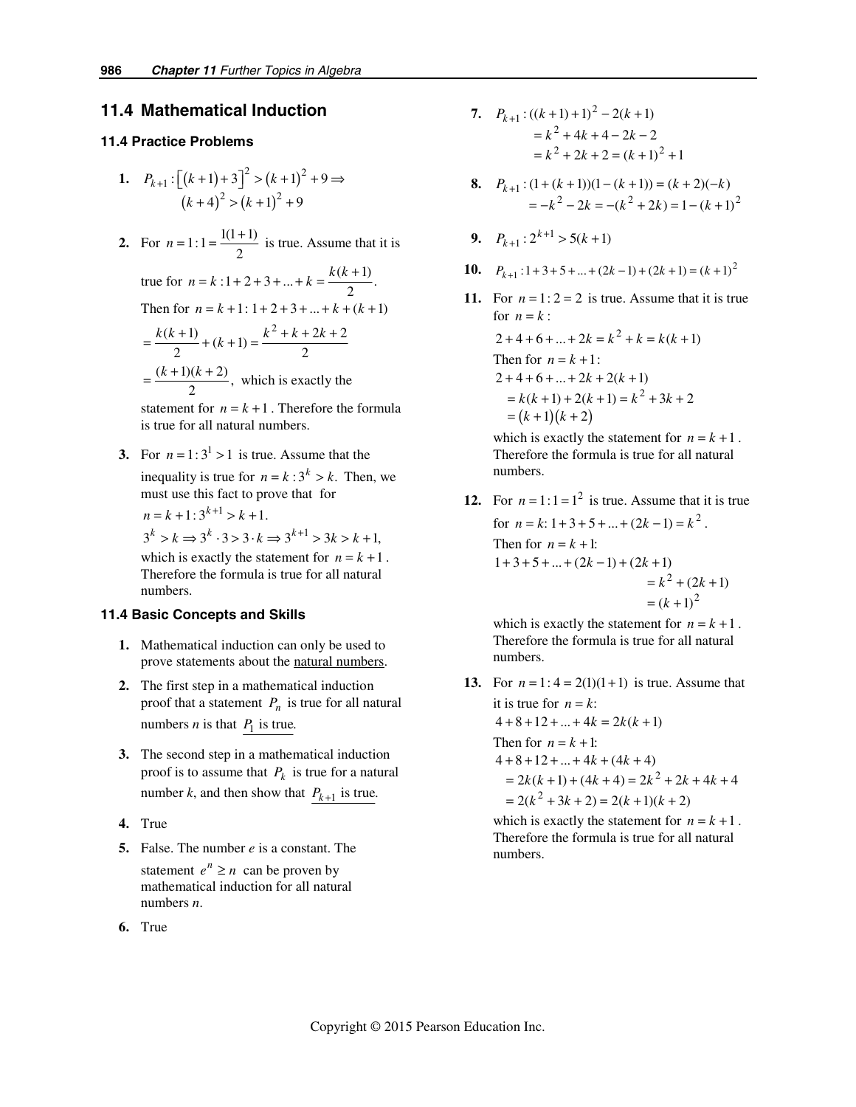# *11.4 Mathematical Induction*

#### *11.4 Practice Problems*

- **1.**  $P_{k+1}: \left[ (k+1) + 3 \right]^2 > (k+1)^2$  $(k+4)^2 > (k+1)^2 + 9$  $P_{k+1} : \lfloor (k+1) + 3 \rfloor^2 > (k+1)^2 + 9 \Rightarrow$
- **2.** For  $n = 1:1 = \frac{1(1+1)}{2}$  is true. Assume that it is

true for 
$$
n = k : 1 + 2 + 3 + ... + k = \frac{k(k+1)}{2}
$$
.

Then for 
$$
n = k + 1 : 1 + 2 + 3 + ... + k + (k + 1)
$$

$$
= \frac{k(k+1)}{2} + (k+1) = \frac{k^2 + k + 2k + 2}{2}
$$

$$
= \frac{(k+1)(k+2)}{2}
$$
, which is exactly the

statement for  $n = k + 1$ . Therefore the formula is true for all natural numbers.

**3.** For  $n = 1:3^1 > 1$  is true. Assume that the inequality is true for  $n = k : 3^k > k$ . Then, we must use this fact to prove that for

$$
n = k + 1: 3^{k+1} > k + 1.
$$
  
\n
$$
3^{k} > k \Rightarrow 3^{k} \cdot 3 > 3 \cdot k \Rightarrow 3^{k+1} > 3k > k + 1,
$$
  
\nwhich is exactly the statement for  $n = k + 1$ .  
\nTherefore the formula is true for all natural numbers.

### *11.4 Basic Concepts and Skills*

- **1.** Mathematical induction can only be used to prove statements about the natural numbers.
- **2.** The first step in a mathematical induction proof that a statement  $P_n$  is true for all natural numbers *n* is that  $P_1$  is true.
- **3.** The second step in a mathematical induction proof is to assume that  $P_k$  is true for a natural number *k*, and then show that  $P_{k+1}$  is true.
- **4.** True
- **5.** False. The number *e* is a constant. The statement  $e^n \geq n$  can be proven by mathematical induction for all natural numbers *n*.
- **6.** True
- **7.**  $P_{k+1}$ :  $((k+1)+1)^2 2(k+1)$  $= k^2 + 4k + 4 - 2k - 2$  $= k^2 + 2k + 2 = (k+1)^2 + 1$
- **8.**  $P_{k+1}$ :  $(1 + (k+1))(1 (k+1)) = (k+2)(-k)$ <br> $k^2 2k (k^2 + 2k) 1 (k+1)^2$ :  $(1 + (k + 1))(1 - (k + 1)) = (k + 2)(-k)$  $2k = -(k^2 + 2k) = 1 - (k+1)$  $P_{k+1}$  :  $(1 + (k+1))(1 - (k+1)) = (k+2)(-k)$  $k^2 - 2k = -(k^2 + 2k) = 1 - (k)$  $_{+1}$  :  $(1 + (k + 1))(1 - (k + 1)) = (k + 2)( =-k^2-2k = -(k^2+2k) = 1-(k+$
- **9.**  $P_{k+1}$ :  $2^{k+1}$  > 5(k+1)
- **10.**  $P_{k+1}: 1+3+5+...+(2k-1)+(2k+1)=(k+1)^2$ 
	- 11. For  $n = 1: 2 = 2$  is true. Assume that it is true for  $n = k$  :

$$
2+4+6+...+2k = k2 + k = k(k + 1)
$$
  
Then for  $n = k + 1$ :  

$$
2+4+6+...+2k+2(k + 1)
$$

$$
= k(k + 1) + 2(k + 1) = k2 + 3k + 2
$$

$$
= (k + 1)(k + 2)
$$

which is exactly the statement for  $n = k + 1$ . Therefore the formula is true for all natural numbers.

**12.** For  $n = 1:1 = 1^2$  is true. Assume that it is true for  $n = k$ :  $1 + 3 + 5 + ... + (2k - 1) = k^2$ . Then for  $n = k + 1$ :  $= k^2 + (2k + 1)$  $=(k+1)^2$  $1+3+5+...+(2k-1)+(2k+1)$ 

> which is exactly the statement for  $n = k + 1$ . Therefore the formula is true for all natural numbers.

**13.** For  $n = 1: 4 = 2(1)(1 + 1)$  is true. Assume that it is true for  $n = k$ :  $4 + 8 + 12 + ... + 4k = 2k(k + 1)$ Then for  $n = k + 1$ :  $= 2k(k+1) + (4k+4) = 2k^2 + 2k + 4k + 4$  $= 2(k^2 + 3k + 2) = 2(k+1)(k+2)$  $4 + 8 + 12 + \ldots + 4k + (4k + 4)$ 

which is exactly the statement for  $n = k + 1$ . Therefore the formula is true for all natural numbers.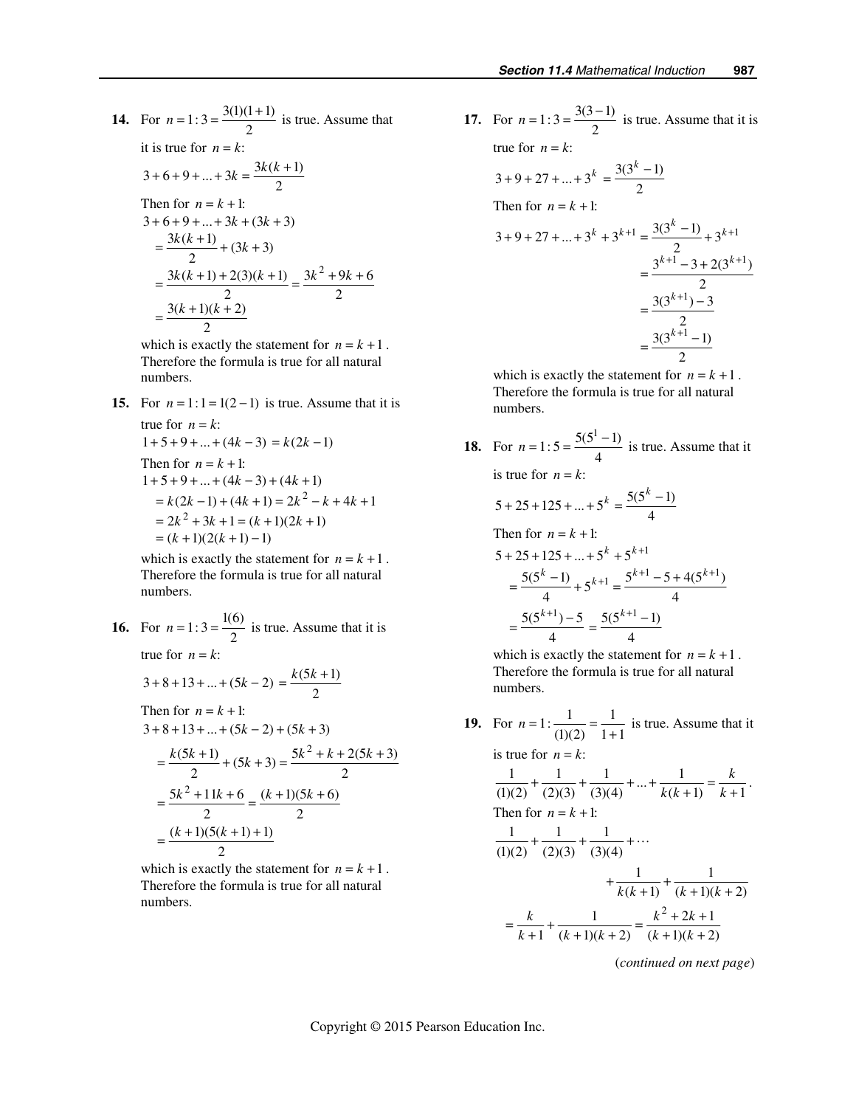14. For 
$$
n = 1: 3 = \frac{3(1)(1+1)}{2}
$$
 is true. Assume that  
\nit is true for  $n = k$ :  
\n $3+6+9+...+3k = \frac{3k(k+1)}{2}$   
\nThen for  $n = k+1$ :  
\n $3+6+9+...+3k+(3k+3)$   
\n $= \frac{3k(k+1)}{2} + (3k+3)$   
\n $= \frac{3k(k+1)+2(3)(k+1)}{2} = \frac{3k^2+9k+6}{2}$   
\n $= \frac{3(k+1)(k+2)}{2}$ 

which is exactly the statement for  $n = k + 1$ . Therefore the formula is true for all natural numbers.

**15.** For  $n = 1:1 = 1(2 - 1)$  is true. Assume that it is true for  $n = k$ :  $1 + 5 + 9 + ... + (4k - 3) = k(2k - 1)$ Then for  $n = k + 1$ :  $= k(2k-1) + (4k+1) = 2k^2 - k + 4k + 1$  $= 2k^2 + 3k + 1 = (k + 1)(2k + 1)$  $1+5+9+...+(4k-3)+(4k+1)$ 

 $=(k+1)(2(k+1) - 1)$ which is exactly the statement for  $n = k + 1$ . Therefore the formula is true for all natural numbers.

**16.** For 
$$
n = 1:3 = \frac{1(6)}{2}
$$
 is true. Assume that it is true for  $n = k$ :  
 $3+8+13+...+(5k-2) = \frac{k(5k+1)}{2}$   
Then for  $n = k + 1$ :

$$
3+8+13+...+(5k-2)+(5k+3)
$$
  
=  $\frac{k(5k+1)}{2} + (5k+3) = \frac{5k^2 + k + 2(5k+3)}{2}$   
=  $\frac{5k^2 + 11k + 6}{2} = \frac{(k+1)(5k+6)}{2}$   
=  $\frac{(k+1)(5(k+1)+1)}{2}$ 

which is exactly the statement for  $n = k + 1$ . Therefore the formula is true for all natural numbers.

**17.** For  $n = 1:3 = \frac{3(3-1)}{2}$  is true. Assume that it is true for  $n = k$ :  $3 + 9 + 27 + ... + 3^k = \frac{3(3^k - 1)}{2}$ Then for  $n = k + 1$ :  $3+9+27+...+3^{k}+3^{k+1} = \frac{3(3^{k}-1)}{2}+3^{k+1}$  $=\frac{3^{k+1}-3+2(3^{k+1})}{2}$ 1 2  $3(3^{k+1})-3$  $+9+27+...+3^{k}+3^{k+1} = \frac{3(3^{k}-1)}{2}+3^{k+1}$ *k* +  $=\frac{3(3^{k+1})-1}{2}$ 

1 2  $3(3^{k+1}-1)$ 2 *k* +  $=\frac{3(3^{k+1}-1)}{2}$ 

which is exactly the statement for  $n = k + 1$ . Therefore the formula is true for all natural numbers.

**18.** For  $n = 1: 5 = \frac{5(5^1 - 1)}{4}$  is true. Assume that it is true for  $n = k$ :  $5+25+125+...+5^k = \frac{5(5^k-1)}{4}$  $+25+125+...+5^k = \frac{5(5^k - 1)}{k}$ Then for  $n = k + 1$ :  $5 + 25 + 125 + ... + 5^{k} + 5^{k+1}$  $=$  $\frac{5(5^k-1)}{4}$  +  $5^{k+1}$  =  $\frac{5^{k+1}-5+4(5^{k+1})}{4}$ 

$$
=\frac{4}{5(5^{k+1})-5}=\frac{5(5^{k+1}-1)}{4}
$$

which is exactly the statement for  $n = k + 1$ . Therefore the formula is true for all natural numbers.

**19.** For  $n = 1$ :  $\frac{1}{(1)(2)} = \frac{1}{1+1}$  is true. Assume that it

is true for  $n = k$ :

$$
\frac{1}{(1)(2)} + \frac{1}{(2)(3)} + \frac{1}{(3)(4)} + \dots + \frac{1}{k(k+1)} = \frac{k}{k+1}.
$$
  
Then for  $n = k+1$ :  

$$
\frac{1}{(1)(2)} + \frac{1}{(2)(3)} + \frac{1}{(3)(4)} + \dots + \frac{1}{k(k+1)} + \frac{1}{(k+1)(k+2)}
$$

$$
= \frac{k}{k+1} + \frac{1}{(k+1)(k+2)} = \frac{k^2 + 2k + 1}{(k+1)(k+2)}
$$

(*continued on next page*)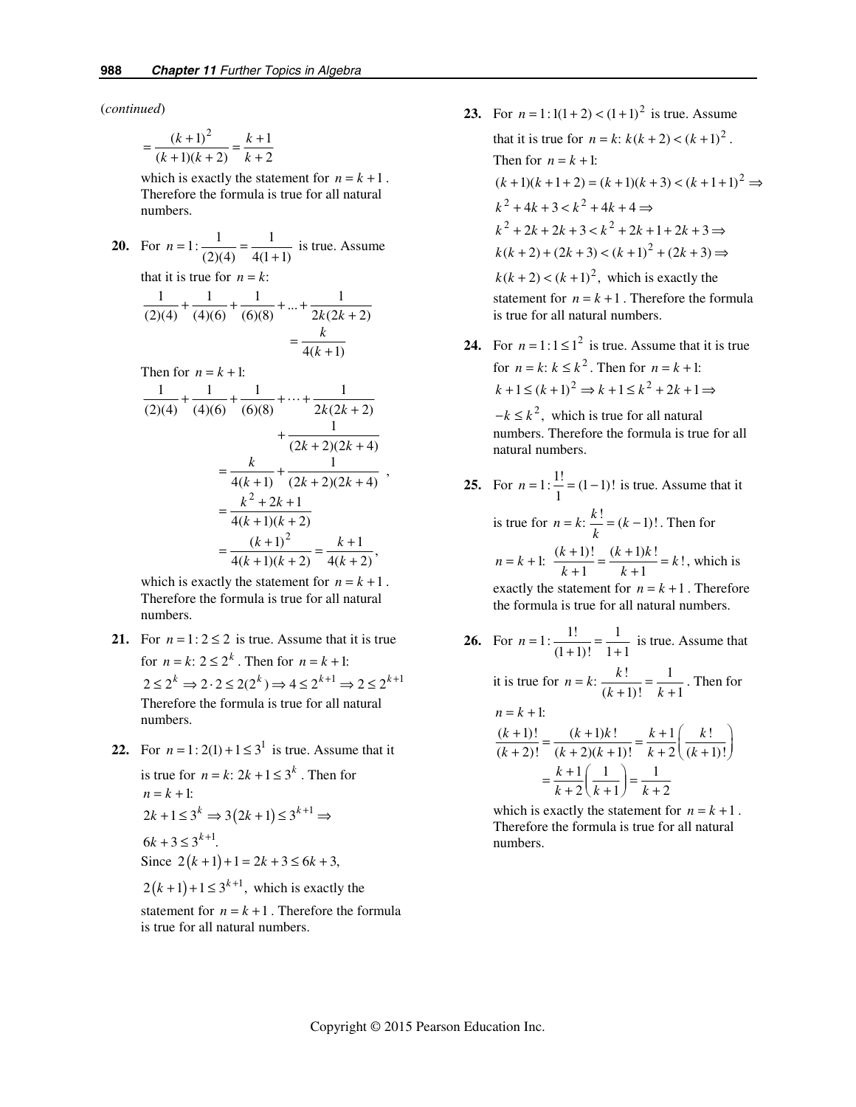(*continued*)

$$
=\frac{(k+1)^2}{(k+1)(k+2)}=\frac{k+1}{k+2}
$$

which is exactly the statement for  $n = k + 1$ . Therefore the formula is true for all natural numbers.

| <b>20.</b> For $n = 1$ : $\frac{1}{(2)(4)} = \frac{1}{4(1+1)}$ is true. Assume        |
|---------------------------------------------------------------------------------------|
| that it is true for $n = k$ :                                                         |
|                                                                                       |
| $\frac{1}{(2)(4)} + \frac{1}{(4)(6)} + \frac{1}{(6)(8)} + \dots + \frac{1}{2k(2k+2)}$ |
| $=\frac{k}{4(k+1)}$                                                                   |
| Then for $n = k + 1$ :                                                                |
| $\frac{1}{(2)(4)} + \frac{1}{(4)(6)} + \frac{1}{(6)(8)} + \dots + \frac{1}{2k(2k+2)}$ |
|                                                                                       |
| $+\frac{1}{(2k+2)(2k+4)}$                                                             |
| $=\frac{k}{4(k+1)}+\frac{1}{(2k+2)(2k+4)},$                                           |
|                                                                                       |
| $k^2 + 2k + 1$                                                                        |
| $\frac{1}{4(k+1)(k+2)}$                                                               |
| $\frac{(k+1)^2}{4(k+1)(k+2)} = \frac{k+1}{4(k+2)},$                                   |
|                                                                                       |

which is exactly the statement for  $n = k + 1$ . Therefore the formula is true for all natural numbers.

- **21.** For  $n = 1: 2 \le 2$  is true. Assume that it is true for  $n = k$ :  $2 \le 2^k$ . Then for  $n = k + 1$ :  $2 \leq 2^k \Rightarrow 2 \cdot 2 \leq 2(2^k) \Rightarrow 4 \leq 2^{k+1} \Rightarrow 2 \leq 2^{k+1}$ Therefore the formula is true for all natural numbers.
- **22.** For  $n = 1:2(1) + 1 \le 3^1$  is true. Assume that it

is true for  $n = k$ :  $2k + 1 \leq 3^k$ . Then for  $n = k + 1$ :  $2k+1 \leq 3^k \Rightarrow 3(2k+1) \leq 3^{k+1} \Rightarrow$  $6k + 3 \leq 3^{k+1}$ . Since  $2(k+1)+1 = 2k+3 \le 6k+3$ ,

 $2(k+1)+1 \leq 3^{k+1}$ , which is exactly the

statement for  $n = k + 1$ . Therefore the formula is true for all natural numbers.

- **23.** For  $n = 1:1(1 + 2) < (1 + 1)^2$  is true. Assume that it is true for  $n = k$ :  $k(k + 2) < (k + 1)^2$ . Then for  $n = k + 1$ :  $(k+1)(k+1+2) = (k+1)(k+3) < (k+1+1)^2 \implies$  $k^{2} + 4k + 3 < k^{2} + 4k + 4 \implies$  $k^2 + 2k + 2k + 3 < k^2 + 2k + 1 + 2k + 3 \Rightarrow$  $k(k+2) + (2k+3) < (k+1)^2 + (2k+3) \Rightarrow$  $k(k+2) < (k+1)^2$ , which is exactly the statement for  $n = k + 1$ . Therefore the formula is true for all natural numbers.
- **24.** For  $n = 1:1 \le 1^2$  is true. Assume that it is true for  $n = k$ ;  $k \leq k^2$ . Then for  $n = k + 1$ :  $k+1 \le (k+1)^2 \Rightarrow k+1 \le k^2+2k+1 \Rightarrow$

 $-k \leq k^2$ , which is true for all natural numbers. Therefore the formula is true for all natural numbers.

- **25.** For  $n = 1: \frac{1!}{1} = (1-1)!$  is true. Assume that it is true for  $n = k$ :  $\frac{k!}{k} = (k-1)!$ . Then for  $n = k + 1$ :  $\frac{(k+1)!}{k+1} = \frac{(k+1)k!}{k+1} = k!$ , which is exactly the statement for  $n = k + 1$ . Therefore the formula is true for all natural numbers.
- **26.** For  $n = 1$ :  $\frac{1!}{(1+1)!} = \frac{1}{1+1}$  is true. Assume that it is true for  $n = k$ :  $\frac{k!}{(k+1)!} = \frac{1}{k+1}$  $\frac{k!}{(k+1)!} = \frac{1}{k+1}$ . Then for  $n = k + 1$ :  $(k+1)!$   $(k+1)k!$   $k+1$   $k!$  $(k+2)!$   $(k+2)(k+1)!$   $k+2(k+1)!$  $1(1)$  1  $2(k+1)$   $k+2$  $(k+1)!$   $(k+1)k!$   $k+1$   $k$  $\frac{k+1!}{k+2!} = \frac{(k+1)k!}{(k+2)(k+1)!} = \frac{k+1}{k+2} \left( \frac{k!}{(k+1)!} \right)$ *k*  $=\frac{k+1}{k+2}\left(\frac{1}{k+1}\right)=\frac{1}{k+1}$

which is exactly the statement for  $n = k + 1$ . Therefore the formula is true for all natural numbers.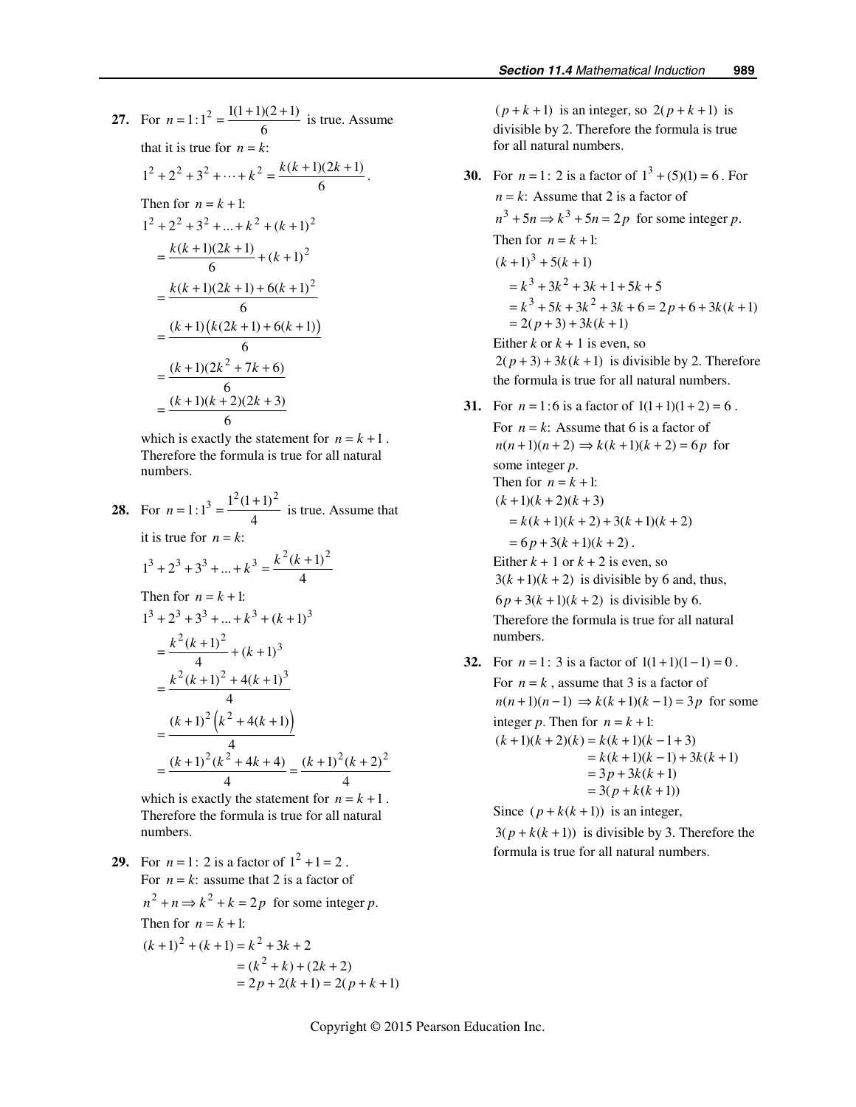**27.** For  $n = 1:1^2 = \frac{1(1+1)(2+1)}{6}$  is true. Assume that it is true for  $n = k$ :  $1^2 + 2^2 + 3^2 + \dots + k^2 = \frac{k(k+1)(2k+1)}{6}$ . Then for  $n = k + 1$ :  $1^2 + 2^2 + 3^2 + \dots + k^2 + (k+1)^2$  $=\frac{k(k+1)(2k+1)}{6}+(k+1)^2$  $(k+1)(2k+1) + 6(k+1)^2$  $=\frac{k(k+1)(2k+1)+6(k+1)}{6}$  $=\frac{(k+1)\big(k(2k+1)+6(k+1)\big)}{6}$  $(k+1)(2k^2 + 7k + 6)$ 6  $(k+1)(k+2)(2k+3)$ 6  $(k+1)(2k^2 + 7k)$  $(k+1)(k+2)(2k)$  $=\frac{(k+1)(2k^2+7k+1)}{6}$  $=\frac{(k+1)(k+2)(2k+1)}{6}$ 

which is exactly the statement for  $n = k + 1$ . Therefore the formula is true for all natural numbers.

28. For 
$$
n = 1:1^3 = \frac{1^2(1+1)^2}{4}
$$
 is true. Assume that  
\nit is true for  $n = k$ :  
\n
$$
1^3 + 2^3 + 3^3 + ... + k^3 = \frac{k^2(k+1)^2}{4}
$$
\nThen for  $n = k + 1$ :  
\n
$$
1^3 + 2^3 + 3^3 + ... + k^3 + (k+1)^3
$$
\n
$$
= \frac{k^2(k+1)^2}{4} + (k+1)^3
$$
\n
$$
= \frac{k^2(k+1)^2 + 4(k+1)^3}{4}
$$
\n
$$
= \frac{(k+1)^2(k^2 + 4(k+1))}{4}
$$
\n
$$
= \frac{(k+1)^2(k^2 + 4k + 4)}{4} = \frac{(k+1)^2(k+2)^2}{4}
$$

which is exactly the statement for  $n = k + 1$ . Therefore the formula is true for all natural numbers.

**29.** For  $n = 1: 2$  is a factor of  $1^2 + 1 = 2$ . For  $n = k$ : assume that 2 is a factor of  $n^2 + n \Rightarrow k^2 + k = 2p$  for some integer *p*. Then for  $n = k + 1$ :  $(k+1)^2 + (k+1) = k^2 + 3k + 2$  $=(k^2+k)+(2k+2)$  $= 2p + 2(k + 1) = 2(p + k + 1)$ 

 $(p+k+1)$  is an integer, so  $2(p+k+1)$  is divisible by 2. Therefore the formula is true for all natural numbers.

- **30.** For  $n = 1: 2$  is a factor of  $1^3 + (5)(1) = 6$ . For  $n = k$ : Assume that 2 is a factor of  $n^3 + 5n \Rightarrow k^3 + 5n = 2p$  for some integer *p*. Then for  $n = k + 1$ :  $(k+1)^3 + 5(k+1)$  $= k^3 + 3k^2 + 3k + 1 + 5k + 5$  $= k^3 + 5k + 3k^2 + 3k + 6 = 2p + 6 + 3k(k+1)$  $= 2(p+3) + 3k(k+1)$ Either  $k$  or  $k + 1$  is even, so  $2(p+3) + 3k(k+1)$  is divisible by 2. Therefore the formula is true for all natural numbers.
- **31.** For  $n = 1:6$  is a factor of  $1(1+1)(1+2) = 6$ . For  $n = k$ : Assume that 6 is a factor of  $n(n+1)(n+2) \Rightarrow k(k+1)(k+2) = 6p$  for some integer *p*. Then for  $n = k + 1$ :  $(k+1)(k+2)(k+3)$  $= k(k+1)(k+2) + 3(k+1)(k+2)$  $= 6p + 3(k + 1)(k + 2)$ . Either  $k + 1$  or  $k + 2$  is even, so  $3(k+1)(k+2)$  is divisible by 6 and, thus,  $6p + 3(k + 1)(k + 2)$  is divisible by 6. Therefore the formula is true for all natural numbers.
- **32.** For  $n = 1$ : 3 is a factor of  $1(1+1)(1-1) = 0$ . For  $n = k$ , assume that 3 is a factor of  $n(n+1)(n-1) \Rightarrow k(k+1)(k-1) = 3p$  for some integer *p*. Then for  $n = k + 1$ :  $(k+1)(k+2)(k) = k(k+1)(k-1+3)$  $= k(k+1)(k-1) + 3k(k+1)$  $= 3p + 3k(k + 1)$  $= 3(p + k(k+1))$

Since  $(p + k(k + 1))$  is an integer,  $3(p + k(k + 1))$  is divisible by 3. Therefore the formula is true for all natural numbers.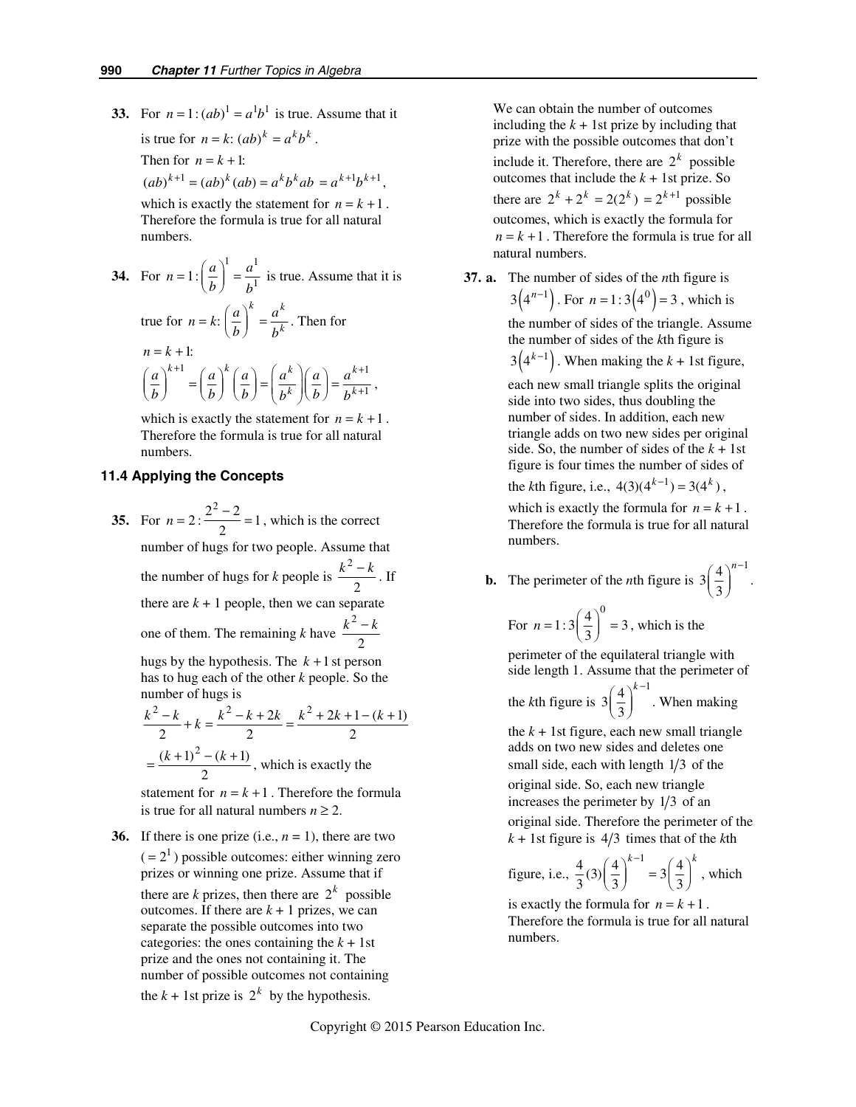**33.** For  $n = 1$ :  $(ab)^1 = a^1b^1$  is true. Assume that it is true for  $n = k$  :  $(ab)^k = a^k b^k$ .

Then for 
$$
n = k + 1
$$
:

 $(ab)^{k+1} = (ab)^{k} (ab) = a^{k} b^{k} ab = a^{k+1} b^{k+1}$ 

which is exactly the statement for  $n = k + 1$ . Therefore the formula is true for all natural numbers.

34. For 
$$
n = 1: \left(\frac{a}{b}\right)^1 = \frac{a^1}{b^1}
$$
 is true. Assume that it is  
true for  $n = k: \left(\frac{a}{b}\right)^k = \frac{a^k}{b^k}$ . Then for  
 $n = k + 1:$   

$$
\left(\frac{a}{b}\right)^{k+1} = \left(\frac{a}{b}\right)^k \left(\frac{a}{b}\right) = \left(\frac{a^k}{b^k}\right) \left(\frac{a}{b}\right) = \frac{a^{k+1}}{b^{k+1}},
$$

which is exactly the statement for  $n = k + 1$ . Therefore the formula is true for all natural numbers.

#### *11.4 Applying the Concepts*

**35.** For  $n = 2: \frac{2^2 - 2}{2} = 1$ , which is the correct number of hugs for two people. Assume that the number of hugs for *k* people is 2  $\frac{k^2-k}{2}$ . If there are  $k + 1$  people, then we can separate one of them. The remaining *k* have 2 2  $k^2 - k$ 

hugs by the hypothesis. The  $k+1$  st person has to hug each of the other *k* people. So the number of hugs is

$$
\frac{k^2 - k}{2} + k = \frac{k^2 - k + 2k}{2} = \frac{k^2 + 2k + 1 - (k+1)}{2}
$$

$$
= \frac{(k+1)^2 - (k+1)}{2}
$$
, which is exactly the

statement for  $n = k + 1$ . Therefore the formula is true for all natural numbers  $n \geq 2$ .

**36.** If there is one prize (i.e.,  $n = 1$ ), there are two  $( = 2<sup>1</sup>)$  possible outcomes: either winning zero prizes or winning one prize. Assume that if

there are *k* prizes, then there are  $2^k$  possible outcomes. If there are  $k + 1$  prizes, we can separate the possible outcomes into two categories: the ones containing the  $k + 1$ st prize and the ones not containing it. The number of possible outcomes not containing

the  $k + 1$ st prize is  $2^k$  by the hypothesis.

We can obtain the number of outcomes including the  $k + 1$ st prize by including that prize with the possible outcomes that don't include it. Therefore, there are  $2^k$  possible outcomes that include the  $k + 1$ st prize. So there are  $2^{k} + 2^{k} = 2(2^{k}) = 2^{k+1}$  possible outcomes, which is exactly the formula for  $n = k + 1$ . Therefore the formula is true for all natural numbers.

 **37. a.** The number of sides of the *n*th figure is  $3(4^{n-1})$ . For  $n = 1:3(4^0) = 3$ , which is

the number of sides of the triangle. Assume the number of sides of the *k*th figure is

 $3(4^{k-1})$ . When making the  $k + 1$ st figure,

each new small triangle splits the original side into two sides, thus doubling the number of sides. In addition, each new triangle adds on two new sides per original side. So, the number of sides of the  $k + 1$ st figure is four times the number of sides of

the *k*th figure, i.e.,  $4(3)(4^{k-1}) = 3(4^k)$ ,

which is exactly the formula for  $n = k + 1$ . Therefore the formula is true for all natural numbers.

**b.** The perimeter of the *n*th figure is  $3\left(\frac{4}{3}\right)^{n-1}$ .

For 
$$
n = 1:3\left(\frac{4}{3}\right)^0 = 3
$$
, which is the

perimeter of the equilateral triangle with side length 1. Assume that the perimeter of

the *k*th figure is  $3\left(\frac{4}{3}\right)^{k-1}$ . When making

the  $k + 1$ st figure, each new small triangle adds on two new sides and deletes one small side, each with length  $1/3$  of the original side. So, each new triangle increases the perimeter by  $1/3$  of an original side. Therefore the perimeter of the  $k + 1$ st figure is  $4/3$  times that of the *k*th

figure, i.e., 
$$
\frac{4}{3}(3)\left(\frac{4}{3}\right)^{k-1} = 3\left(\frac{4}{3}\right)^k
$$
, which

is exactly the formula for  $n = k + 1$ . Therefore the formula is true for all natural numbers.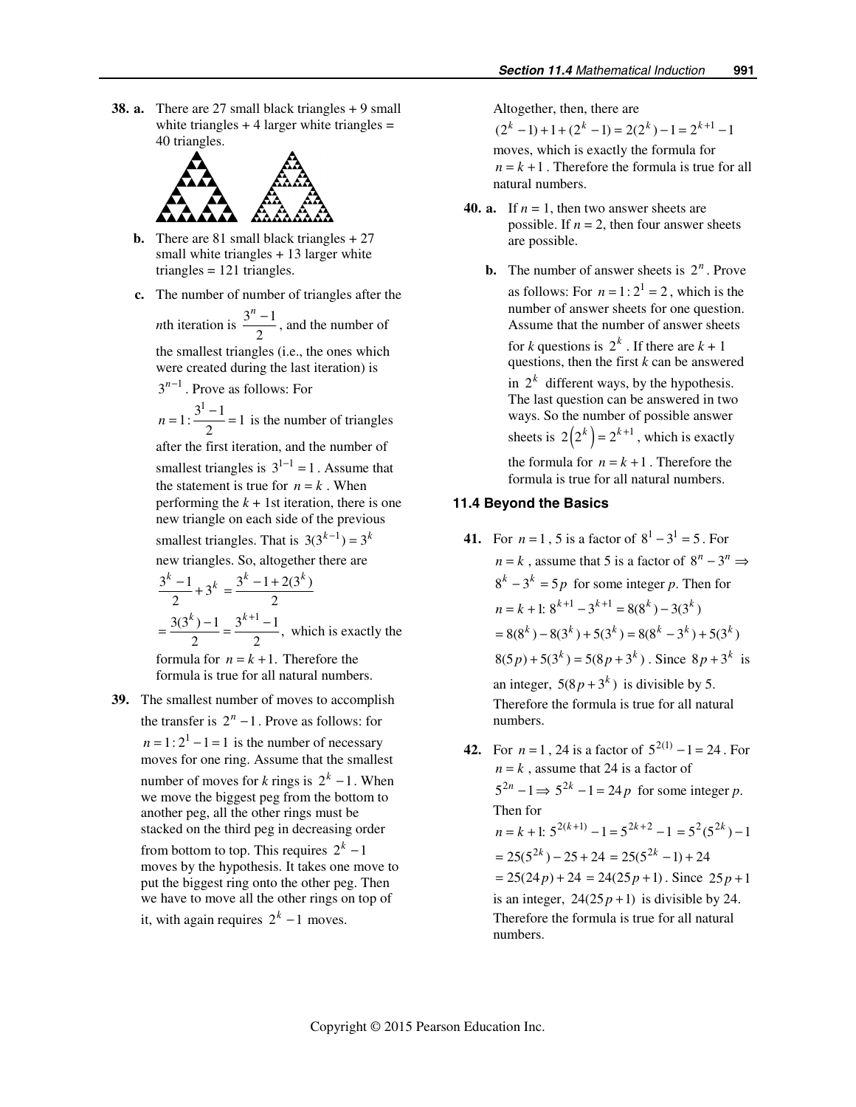**38. a.** There are 27 small black triangles + 9 small white triangles  $+4$  larger white triangles  $=$ 40 triangles.



- **b.** There are 81 small black triangles + 27 small white triangles + 13 larger white triangles  $= 121$  triangles.
- **c.** The number of number of triangles after the

*n*th iteration is  $\frac{3^n - 1}{2}$ , and the number of

the smallest triangles (i.e., the ones which were created during the last iteration) is  $3^{n-1}$  Prove as follows: For

$$
n = 1: \frac{3^1 - 1}{2} = 1
$$
 is the number of triangles

after the first iteration, and the number of smallest triangles is  $3^{1-1} = 1$ . Assume that the statement is true for  $n = k$ . When performing the  $k + 1$ st iteration, there is one new triangle on each side of the previous smallest triangles. That is  $3(3^{k-1}) = 3^k$ new triangles. So, altogether there are

$$
\frac{3^{k}-1}{2} + 3^{k} = \frac{3^{k}-1+2(3^{k})}{2}
$$

$$
= \frac{3(3^{k})-1}{2} = \frac{3^{k+1}-1}{2}
$$
, which is exactly the

formula for  $n = k + 1$ . Therefore the formula is true for all natural numbers.

 **39.** The smallest number of moves to accomplish the transfer is  $2^n - 1$ . Prove as follows: for  $n = 1: 2<sup>1</sup> - 1 = 1$  is the number of necessary moves for one ring. Assume that the smallest number of moves for *k* rings is  $2^k - 1$ . When we move the biggest peg from the bottom to another peg, all the other rings must be stacked on the third peg in decreasing order

from bottom to top. This requires  $2<sup>k</sup> - 1$ moves by the hypothesis. It takes one move to put the biggest ring onto the other peg. Then we have to move all the other rings on top of

it, with again requires 
$$
2^k - 1
$$
 moves.

Altogether, then, there are

 $(2<sup>k</sup> - 1) + 1 + (2<sup>k</sup> - 1) = 2(2<sup>k</sup>) - 1 = 2<sup>k+1</sup> - 1$ moves, which is exactly the formula for  $n = k + 1$ . Therefore the formula is true for all natural numbers.

- **40. a.** If  $n = 1$ , then two answer sheets are possible. If  $n = 2$ , then four answer sheets are possible.
	- **b.** The number of answer sheets is  $2^n$ . Prove as follows: For  $n = 1:2^1 = 2$ , which is the number of answer sheets for one question. Assume that the number of answer sheets for *k* questions is  $2^k$ . If there are  $k + 1$ questions, then the first *k* can be answered

in  $2^k$  different ways, by the hypothesis. The last question can be answered in two ways. So the number of possible answer sheets is  $2( 2<sup>k</sup> ) = 2<sup>k+1</sup>$ , which is exactly the formula for  $n = k + 1$ . Therefore the formula is true for all natural numbers.

## *11.4 Beyond the Basics*

- **41.** For  $n = 1$ , 5 is a factor of  $8^1 3^1 = 5$ . For  $n = k$ , assume that 5 is a factor of  $8^n - 3^n \Rightarrow$  $8<sup>k</sup> - 3<sup>k</sup> = 5p$  for some integer *p*. Then for  $n = k + 1$ :  $8^{k+1} - 3^{k+1} = 8(8^k) - 3(3^k)$  $=8(8^{k}) - 8(3^{k}) + 5(3^{k}) = 8(8^{k} - 3^{k}) + 5(3^{k})$  $8(5 p) + 5(3<sup>k</sup>) = 5(8p + 3<sup>k</sup>)$ . Since  $8p + 3<sup>k</sup>$  is an integer,  $5(8p + 3^k)$  is divisible by 5. Therefore the formula is true for all natural numbers.
- **42.** For  $n = 1$ , 24 is a factor of  $5^{2(1)} 1 = 24$ . For  $n = k$ , assume that 24 is a factor of  $5^{2n} - 1 \Rightarrow 5^{2k} - 1 = 24p$  for some integer *p*. Then for  $n = k + 1$ :  $5^{2(k+1)} - 1 = 5^{2k+2} - 1 = 5^2 (5^{2k}) - 1$  $= 25(5^{2k}) - 25 + 24 = 25(5^{2k} - 1) + 24$  $= 25(24p) + 24 = 24(25p + 1)$ . Since  $25p + 1$ is an integer,  $24(25p + 1)$  is divisible by 24. Therefore the formula is true for all natural numbers.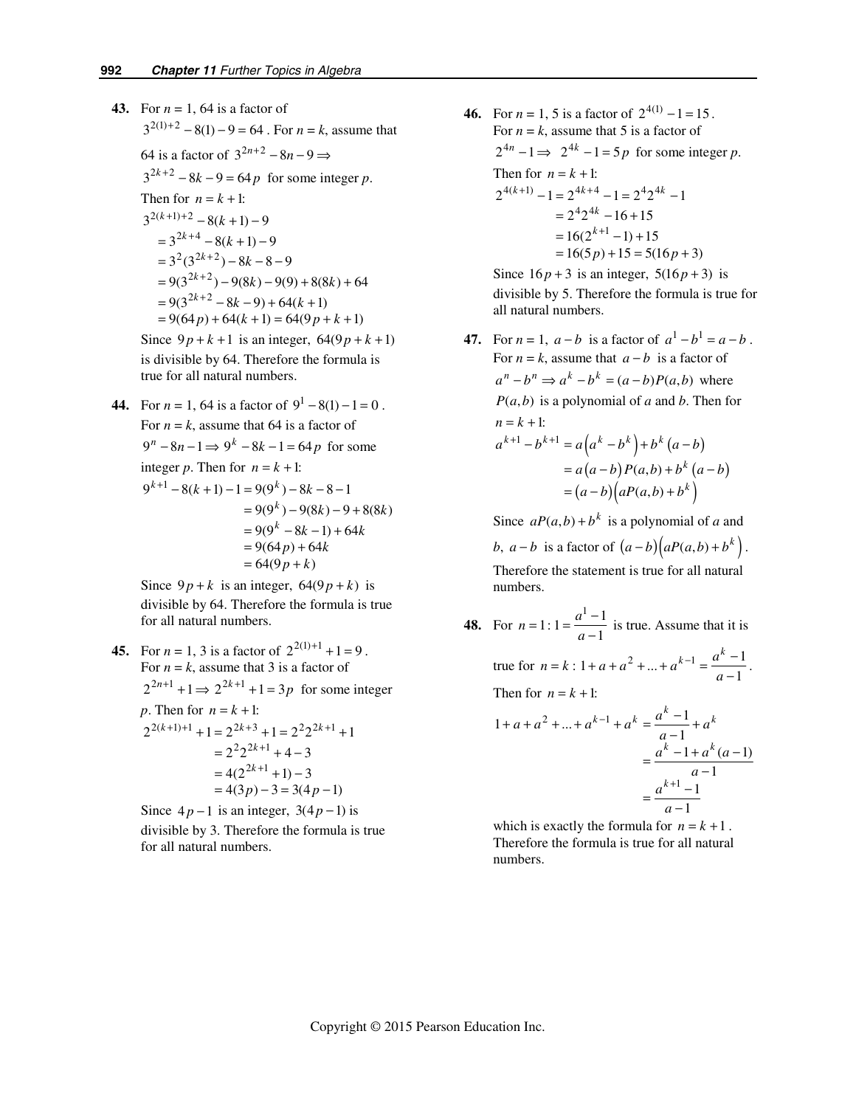**43.** For  $n = 1$ , 64 is a factor of  $3^{2(1)+2} - 8(1) - 9 = 64$ . For  $n = k$ , assume that 64 is a factor of  $3^{2n+2} - 8n - 9 \implies$  $3^{2k+2} - 8k - 9 = 64p$  for some integer *p*. Then for  $n = k + 1$ :  $3^{2(k+1)+2} - 8(k+1) - 9$  $= 3^{2k+4} - 8(k+1) - 9$  $= 3^{2} (3^{2k+2}) - 8k - 8 - 9$  $= 9(3^{2k+2}) - 9(8k) - 9(9) + 8(8k) + 64$  $= 9(3^{2k+2} - 8k - 9) + 64(k+1)$  $= 9(64p) + 64(k + 1) = 64(9p + k + 1)$ Since  $9p + k + 1$  is an integer,  $64(9p + k + 1)$ 

is divisible by 64. Therefore the formula is true for all natural numbers.

**44.** For  $n = 1$ , 64 is a factor of  $9^1 - 8(1) - 1 = 0$ . For  $n = k$ , assume that 64 is a factor of  $9^n - 8n - 1 \Rightarrow 9^k - 8k - 1 = 64p$  for some integer *p*. Then for  $n = k + 1$ :  $9^{k+1} - 8(k+1) - 1 = 9(9^k) - 8k - 8 - 1$  $= 9(9<sup>k</sup>) - 9(8k) - 9 + 8(8k)$  $= 9(9^k - 8k - 1) + 64k$  $= 9(64p) + 64k$  $= 64(9p + k)$ 

> Since  $9p + k$  is an integer,  $64(9p + k)$  is divisible by 64. Therefore the formula is true for all natural numbers.

**45.** For  $n = 1$ , 3 is a factor of  $2^{2(1)+1} + 1 = 9$ . For  $n = k$ , assume that 3 is a factor of  $2^{2n+1} + 1 \Rightarrow 2^{2k+1} + 1 = 3p$  for some integer *p*. Then for  $n = k + 1$ :  $2^{2(k+1)+1} + 1 = 2^{2k+3} + 1 = 2^2 2^{2k+1} + 1$  $= 2^{2}2^{2k+1} + 4 - 3$  $= 4(2^{2k+1} + 1) - 3$  $= 4(3p) - 3 = 3(4p - 1)$ 

Since  $4p - 1$  is an integer,  $3(4p - 1)$  is divisible by 3. Therefore the formula is true for all natural numbers.

**46.** For  $n = 1$ , 5 is a factor of  $2^{4(1)} - 1 = 15$ . For  $n = k$ , assume that 5 is a factor of  $2^{4n} - 1 \Rightarrow 2^{4k} - 1 = 5p$  for some integer *p*. Then for  $n = k + 1$ :  $2^{4(k+1)} - 1 = 2^{4k+4} - 1 = 2^4 2^{4k} - 1$  $= 2^4 2^{4k} - 16 + 15$  $= 16(2^{k+1} - 1) + 15$  $= 16(5p) + 15 = 5(16p + 3)$ 

> Since  $16p + 3$  is an integer,  $5(16p + 3)$  is divisible by 5. Therefore the formula is true for all natural numbers.

**47.** For  $n = 1$ ,  $a - b$  is a factor of  $a^1 - b^1 = a - b$ . For  $n = k$ , assume that  $a - b$  is a factor of  $a^n - b^n \Rightarrow a^k - b^k = (a - b)P(a, b)$  where  $P(a,b)$  is a polynomial of *a* and *b*. Then for  $n = k + 1$ :  $a^{k+1} - b^{k+1} = a(a^k - b^k) + b^k (a - b)$  $= a(a-b)P(a,b) + b^{k}(a-b)$  $=(a-b)(aP(a,b)+b^k)$ 

> Since  $aP(a, b) + b^k$  is a polynomial of *a* and *b*,  $a - b$  is a factor of  $(a - b)(aP(a,b) + b^k)$ .

Therefore the statement is true for all natural numbers.

**48.** For  $n = 1: 1 = \frac{a^1 - 1}{a - 1}$ *a*  $=\frac{a^1-1}{a-1}$  is true. Assume that it is true for  $n = k : 1 + a + a^2 + ... + a^{k-1} = \frac{a^k - 1}{1 + a + a}$ 1 *k a*  $=\frac{a^k-1}{a-1}$ . Then for  $n = k + 1$ :

 $1 + a + a<sup>2</sup> + ... + a<sup>k-1</sup> + a<sup>k</sup> = \frac{a<sup>k</sup> - 1}{a - 1}$ 1  $1 + a^{k} (a-1)$ 1 1 1  $a + a^2 + ... + a^{k-1} + a^k = \frac{a^k - 1}{a - 1} + a^k$ *k k k*  $a^{k} - 1 + a^{k}$  (*a a a a*  $+a+a^2+...+a^{k-1}+a^k=\frac{a^k-1}{a-1}+$  $=\frac{a^{k}-1+a^{k}(a-1)}{a-1}$  $=\frac{a^{k+1}-a}{a-1}$ 

which is exactly the formula for  $n = k + 1$ . Therefore the formula is true for all natural numbers.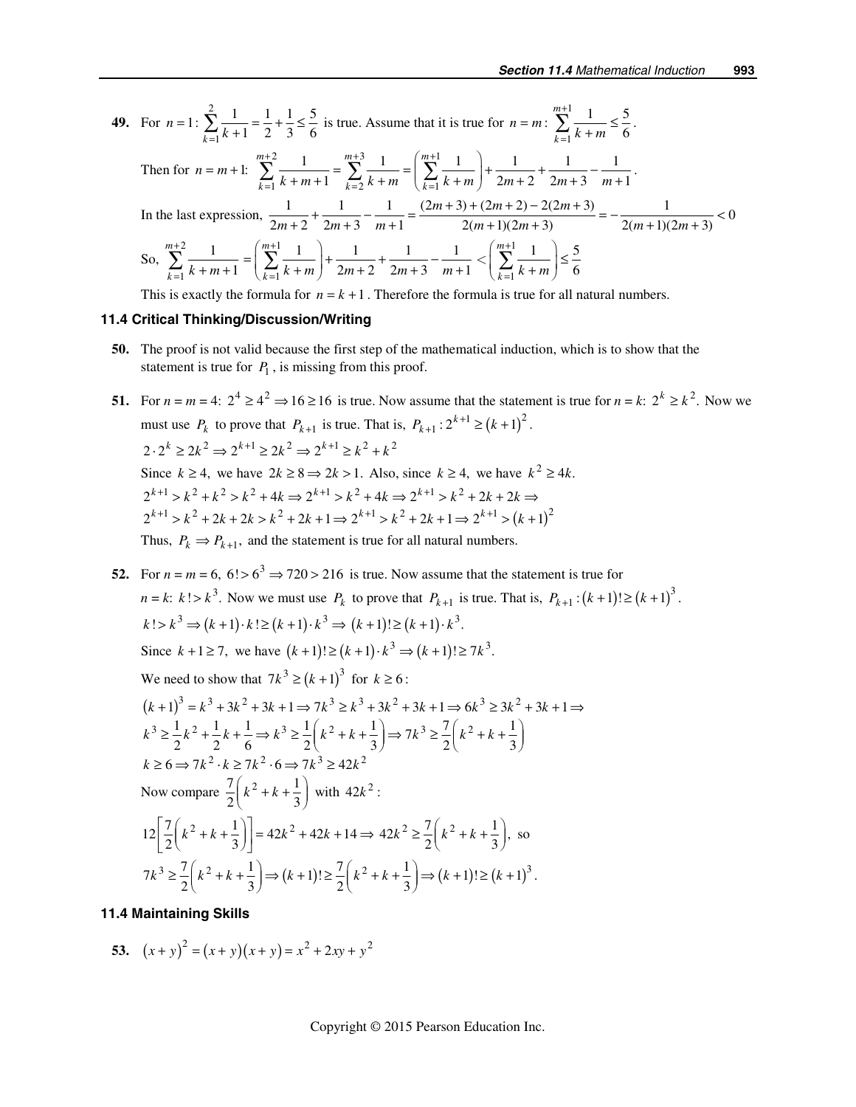49. For 
$$
n = 1
$$
: 
$$
\sum_{k=1}^{2} \frac{1}{k+1} = \frac{1}{2} + \frac{1}{3} \le \frac{5}{6}
$$
 is true. Assume that it is true for  $n = m$ : 
$$
\sum_{k=1}^{m+1} \frac{1}{k+m} \le \frac{5}{6}
$$
.  
Then for  $n = m+1$ : 
$$
\sum_{k=1}^{m+2} \frac{1}{k+m+1} = \sum_{k=2}^{m+3} \frac{1}{k+m} = \left(\sum_{k=1}^{m+1} \frac{1}{k+m}\right) + \frac{1}{2m+2} + \frac{1}{2m+3} - \frac{1}{m+1}
$$
.  
In the last expression, 
$$
\frac{1}{2m+2} + \frac{1}{2m+3} - \frac{1}{m+1} = \frac{(2m+3) + (2m+2) - 2(2m+3)}{2(m+1)(2m+3)} = -\frac{1}{2(m+1)(2m+3)} < 0
$$
  
So, 
$$
\sum_{k=1}^{m+2} \frac{1}{k+m+1} = \left(\sum_{k=1}^{m+1} \frac{1}{k+m}\right) + \frac{1}{2m+2} + \frac{1}{2m+3} - \frac{1}{m+1} < \left(\sum_{k=1}^{m+1} \frac{1}{k+m}\right) \le \frac{5}{6}
$$
This is exactly the formula for  $n = k+1$ . Therefore the formula is true for all natural numbers.

# *11.4 Critical Thinking/Discussion/Writing*

- **50.** The proof is not valid because the first step of the mathematical induction, which is to show that the statement is true for  $P_1$ , is missing from this proof.
- **51.** For *n* = *m* = 4:  $2^4 \ge 4^2$  ⇒ 16 ≥ 16 is true. Now assume that the statement is true for *n* = *k*:  $2^k \ge k^2$ . Now we must use  $P_k$  to prove that  $P_{k+1}$  is true. That is,  $P_{k+1}$ :  $2^{k+1} \ge (k+1)^2$ .  $2 \cdot 2^k \geq 2k^2 \Rightarrow 2^{k+1} \geq 2k^2 \Rightarrow 2^{k+1} \geq k^2 + k^2$ Since  $k \ge 4$ , we have  $2k \ge 8 \Rightarrow 2k > 1$ . Also, since  $k \ge 4$ , we have  $k^2 \ge 4k$ .  $2^{k+1} > k^2 + 2k + 2k > k^2 + 2k + 1 \Rightarrow 2^{k+1} > k^2 + 2k + 1 \Rightarrow 2^{k+1} > (k+1)^2$  $2^{k+1} > k^2 + k^2 > k^2 + 4k \Rightarrow 2^{k+1} > k^2 + 4k \Rightarrow 2^{k+1} > k^2 + 2k + 2k \Rightarrow$ Thus,  $P_k \Rightarrow P_{k+1}$ , and the statement is true for all natural numbers.
- **52.** For  $n = m = 6$ ,  $6! > 6^3 \Rightarrow 720 > 216$  is true. Now assume that the statement is true for  $n = k$ :  $k! > k^3$ . Now we must use  $P_k$  to prove that  $P_{k+1}$  is true. That is,  $P_{k+1}$ :  $(k+1)! \ge (k+1)^3$ .  $k! > k^3 \Rightarrow (k+1) \cdot k! \ge (k+1) \cdot k^3 \Rightarrow (k+1)! \ge (k+1) \cdot k^3$ . Since  $k + 1 \ge 7$ , we have  $(k + 1)! \ge (k + 1) \cdot k^3$  ⇒  $(k + 1)! \ge 7k^3$ . We need to show that  $7L^3 \times (1 + 1)^3$  for  $k \ge 6$

We need to show that 
$$
\sqrt[k]{k^2} \ge (k+1)
$$
 for  $k \ge 6$ :

$$
(k+1)^3 = k^3 + 3k^2 + 3k + 1 \Rightarrow 7k^3 \ge k^3 + 3k^2 + 3k + 1 \Rightarrow 6k^3 \ge 3k^2 + 3k + 1 \Rightarrow
$$
  
\n
$$
k^3 \ge \frac{1}{2}k^2 + \frac{1}{2}k + \frac{1}{6} \Rightarrow k^3 \ge \frac{1}{2}\left(k^2 + k + \frac{1}{3}\right) \Rightarrow 7k^3 \ge \frac{7}{2}\left(k^2 + k + \frac{1}{3}\right)
$$
  
\n
$$
k \ge 6 \Rightarrow 7k^2 \cdot k \ge 7k^2 \cdot 6 \Rightarrow 7k^3 \ge 42k^2
$$
  
\nNow compare  $\frac{7}{2}\left(k^2 + k + \frac{1}{3}\right)$  with  $42k^2$ :  
\n
$$
12\left[\frac{7}{2}\left(k^2 + k + \frac{1}{3}\right)\right] = 42k^2 + 42k + 14 \Rightarrow 42k^2 \ge \frac{7}{2}\left(k^2 + k + \frac{1}{3}\right),
$$
 so  
\n
$$
7k^3 \ge \frac{7}{2}\left(k^2 + k + \frac{1}{3}\right) \Rightarrow (k+1)! \ge \frac{7}{2}\left(k^2 + k + \frac{1}{3}\right) \Rightarrow (k+1)! \ge (k+1)^3.
$$

#### *11.4 Maintaining Skills*

53. 
$$
(x+y)^2 = (x+y)(x+y) = x^2 + 2xy + y^2
$$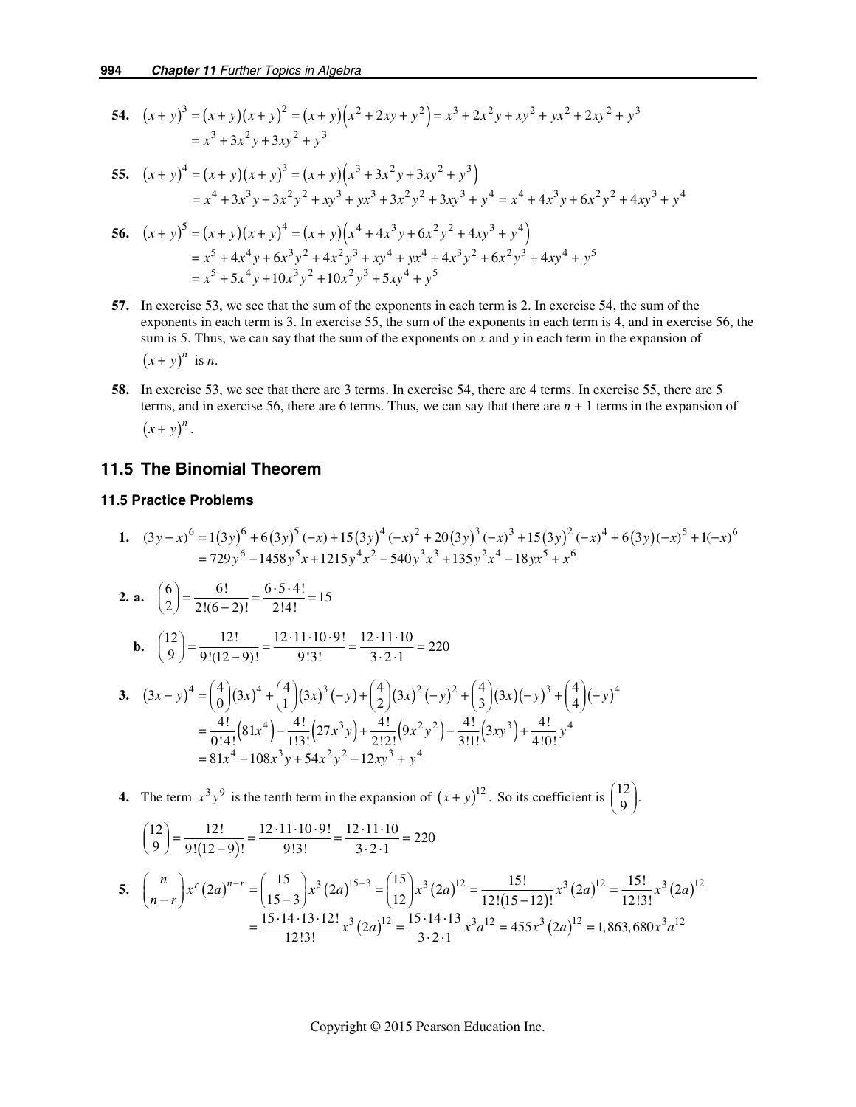54. 
$$
(x+y)^3 = (x+y)(x+y)^2 = (x+y)(x^2+2xy+y^2) = x^3 + 2x^2y + xy^2 + yx^2 + 2xy^2 + y^3
$$
  
=  $x^3 + 3x^2y + 3xy^2 + y^3$ 

55. 
$$
(x+y)^4 = (x+y)(x+y)^3 = (x+y)(x^3+3x^2y+3xy^2+y^3)
$$
  
=  $x^4 + 3x^3y + 3x^2y^2 + xy^3 + yx^3 + 3x^2y^2 + 3xy^3 + y^4 = x^4 + 4x^3y + 6x^2y^2 + 4xy^3 + y^4$ 

56. 
$$
(x + y)^5 = (x + y)(x + y)^4 = (x + y)(x^4 + 4x^3y + 6x^2y^2 + 4xy^3 + y^4)
$$
  
=  $x^5 + 4x^4y + 6x^3y^2 + 4x^2y^3 + xy^4 + yx^4 + 4x^3y^2 + 6x^2y^3 + 4xy^4 + y^5$   
=  $x^5 + 5x^4y + 10x^3y^2 + 10x^2y^3 + 5xy^4 + y^5$ 

- **57.** In exercise 53, we see that the sum of the exponents in each term is 2. In exercise 54, the sum of the exponents in each term is 3. In exercise 55, the sum of the exponents in each term is 4, and in exercise 56, the sum is 5. Thus, we can say that the sum of the exponents on *x* and *y* in each term in the expansion of  $(x + y)^n$  is *n*.
- **58.** In exercise 53, we see that there are 3 terms. In exercise 54, there are 4 terms. In exercise 55, there are 5 terms, and in exercise 56, there are 6 terms. Thus, we can say that there are *n* + 1 terms in the expansion of  $(x + y)^n$ .

## *11.5 The Binomial Theorem*

# *11.5 Practice Problems*

1. 
$$
(3y-x)^6 = 1(3y)^6 + 6(3y)^5(-x) + 15(3y)^4(-x)^2 + 20(3y)^3(-x)^3 + 15(3y)^2(-x)^4 + 6(3y)(-x)^5 + 1(-x)^6
$$
  
\n
$$
= 729y^6 - 1458y^5x + 1215y^4x^2 - 540y^3x^3 + 135y^2x^4 - 18yx^5 + x^6
$$
\n2. a.  $\binom{6}{2} = \frac{6!}{2!(6-2)!} = \frac{6 \cdot 5 \cdot 4!}{2!4!} = 15$   
\nb.  $\binom{12}{9} = \frac{12!}{9!(12-9)!} = \frac{12 \cdot 11 \cdot 10 \cdot 9!}{9!3!} = \frac{12 \cdot 11 \cdot 10}{3 \cdot 2 \cdot 1} = 220$ 

3. 
$$
(3x - y)^4 = {4 \choose 0} (3x)^4 + {4 \choose 1} (3x)^3 (-y) + {4 \choose 2} (3x)^2 (-y)^2 + {4 \choose 3} (3x) (-y)^3 + {4 \choose 4} (-y)^4
$$
  
\n
$$
= \frac{4!}{0!4!} (81x^4) - \frac{4!}{1!3!} (27x^3y) + \frac{4!}{2!2!} (9x^2y^2) - \frac{4!}{3!1!} (3xy^3) + \frac{4!}{4!0!} y^4
$$
  
\n= 81x^4 - 108x^3y + 54x^2y^2 - 12xy^3 + y^4

**4.** The term  $x^3 y^9$  is the tenth term in the expansion of  $(x + y)^{12}$ . So its coefficient is  $\begin{pmatrix} 12 \\ 9 \end{pmatrix}$ .

$$
\binom{12}{9} = \frac{12!}{9!(12-9)!} = \frac{12 \cdot 11 \cdot 10 \cdot 9!}{9!3!} = \frac{12 \cdot 11 \cdot 10}{3 \cdot 2 \cdot 1} = 220
$$
  
5. 
$$
\binom{n}{n-r} x^r (2a)^{n-r} = \binom{15}{15-3} x^3 (2a)^{15-3} = \binom{15}{12} x^3 (2a)^{12} = \frac{15!}{12!(15-12)!} x^3 (2a)^{12} = \frac{15!}{12!3!} x^3 (2a)^{12}
$$

$$
= \frac{15 \cdot 14 \cdot 13 \cdot 12!}{12!3!} x^3 (2a)^{12} = \frac{15 \cdot 14 \cdot 13}{3 \cdot 2 \cdot 1} x^3 a^{12} = 455x^3 (2a)^{12} = 1,863,680x^3 a^{12}
$$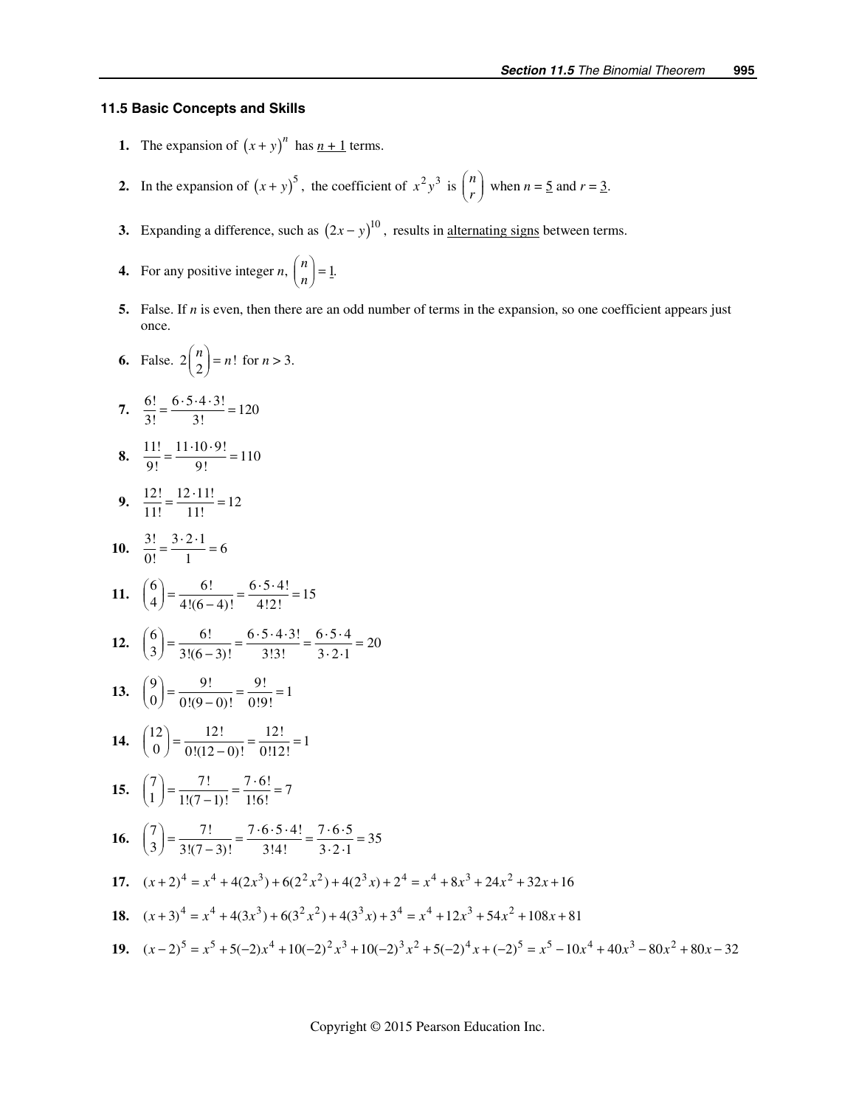### *11.5 Basic Concepts and Skills*

- **1.** The expansion of  $(x + y)^n$  has  $n + 1$  terms.
- **2.** In the expansion of  $(x + y)^5$ , the coefficient of  $x^2y^3$  is  $\binom{n}{r}$  when  $n = 5$  and  $r = 3$ .
	- **3.** Expanding a difference, such as  $(2x y)^{10}$ , results in <u>alternating signs</u> between terms.
- **4.** For any positive integer *n*,  $\binom{n}{n} = 1$ .
	- **5.** False. If *n* is even, then there are an odd number of terms in the expansion, so one coefficient appears just once.
- **6.** False.  $2{n \choose 2} = n!$  for  $n > 3$ .

7. 
$$
\frac{6!}{3!} = \frac{6 \cdot 5 \cdot 4 \cdot 3!}{3!} = 120
$$

- **8.**  $\frac{11!}{9!} = \frac{11 \cdot 10 \cdot 9!}{9!} = 110$
- **9.**  $\frac{12!}{11!} = \frac{12 \cdot 11!}{11!} = 12$
- **10.**  $\frac{3!}{0!} = \frac{3 \cdot 2 \cdot 1}{1} = 6$

11. 
$$
\binom{6}{4} = \frac{6!}{4!(6-4)!} = \frac{6 \cdot 5 \cdot 4!}{4!2!} = 15
$$

12. 
$$
\binom{6}{3} = \frac{6!}{3!(6-3)!} = \frac{6 \cdot 5 \cdot 4 \cdot 3!}{3!3!} = \frac{6 \cdot 5 \cdot 4}{3 \cdot 2 \cdot 1} = 20
$$

13. 
$$
\binom{9}{0} = \frac{9!}{0!(9-0)!} = \frac{9!}{0!9!} = 1
$$

**14.** 
$$
\binom{12}{0} = \frac{12!}{0!(12-0)!} = \frac{12!}{0!12!} = 1
$$

**15.** 
$$
\binom{7}{1} = \frac{7!}{1!(7-1)!} = \frac{7 \cdot 6!}{1!6!} = 7
$$

**16.** 
$$
\binom{7}{3} = \frac{7!}{3!(7-3)!} = \frac{7 \cdot 6 \cdot 5 \cdot 4!}{3!4!} = \frac{7 \cdot 6 \cdot 5}{3 \cdot 2 \cdot 1} = 35
$$

**17.**  $(x+2)^4 = x^4 + 4(2x^3) + 6(2^2x^2) + 4(2^3x) + 2^4 = x^4 + 8x^3 + 24x^2 + 32x + 16$ 

18. 
$$
(x+3)^4 = x^4 + 4(3x^3) + 6(3^2x^2) + 4(3^3x) + 3^4 = x^4 + 12x^3 + 54x^2 + 108x + 81
$$

19. 
$$
(x-2)^5 = x^5 + 5(-2)x^4 + 10(-2)^2x^3 + 10(-2)^3x^2 + 5(-2)^4x + (-2)^5 = x^5 - 10x^4 + 40x^3 - 80x^2 + 80x - 32
$$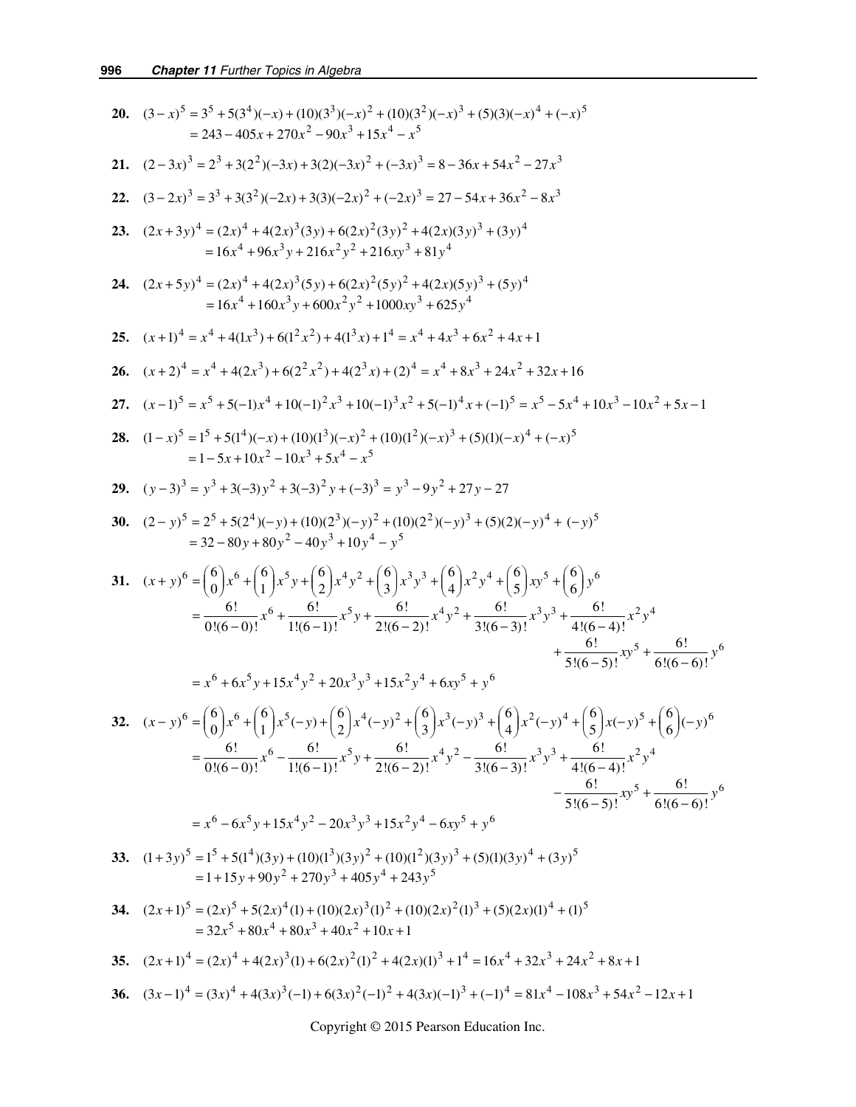20. 
$$
(3-x)^5 = 3^5 + 5(3^4)(-x) + (10)(3^3)(-x)^2 + (10)(3^2)(-x)^3 + (5)(3)(-x)^4 + (-x)^5
$$
  
\n= 243-405x + 270x<sup>2</sup> - 90x<sup>3</sup> + 15x<sup>4</sup> - x<sup>5</sup>  
\n21.  $(2-3x)^3 = 2^3 + 3(2^2)(-3x) + 3(2)(-3x)^2 + (-2x)^3 = 8 - 36x + 54x^2 - 27x^3$   
\n22.  $(3-2x)^3 = 3^3 + 3(3^2)(-2x) + 3(3)(-2x)^2 + (-2x)^3 = 27 - 54x + 36x^2 - 8x^5$   
\n23.  $(2x+3y)^4 = (2x)^4 + 4(2x)^3(3y) + 6(2x)^2(3y)^2 + 4(2x)(3y)^3 + (3y)^4$   
\n= 16x<sup>4</sup> + 96x<sup>3</sup>y + 216x<sup>2</sup>y<sup>2</sup> + 216xy<sup>3</sup> + 81y<sup>4</sup>  
\n24.  $(2x+5y)^4 = (2x)^4 + 4(2x)^3(5y) + 6(2x)^2(5y)^2 + 4(2x)(5y)^3 + (5y)^4$   
\n25.  $(x+1)^4 = x^4 + 4(2x)^3 + 6(2^2x^2) + 4(2^3x) + t^4 = x^4 + 4x^3 + 6x^2 + 4x + 1$   
\n26.  $(x+2)^4 = x^4 + 4(2x^3) + 6(2^2x^2) + 4(2^3x) + t^4 = x^4 + 4x^3 + 6x^2 + 4x + 1$   
\n26.  $(x+2)^4 = x^4 + 4(2x^3) + 6(2^2x^2) + 4(2^3x) + t^4 = x^4 + 4x^3 + 24x^2 + 32x + 16$   
\n27.  $(x-1)^5 = x^5 + 5(1-x^4 + 10)(-1)^2x^3 + 10(-1)^3x^2$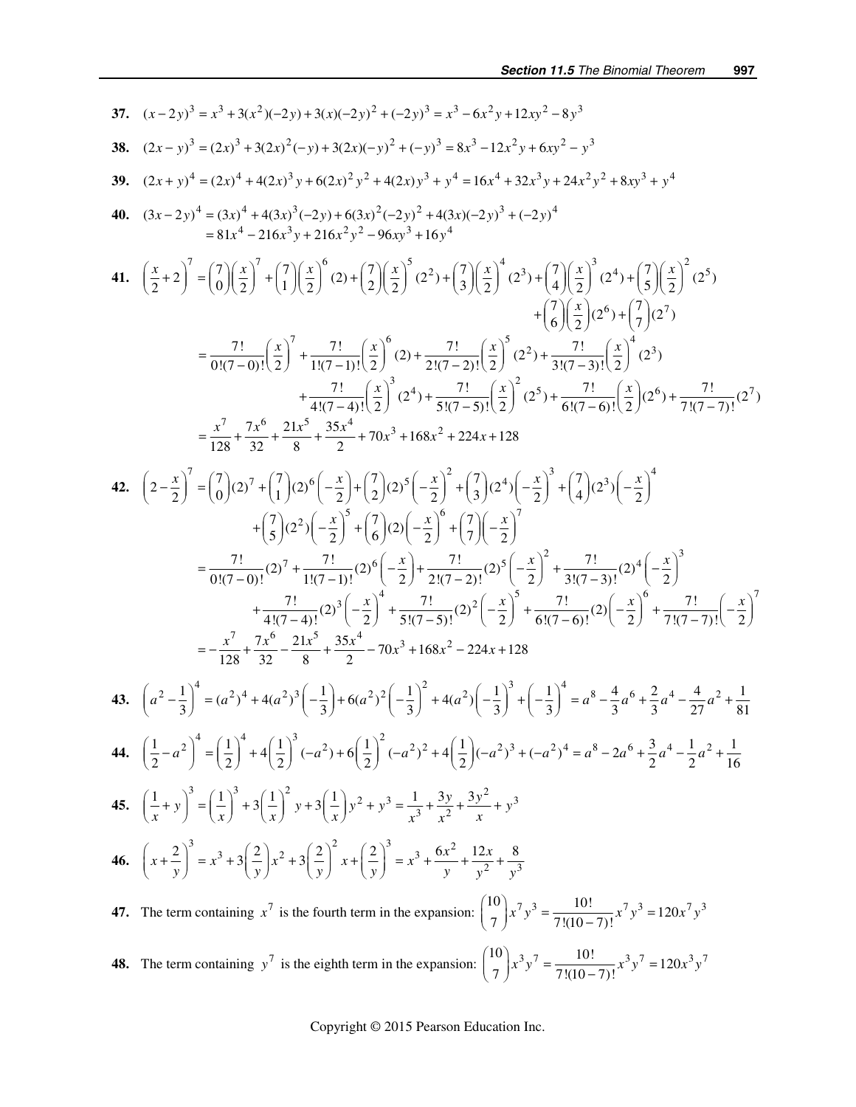37. 
$$
(x-2y)^3 = x^3 + 3(x^2)(-2y) + 3(x)(-2y)^2 + (-2y)^3 = x^3 - 6x^2y + 12xy^2 - 8y^3
$$
  
\n38.  $(2x - y)^3 = (2x)^3 + 3(2x)^2(-y) + 3(2x)(-y)^2 + (-y)^3 = 8x^3 - 12x^2y + 6xy^2 - y^3$   
\n39.  $(2x + y)^4 = (2x)^4 + 4(2x)^3y + 6(2x)^2y^2 + 4(2x)y^3 + y^4 = 16x^4 + 32x^3y + 24x^2y^2 + 8xy^3 + y^4$   
\n40.  $(3x-2y)^4 = (3x)^4 + 4(3x)^3(-2y) + 6(3x)^2(-2y)^2 + 4(3x)(-2y)^3 + (-2y)^4$   
\n41.  $\left(\frac{x}{2} + 2\right)^7 = \left(\frac{7}{0}\right)\left(\frac{x}{2}\right)^7 + \left(\frac{7}{1}\right)\left(\frac{x}{2}\right)^6(2) + \left(\frac{7}{2}\right)\left(\frac{x}{2}\right)^5(2^2) + \left(\frac{7}{3}\right)\left(\frac{x}{2}\right)^4(2^3) + \left(\frac{7}{3}\right)\left(\frac{x}{2}\right)^4(2^3) + \left(\frac{7}{6}\right)\left(\frac{x}{2}\right)^5(2^3) + \left(\frac{7}{6}\right)\left(\frac{x}{2}\right)^5(2^3) + \frac{7!}{4!(7-1)!}\left(\frac{x}{2}\right)^5(2^3) + \frac{7!}{4!(7-1)!}\left(\frac{x}{2}\right)^5(2^3) + \frac{7!}{4!(7-1)!}\left(\frac{x}{2}\right)^5(2^3) + \frac{7!}{6!(7-6)!}\left(\frac{x}{2}\right)^4(2^3) + \frac{7!}{8!(7-7)!}\left(\frac{x}{2}\right)^2(2^5) + \frac{7!}{6!(7-6)!}\left(\frac{x}{2}\right)^2(2^5) + \frac{7!}{7!(7-7)!}\left(\frac{x}{2}\right)^2$   
\n $= \frac{x^7}{128} + \frac{7x^6}{32} + \frac{21x^5}{8} + \frac{35x^4}{2} +$ 

**48.** The term containing  $y^7$  is the eighth term in the expansion:  $\binom{10}{7} x^3 y^7 = \frac{10!}{7!(10-7)!} x^3 y^7 = 120x^3 y^7$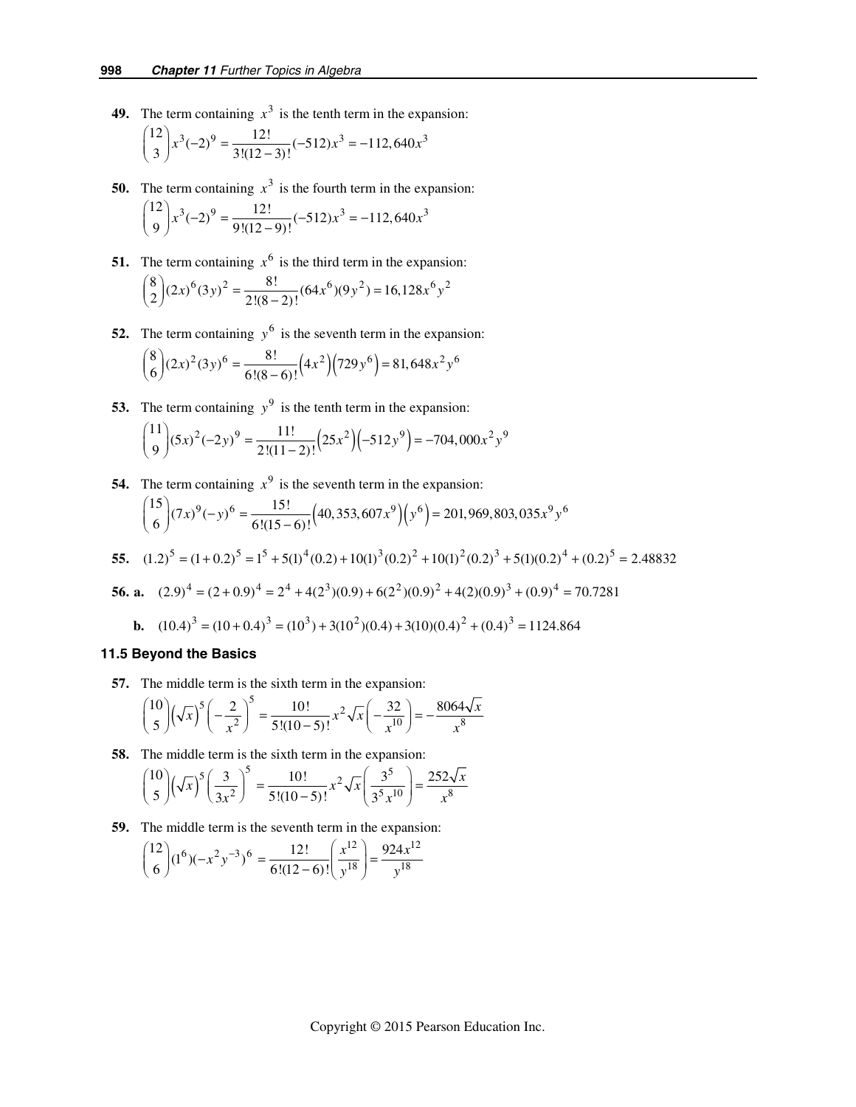**49.** The term containing  $x^3$  is the tenth term in the expansion:

$$
{\binom{12}{3}}x^3(-2)^9 = \frac{12!}{3!(12-3)!}(-512)x^3 = -112,640x^3
$$

- **50.** The term containing  $x^3$  is the fourth term in the expansion:  $\binom{12}{9} x^3 (-2)^9 = \frac{12!}{9!(12-9)!} (-512)x^3 = -112,640x^3$
- **51.** The term containing  $x^6$  is the third term in the expansion:  $\binom{8}{2} (2x)^{6} (3y)^{2} = \frac{8!}{2!(8-2)!} (64x^{6})(9y^{2}) = 16{,}128x^{6}y^{2}$
- **52.** The term containing  $y^6$  is the seventh term in the expansion:

$$
\binom{8}{6} (2x)^2 (3y)^6 = \frac{8!}{6!(8-6)!} (4x^2)(729y^6) = 81,648x^2y^6
$$

**53.** The term containing  $y^9$  is the tenth term in the expansion:

$$
\binom{11}{9}(5x)^2(-2y)^9 = \frac{11!}{2!(11-2)!} (25x^2)(-512y^9) = -704,000x^2y^9
$$

**54.** The term containing  $x^9$  is the seventh term in the expansion:  ${15 \choose 6} (7x)^9 (-y)^6 = \frac{15!}{6!(15-6)!} (40,353,607x^9)(y^6) = 201,969,803,035x^9y^6$ 

55. 
$$
(1.2)^5 = (1+0.2)^5 = 1^5 + 5(1)^4(0.2) + 10(1)^3(0.2)^2 + 10(1)^2(0.2)^3 + 5(1)(0.2)^4 + (0.2)^5 = 2.48832
$$

**56. a.**  $(2.9)^4 = (2 + 0.9)^4 = 2^4 + 4(2^3)(0.9) + 6(2^2)(0.9)^2 + 4(2)(0.9)^3 + (0.9)^4 = 70.7281$ 

**b.** 
$$
(10.4)^3 = (10 + 0.4)^3 = (10^3) + 3(10^2)(0.4) + 3(10)(0.4)^2 + (0.4)^3 = 1124.864
$$

#### *11.5 Beyond the Basics*

 **57.** The middle term is the sixth term in the expansion:

$$
{10 \choose 5} \left(\sqrt{x}\right)^5 \left(-\frac{2}{x^2}\right)^5 = \frac{10!}{5!(10-5)!} x^2 \sqrt{x} \left(-\frac{32}{x^{10}}\right) = -\frac{8064\sqrt{x}}{x^8}
$$

**58.** The middle term is the sixth term in the expansion:

$$
{10 \choose 5} \left(\sqrt{x}\right)^5 \left(\frac{3}{3x^2}\right)^5 = \frac{10!}{5!(10-5)!} x^2 \sqrt{x} \left(\frac{3^5}{3^5 x^{10}}\right) = \frac{252\sqrt{x}}{x^8}
$$

**59.** The middle term is the seventh term in the expansion:

$$
{12 \choose 6} (1^6)(-x^2y^{-3})^6 = \frac{12!}{6!(12-6)!} \left(\frac{x^{12}}{y^{18}}\right) = \frac{924x^{12}}{y^{18}}
$$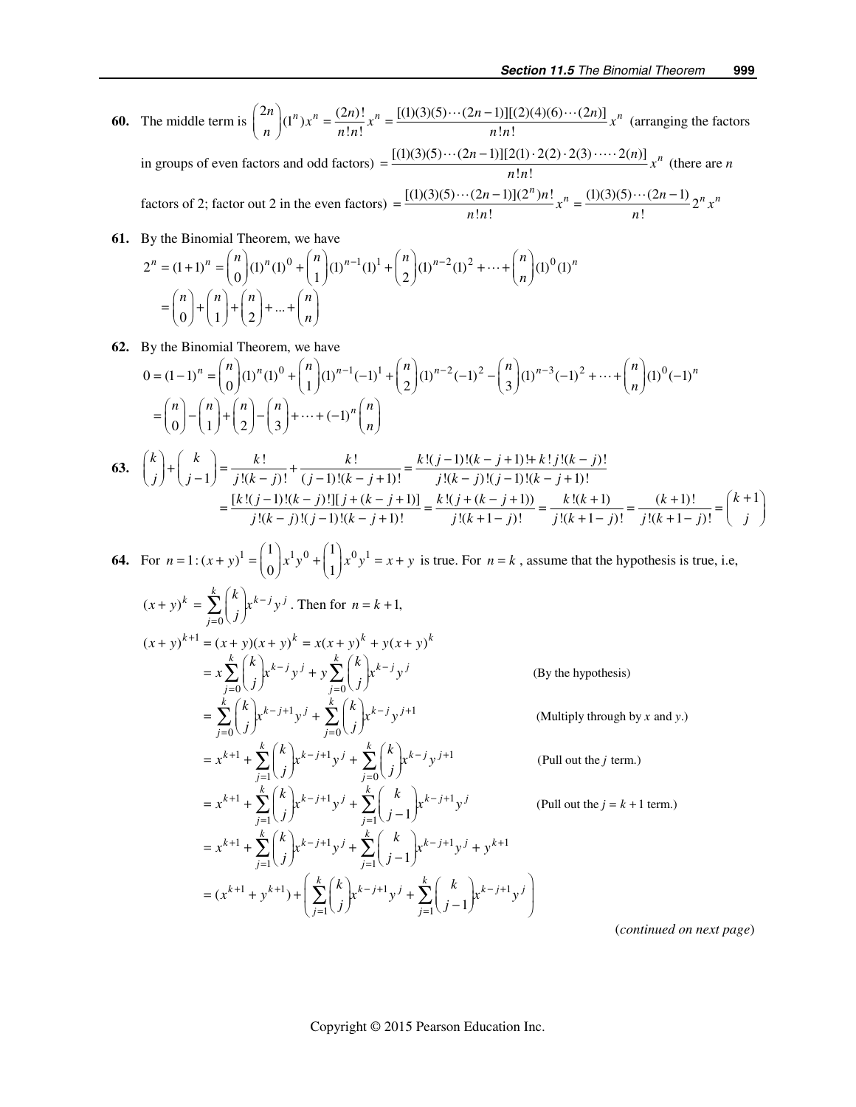**60.** The middle term is  $\binom{2n}{n}(1^n)x^n = \frac{(2n)!}{n!n!}x^n = \frac{[(1)(3)(5)\cdots(2n-1)][(2)(4)(6)\cdots(2n)]}{n!n!}x^n$  (arranging the factors in groups of even factors and odd factors) =  $\frac{[(1)(3)(5)\cdots(2n-1)][2(1)\cdot2(2)\cdot2(3)\cdots(2n)]}{n!n!}x^n$  (there are *n* 

factors of 2; factor out 2 in the even factors)  $= \frac{[(1)(3)(5)\cdots(2n-1)](2^n)n!}{n!n!}x^n = \frac{(1)(3)(5)\cdots(2n-1)}{n!}2^n x^n$ 

61. By the Binomial Theorem, we have  
\n
$$
2^{n} = (1+1)^{n} = {n \choose 0} (1)^{n} (1)^{0} + {n \choose 1} (1)^{n-1} (1)^{1} + {n \choose 2} (1)^{n-2} (1)^{2} + \dots + {n \choose n} (1)^{0} (1)^{n}
$$
\n
$$
= {n \choose 0} + {n \choose 1} + {n \choose 2} + \dots + {n \choose n}
$$

**62.** By the Binomial Theorem, we have

$$
0 = (1-1)^n = {n \choose 0} (1)^n (1)^0 + {n \choose 1} (1)^{n-1} (-1)^1 + {n \choose 2} (1)^{n-2} (-1)^2 - {n \choose 3} (1)^{n-3} (-1)^2 + \dots + {n \choose n} (1)^0 (-1)^n
$$
  

$$
= {n \choose 0} - {n \choose 1} + {n \choose 2} - {n \choose 3} + \dots + (-1)^n {n \choose n}
$$
  
**63.**  ${k \choose j} + {k \choose j-1} = \frac{k!}{j!(k-j)!} + \frac{k!}{(j-1)!(k-j+1)!} = \frac{k!(j-1)!(k-j+1)!+k!j!(k-j)!}{j!(k-j)!(j-1)!(k-j+1)!}$ 

$$
\binom{j}{j} \binom{j-1}{j-1} \frac{j!(k-j)!}{(j-1)!(k-j)!} \frac{(j-1)!(k-j+1)!}{(j!(k-j)!(j-1)!(k-j+1)!} = \frac{k!(j+(k-j+1))}{j!(k-j)!} = \frac{k!(j+(k-j+1))}{j!(k+1-j)!} = \frac{k!(k+1)}{j!(k+1-j)!} = \frac{(k+1)!}{j!(k+1-j)!} = \binom{k+1}{j}
$$

64. For 
$$
n = 1 : (x + y)^1 = {1 \choose 0} x^1 y^0 + {1 \choose 1} x^0 y^1 = x + y
$$
 is true. For  $n = k$ , assume that the hypothesis is true, i.e,  
\n
$$
(x + y)^k = \sum_{j=0}^k {k \choose j} x^{k-j} y^j
$$
. Then for  $n = k + 1$ ,  
\n
$$
(x + y)^{k+1} = (x + y)(x + y)^k = x(x + y)^k + y(x + y)^k
$$
\n
$$
= x \sum_{j=0}^k {k \choose j} x^{k-j} y^j + y \sum_{j=0}^k {k \choose j} x^{k-j} y^j
$$
 (By the hypothesis)  
\n
$$
= \sum_{j=0}^k {k \choose j} x^{k-j+1} y^j + \sum_{j=0}^k {k \choose j} x^{k-j} y^{j+1}
$$
 (Multiply through by x and y.)  
\n
$$
= x^{k+1} + \sum_{j=1}^k {k \choose j} x^{k-j+1} y^j + \sum_{j=0}^k {k \choose j} x^{k-j} y^{j+1}
$$
 (Full out the j term.)  
\n
$$
= x^{k+1} + \sum_{j=1}^k {k \choose j} x^{k-j+1} y^j + \sum_{j=1}^k {k \choose j-1} x^{k-j+1} y^j
$$
 (Full out the j = k + 1 term.)  
\n
$$
= x^{k+1} + \sum_{j=1}^k {k \choose j} x^{k-j+1} y^j + \sum_{j=1}^k {k \choose j-1} x^{k-j+1} y^j + y^{k+1}
$$
  
\n
$$
= (x^{k+1} + y^{k+1}) + \left( \sum_{j=1}^k {k \choose j} x^{k-j+1} y^j + \sum_{j=1}^k {k \choose j-1} x^{k-j+1} y^j \right)
$$
 (continued on next page)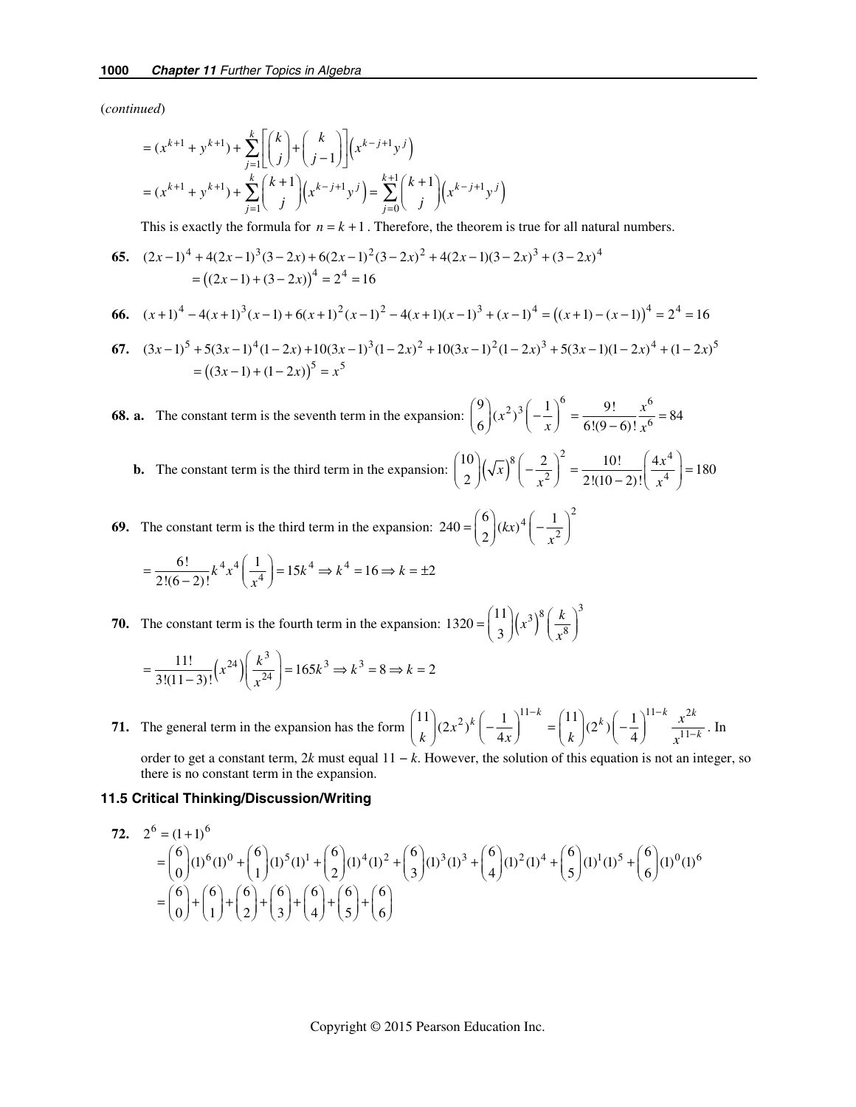(*continued*)

$$
= (x^{k+1} + y^{k+1}) + \sum_{j=1}^{k} \left[ \binom{k}{j} + \binom{k}{j-1} \right] (x^{k-j+1}y^j)
$$
  
=  $(x^{k+1} + y^{k+1}) + \sum_{j=1}^{k} \binom{k+1}{j} (x^{k-j+1}y^j) = \sum_{j=0}^{k+1} \binom{k+1}{j} (x^{k-j+1}y^j)$ 

This is exactly the formula for  $n = k + 1$ . Therefore, the theorem is true for all natural numbers.

**65.** 
$$
(2x-1)^4 + 4(2x-1)^3(3-2x) + 6(2x-1)^2(3-2x)^2 + 4(2x-1)(3-2x)^3 + (3-2x)^4
$$

$$
= ((2x-1) + (3-2x))^4 = 2^4 = 16
$$

**66.** 
$$
(x+1)^4 - 4(x+1)^3(x-1) + 6(x+1)^2(x-1)^2 - 4(x+1)(x-1)^3 + (x-1)^4 = ((x+1) - (x-1))^4 = 2^4 = 16
$$

**67.** 
$$
(3x-1)^5 + 5(3x-1)^4(1-2x) + 10(3x-1)^3(1-2x)^2 + 10(3x-1)^2(1-2x)^3 + 5(3x-1)(1-2x)^4 + (1-2x)^5 = ((3x-1) + (1-2x))^5 = x^5
$$

 **68. a.** The constant term is the seventh term in the expansion:  $\binom{9}{6} (x^2)^3 \left(-\frac{1}{x}\right)^6 = \frac{9!}{6!(9-6)!} \frac{x^6}{x^6}$  $\frac{9!}{6!(9-6)!} \frac{x^6}{x^6} = 84$  $=\frac{9!}{6!(9-6)!}\frac{x^6}{x^6}$ 

**b.** The constant term is the third term in the expansion:  $\int_{0}^{1}$   $\left(\sqrt{x}\right)$ 8  $(2)^2$ 2  $10$   $\left[\sqrt{8}\right]$  2  $\int_{2}^{\infty}$   $\int$   $\sqrt{x}$  $\binom{10}{2} (\sqrt{x})^8 \left(-\frac{2}{x^2}\right)^2 = \frac{10!}{2!(10-2)!} \left(\frac{4x^4}{x^4}\right)$  $\frac{10!}{2!(10-2)!} \left( \frac{4x^4}{x^4} \right) = 180$ *x*  $=\frac{10!}{2!(10-2)!}\left(\frac{4x^4}{x^4}\right)=$ 

 **69.** The constant term is the third term in the expansion:  $\left(1\right)^2$  $240 = {6 \choose 2} (kx)^4 \left(-\frac{1}{x^2}\right)$  $=\binom{6}{2}(kx)^4\left(-\frac{1}{x^2}\right)$ 

$$
= \frac{6!}{2!(6-2)!} k^4 x^4 \left(\frac{1}{x^4}\right) = 15k^4 \Rightarrow k^4 = 16 \Rightarrow k = \pm 2
$$

**70.** The constant term is the fourth term in the expansion:  $1320 = {11 \choose 2} (x^3)^8 \left(\frac{k}{8}\right)^3$ 8  $1320 = \begin{pmatrix} 11 \\ 3 \end{pmatrix}$  $(x^3)^8\left(\frac{k}{2}\right)$  $=\binom{11}{3}\left(x^3\right)^8\left(\frac{k}{x^8}\right)$ 

$$
= \frac{11!}{3!(11-3)!} \left(x^{24}\right) \left(\frac{k^3}{x^{24}}\right) = 165k^3 \Rightarrow k^3 = 8 \Rightarrow k = 2
$$

 **71.** The general term in the expansion has the form  $\binom{11}{k} (2x^2)^k \left(-\frac{1}{4x}\right)^{11-k} = \binom{11}{k} (2^k) \left(-\frac{1}{4}\right)^{11-k} \frac{x^2}{x^{11}}$  $\binom{11}{k}(2^k)\left(-\frac{1}{4}\right)^{11-k}\frac{x^{2k}}{x^{11-k}}$ *k x k x* −  $=\binom{11}{k}(2^k)\left(-\frac{1}{4}\right)^{11-k}\frac{x^{2k}}{x^{11-k}}$ . In

order to get a constant term, 2*k* must equal  $11 - k$ . However, the solution of this equation is not an integer, so there is no constant term in the expansion.

### *11.5 Critical Thinking/Discussion/Writing*

72. 
$$
2^{6} = (1+1)^{6}
$$
  
=  $\binom{6}{0}(1)^{6}(1)^{0} + \binom{6}{1}(1)^{5}(1)^{1} + \binom{6}{2}(1)^{4}(1)^{2} + \binom{6}{3}(1)^{3}(1)^{3} + \binom{6}{4}(1)^{2}(1)^{4} + \binom{6}{5}(1)^{1}(1)^{5} + \binom{6}{6}(1)^{0}(1)^{6}$   
=  $\binom{6}{0} + \binom{6}{1} + \binom{6}{2} + \binom{6}{3} + \binom{6}{4} + \binom{6}{5} + \binom{6}{6}$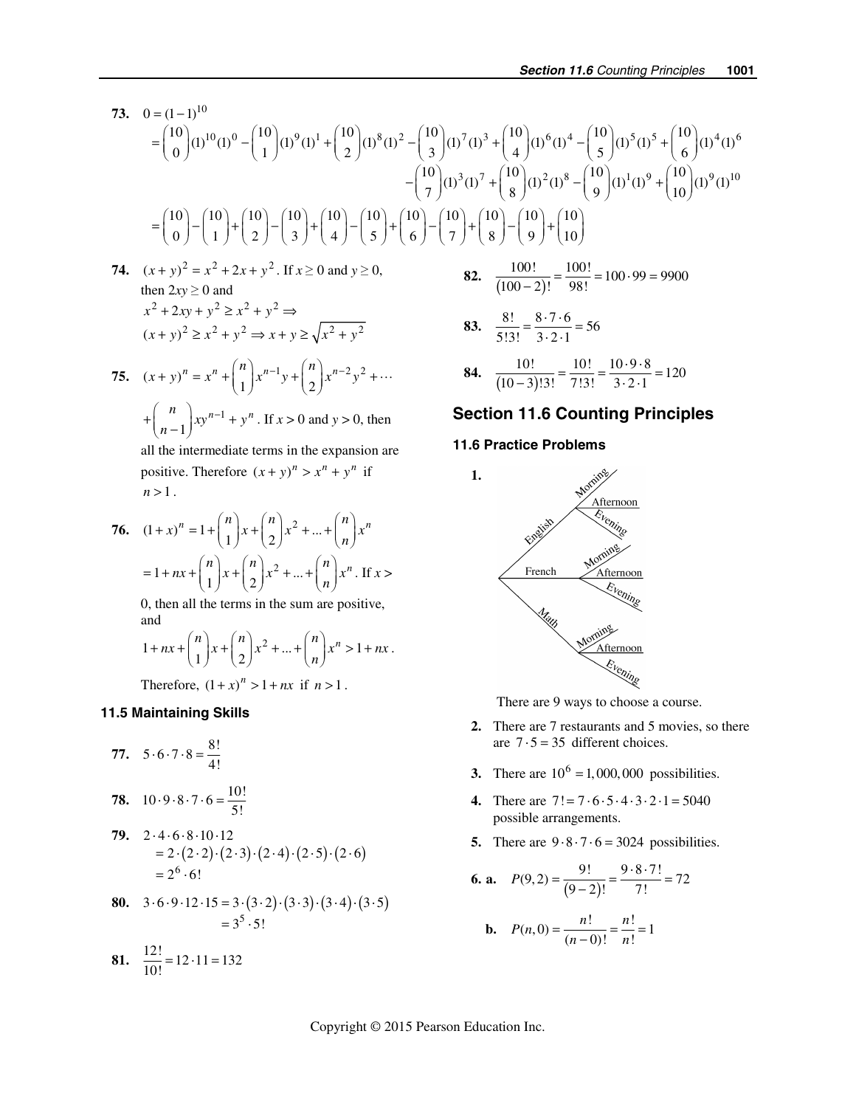$$
73. \quad 0 = (1-1)^{10}
$$
\n
$$
= {10 \choose 0} (1)^{10} (1)^{0} - {10 \choose 1} (1)^{9} (1)^{1} + {10 \choose 2} (1)^{8} (1)^{2} - {10 \choose 3} (1)^{7} (1)^{3} + {10 \choose 4} (1)^{6} (1)^{4} - {10 \choose 5} (1)^{5} (1)^{5} + {10 \choose 6} (1)^{4} (1)^{6}
$$
\n
$$
- {10 \choose 7} (1)^{3} (1)^{7} + {10 \choose 8} (1)^{2} (1)^{8} - {10 \choose 9} (1)^{1} (1)^{9} + {10 \choose 10} (1)^{9} (1)^{10}
$$
\n
$$
= {10 \choose 0} - {10 \choose 1} + {10 \choose 2} - {10 \choose 3} + {10 \choose 4} - {10 \choose 5} + {10 \choose 6} - {10 \choose 7} + {10 \choose 8} - {10 \choose 9} + {10 \choose 10}
$$

- **74.**  $(x + y)^2 = x^2 + 2x + y^2$ . If  $x \ge 0$  and  $y \ge 0$ ,<br>then  $2xy > 0$  and then  $2xy \ge 0$  and<br> $x^2 + 2xy + y^2 \ge x^2 + y^2 \Rightarrow$  $(x+y)^2 \geq x^2 + y^2 \Rightarrow x+y \geq \sqrt{x^2 + y^2}$
- **75.**  $(x + y)^n = x^n + \binom{n}{1} x^{n-1} y + \binom{n}{2} x^{n-2} y^2 + \cdots$ 1  $+\binom{n}{n-1}xy^{n-1} + y^n$ . If  $x > 0$  and  $y > 0$ , then

all the intermediate terms in the expansion are positive. Therefore  $(x + y)^n > x^n + y^n$  if  $n > 1$ .

**76.** 
$$
(1+x)^n = 1 + {n \choose 1}x + {n \choose 2}x^2 + ... + {n \choose n}x^n
$$
  
=  $1 + nx + {n \choose 1}x + {n \choose 2}x^2 + ... + {n \choose n}x^n$ . If x >

0, then all the terms in the sum are positive, and

$$
1 + nx + {n \choose 1}x + {n \choose 2}x^2 + ... + {n \choose n}x^n > 1 + nx.
$$

Therefore,  $(1 + x)^n > 1 + nx$  if  $n > 1$ .

### **11.5 Maintaining Skills**

77. 
$$
5 \cdot 6 \cdot 7 \cdot 8 = \frac{8!}{4!}
$$

**78.** 
$$
10 \cdot 9 \cdot 8 \cdot 7 \cdot 6 = \frac{10!}{5!}
$$

- **79.**  $2 \cdot 4 \cdot 6 \cdot 8 \cdot 10 \cdot 12$  $= 2 \cdot (2 \cdot 2) \cdot (2 \cdot 3) \cdot (2 \cdot 4) \cdot (2 \cdot 5) \cdot (2 \cdot 6)$  $= 2^6 \cdot 6!$
- **80.**  $3 \cdot 6 \cdot 9 \cdot 12 \cdot 15 = 3 \cdot (3 \cdot 2) \cdot (3 \cdot 3) \cdot (3 \cdot 4) \cdot (3 \cdot 5)$  $= 3^5 \cdot 5!$
- **81.**  $\frac{12!}{10!} = 12 \cdot 11 = 132$

**82.** 
$$
\frac{100!}{(100-2)!} = \frac{100!}{98!} = 100 \cdot 99 = 9900
$$

83. 
$$
\frac{8!}{5!3!} = \frac{8 \cdot 7 \cdot 6}{3 \cdot 2 \cdot 1} = 56
$$

**84.** 
$$
\frac{10!}{(10-3)!3!} = \frac{10!}{7!3!} = \frac{10 \cdot 9 \cdot 8}{3 \cdot 2 \cdot 1} = 120
$$

# **Section 11.6 Counting Principles**

### **11.6 Practice Problems**



There are 9 ways to choose a course.

- **2.** There are 7 restaurants and 5 movies, so there are  $7 \cdot 5 = 35$  different choices.
- **3.** There are  $10^6 = 1,000,000$  possibilities.
- **4.** There are  $7! = 7 \cdot 6 \cdot 5 \cdot 4 \cdot 3 \cdot 2 \cdot 1 = 5040$ possible arrangements.
- **5.** There are  $9.8 \cdot 7 \cdot 6 = 3024$  possibilities.

**6. a.** 
$$
P(9,2) = \frac{9!}{(9-2)!} = \frac{9 \cdot 8 \cdot 7!}{7!} = 72
$$

**b.** 
$$
P(n, 0) = \frac{n!}{(n-0)!} = \frac{n!}{n!} = 1
$$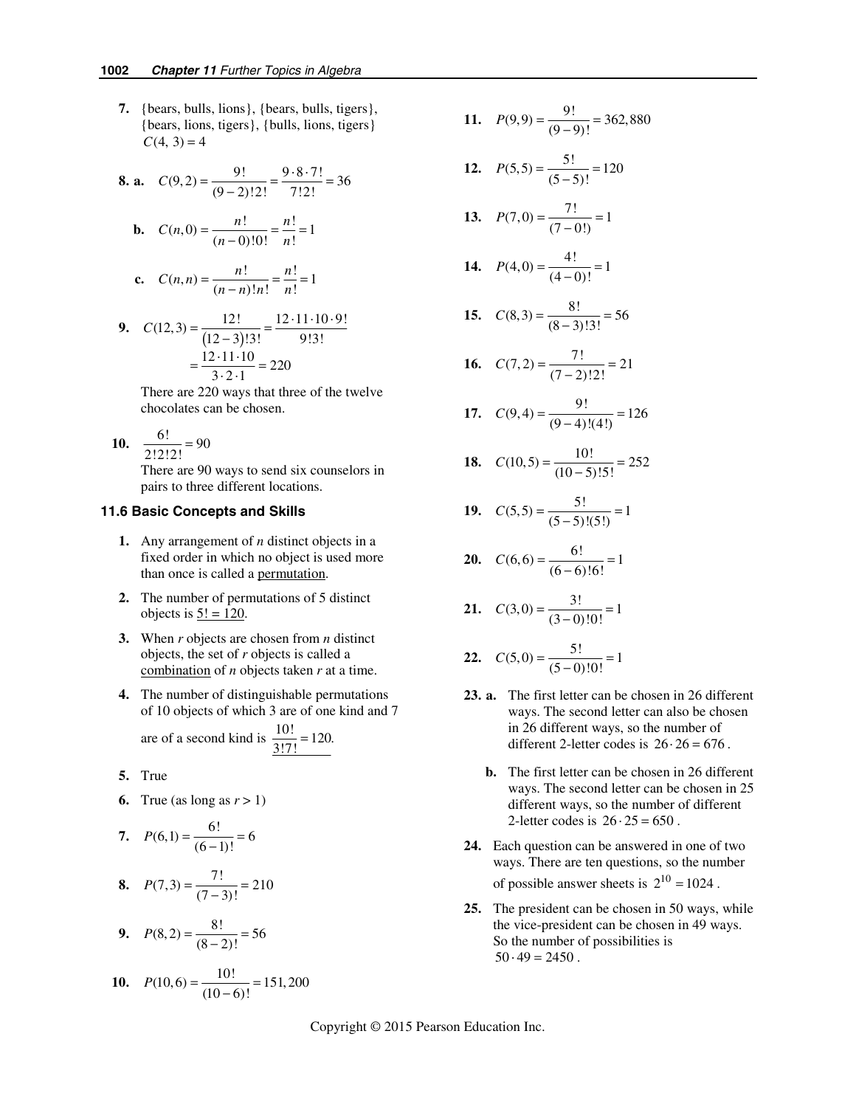**7.** {bears, bulls, lions}, {bears, bulls, tigers}, {bears, lions, tigers}, {bulls, lions, tigers}  $C(4, 3) = 4$ 

**8. a.** 
$$
C(9,2) = \frac{9!}{(9-2)!2!} = \frac{9 \cdot 8 \cdot 7!}{7!2!} = 36
$$

**b.** 
$$
C(n, 0) = \frac{n!}{(n-0)!0!} = \frac{n!}{n!} = 1
$$

c. 
$$
C(n,n) = \frac{n!}{(n-n)!n!} = \frac{n!}{n!} = 1
$$

9. 
$$
C(12,3) = \frac{12!}{(12-3)!3!} = \frac{12 \cdot 11 \cdot 10 \cdot 9!}{9!3!}
$$

$$
= \frac{12 \cdot 11 \cdot 10}{3 \cdot 2 \cdot 1} = 220
$$

There are 220 ways that three of the twelve chocolates can be chosen.

$$
10. \quad \frac{6!}{2!2!2!} = 90
$$

There are 90 ways to send six counselors in pairs to three different locations.

#### **11.6 Basic Concepts and Skills**

- **1.** Any arrangement of *n* distinct objects in a fixed order in which no object is used more than once is called a permutation.
- **2.** The number of permutations of 5 distinct objects is  $5! = 120$ .
- **3.** When *r* objects are chosen from *n* distinct objects, the set of *r* objects is called a combination of *n* objects taken *r* at a time.
- **4.** The number of distinguishable permutations of 10 objects of which 3 are of one kind and 7

are of a second kind is  $\frac{10!}{3!7!} = 120$ .

- **5.** True
- **6.** True (as long as  $r > 1$ )

7. 
$$
P(6,1) = \frac{6!}{(6-1)!} = 6
$$

8. 
$$
P(7,3) = \frac{7!}{(7-3)!} = 210
$$

**9.**  $P(8, 2) = \frac{8!}{(8-2)!} = 56$ 

**10.** 
$$
P(10,6) = \frac{10!}{(10-6)!} = 151,200
$$

11. 
$$
P(9,9) = \frac{9!}{(9-9)!} = 362,880
$$

12. 
$$
P(5,5) = \frac{5!}{(5-5)!} = 120
$$

13. 
$$
P(7,0) = \frac{7!}{(7-0!)} = 1
$$

14. 
$$
P(4,0) = \frac{4!}{(4-0)!} = 1
$$

15. 
$$
C(8,3) = \frac{8!}{(8-3)!3!} = 56
$$

**16.** 
$$
C(7,2) = \frac{7!}{(7-2)!2!} = 21
$$

17. 
$$
C(9,4) = \frac{9!}{(9-4)!(4!)} = 126
$$

**18.** 
$$
C(10,5) = \frac{10!}{(10-5)!5!} = 252
$$

19. 
$$
C(5,5) = \frac{5!}{(5-5)!(5!)} = 1
$$

**20.** 
$$
C(6,6) = \frac{6!}{(6-6)!6!} = 1
$$

21. 
$$
C(3,0) = \frac{3!}{(3-0)!0!} = 1
$$

22. 
$$
C(5,0) = \frac{5!}{(5-0)!0!} = 1
$$

- **23. a.** The first letter can be chosen in 26 different ways. The second letter can also be chosen in 26 different ways, so the number of different 2-letter codes is  $26 \cdot 26 = 676$ .
	- **b.** The first letter can be chosen in 26 different ways. The second letter can be chosen in 25 different ways, so the number of different 2-letter codes is  $26 \cdot 25 = 650$ .
- **24.** Each question can be answered in one of two ways. There are ten questions, so the number of possible answer sheets is  $2^{10} = 1024$ .
- **25.** The president can be chosen in 50 ways, while the vice-president can be chosen in 49 ways. So the number of possibilities is  $50 \cdot 49 = 2450$ .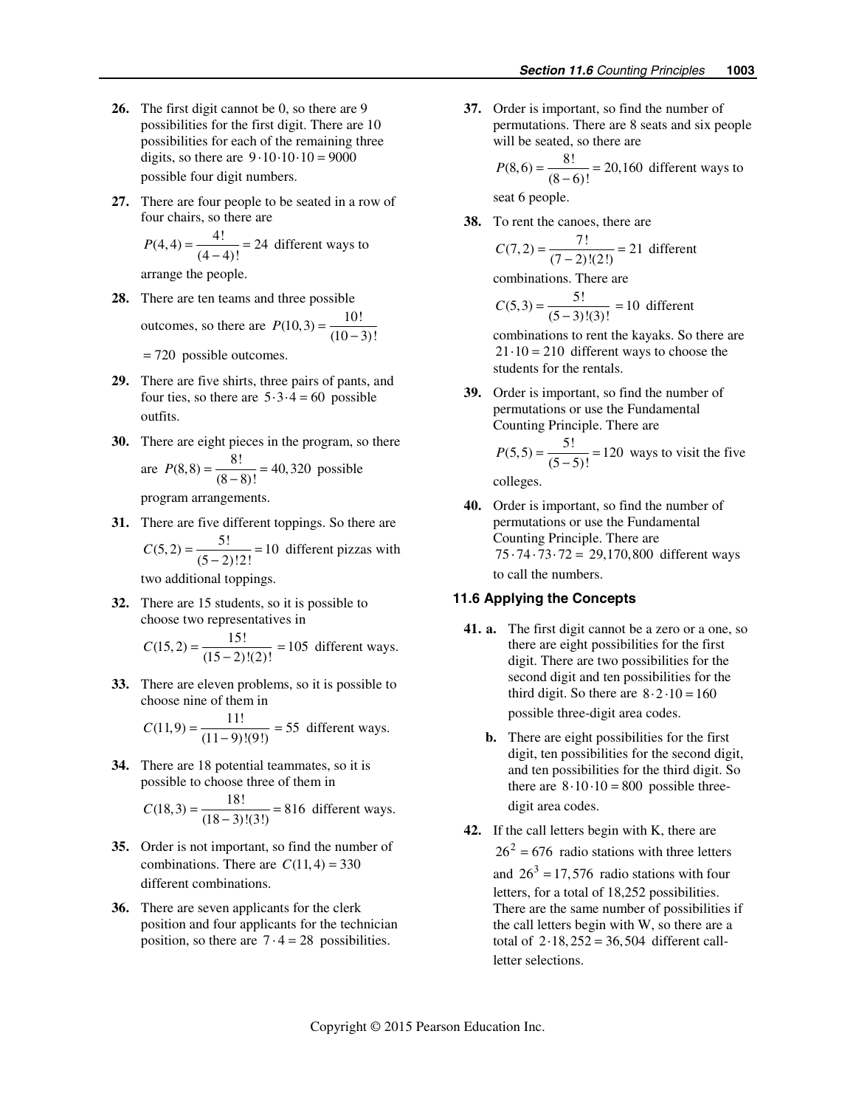- **26.** The first digit cannot be 0, so there are 9 possibilities for the first digit. There are 10 possibilities for each of the remaining three digits, so there are  $9 \cdot 10 \cdot 10 \cdot 10 = 9000$ possible four digit numbers.
- **27.** There are four people to be seated in a row of four chairs, so there are

$$
P(4,4) = \frac{4!}{(4-4)!} = 24
$$
 different ways to

arrange the people.

**28.** There are ten teams and three possible

outcomes, so there are  $P(10,3) = \frac{10!}{(10-3)!}$ 

= 720 possible outcomes.

- **29.** There are five shirts, three pairs of pants, and four ties, so there are  $5 \cdot 3 \cdot 4 = 60$  possible outfits.
- **30.** There are eight pieces in the program, so there a

are 
$$
P(8,8) = \frac{8!}{(8-8)!} = 40,320
$$
 possible

program arrangements.

**31.** There are five different toppings. So there are  $C(5, 2) = \frac{5!}{(5-2)!2!} = 10$  different pizzas with

two additional toppings.

**32.** There are 15 students, so it is possible to choose two representatives in

$$
C(15,2) = \frac{15!}{(15-2)!(2)!} = 105
$$
 different ways.

**33.** There are eleven problems, so it is possible to choose nine of them in

$$
C(11,9) = \frac{11!}{(11-9)!(9!)} = 55 \text{ different ways.}
$$

**34.** There are 18 potential teammates, so it is possible to choose three of them in

$$
C(18,3) = \frac{18!}{(18-3)!(3!)} = 816 \text{ different ways.}
$$

- **35.** Order is not important, so find the number of combinations. There are  $C(11, 4) = 330$ different combinations.
- **36.** There are seven applicants for the clerk position and four applicants for the technician position, so there are  $7 \cdot 4 = 28$  possibilities.

**37.** Order is important, so find the number of permutations. There are 8 seats and six people will be seated, so there are

> $P(8,6) = \frac{8!}{(8-6)!} = 20,160$  different ways to seat 6 people.

**38.** To rent the canoes, there are

$$
C(7,2) = \frac{7!}{(7-2)!(2!)} = 21 \text{ different}
$$

combinations. There are

$$
C(5,3) = \frac{5!}{(5-3)!(3)!} = 10 \text{ different}
$$

combinations to rent the kayaks. So there are  $21 \cdot 10 = 210$  different ways to choose the students for the rentals.

**39.** Order is important, so find the number of permutations or use the Fundamental Counting Principle. There are

$$
P(5,5) = \frac{5!}{(5-5)!} = 120
$$
 ways to visit the five

colleges.

**40.** Order is important, so find the number of permutations or use the Fundamental Counting Principle. There are  $75 \cdot 74 \cdot 73 \cdot 72 = 29,170,800$  different ways to call the numbers.

### **11.6 Applying the Concepts**

- **41. a.** The first digit cannot be a zero or a one, so there are eight possibilities for the first digit. There are two possibilities for the second digit and ten possibilities for the third digit. So there are  $8 \cdot 2 \cdot 10 = 160$ possible three-digit area codes.
	- **b.** There are eight possibilities for the first digit, ten possibilities for the second digit, and ten possibilities for the third digit. So there are  $8 \cdot 10 \cdot 10 = 800$  possible threedigit area codes.
- **42.** If the call letters begin with K, there are  $26<sup>2</sup> = 676$  radio stations with three letters and  $26^3 = 17,576$  radio stations with four letters, for a total of 18,252 possibilities. There are the same number of possibilities if the call letters begin with W, so there are a total of  $2.18, 252 = 36, 504$  different callletter selections.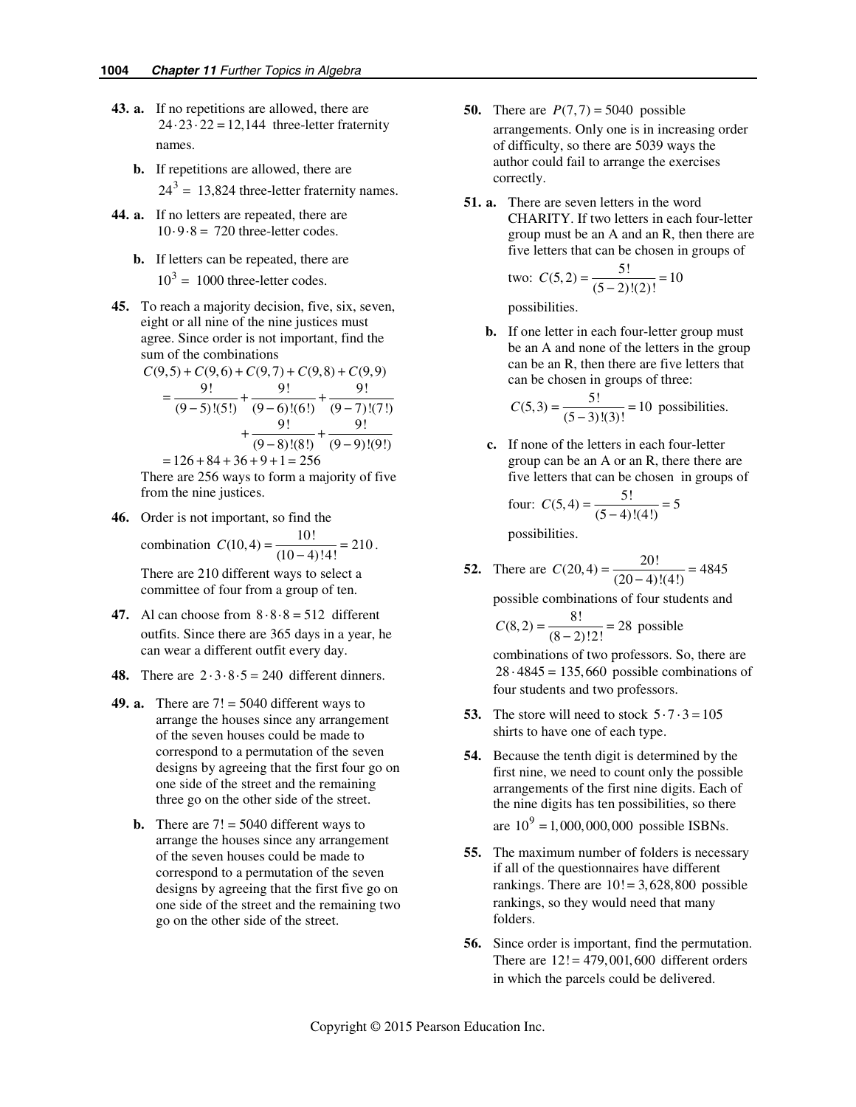- **43. a.** If no repetitions are allowed, there are  $24 \cdot 23 \cdot 22 = 12,144$  three-letter fraternity names.
	- **b.** If repetitions are allowed, there are  $24^3$  = 13,824 three-letter fraternity names.
- **44. a.** If no letters are repeated, there are  $10.9 - 8 = 720$  three-letter codes.
	- **b.** If letters can be repeated, there are  $10^3$  = 1000 three-letter codes.
- **45.** To reach a majority decision, five, six, seven, eight or all nine of the nine justices must agree. Since order is not important, find the sum of the combinations

$$
C(9,5) + C(9,6) + C(9,7) + C(9,8) + C(9,9)
$$
  
= 
$$
\frac{9!}{(9-5)!(5!)} + \frac{9!}{(9-6)!(6!)} + \frac{9!}{(9-7)!(7!)} + \frac{9!}{(9-8)!(8!)} + \frac{9!}{(9-9)!(9!)}
$$

 $= 126 + 84 + 36 + 9 + 1 = 256$ There are 256 ways to form a majority of five from the nine justices.

**46.** Order is not important, so find the

combination 
$$
C(10, 4) = \frac{10!}{(10-4)!4!} = 210.
$$

There are 210 different ways to select a committee of four from a group of ten.

- **47.** Al can choose from  $8 \cdot 8 \cdot 8 = 512$  different outfits. Since there are 365 days in a year, he can wear a different outfit every day.
- **48.** There are  $2 \cdot 3 \cdot 8 \cdot 5 = 240$  different dinners.
- **49. a.** There are  $7! = 5040$  different ways to arrange the houses since any arrangement of the seven houses could be made to correspond to a permutation of the seven designs by agreeing that the first four go on one side of the street and the remaining three go on the other side of the street.
	- **b.** There are  $7! = 5040$  different ways to arrange the houses since any arrangement of the seven houses could be made to correspond to a permutation of the seven designs by agreeing that the first five go on one side of the street and the remaining two go on the other side of the street.
- **50.** There are  $P(7,7) = 5040$  possible arrangements. Only one is in increasing order of difficulty, so there are 5039 ways the author could fail to arrange the exercises correctly.
- **51. a.** There are seven letters in the word CHARITY. If two letters in each four-letter group must be an A and an R, then there are five letters that can be chosen in groups of

two: 
$$
C(5, 2) = \frac{5!}{(5-2)!(2)!} = 10
$$

possibilities.

**b.** If one letter in each four-letter group must be an A and none of the letters in the group can be an R, then there are five letters that can be chosen in groups of three:

$$
C(5,3) = \frac{5!}{(5-3)!(3)!} = 10
$$
 possibilities.

 **c.** If none of the letters in each four-letter group can be an A or an R, there there are five letters that can be chosen in groups of

four: 
$$
C(5, 4) = \frac{5!}{(5-4)!(4!)} = 5
$$

possibilities.

**52.** There are  $C(20, 4) = \frac{20!}{(20-4)!(4!)} = 4845$ 

possible combinations of four students and

$$
C(8,2) = \frac{8!}{(8-2)!2!} = 28
$$
 possible

combinations of two professors. So, there are  $28 \cdot 4845 = 135,660$  possible combinations of four students and two professors.

- **53.** The store will need to stock  $5 \cdot 7 \cdot 3 = 105$ shirts to have one of each type.
- **54.** Because the tenth digit is determined by the first nine, we need to count only the possible arrangements of the first nine digits. Each of the nine digits has ten possibilities, so there are  $10^9 = 1,000,000,000$  possible ISBNs.
- **55.** The maximum number of folders is necessary if all of the questionnaires have different rankings. There are  $10! = 3,628,800$  possible rankings, so they would need that many folders.
- **56.** Since order is important, find the permutation. There are  $12! = 479,001,600$  different orders in which the parcels could be delivered.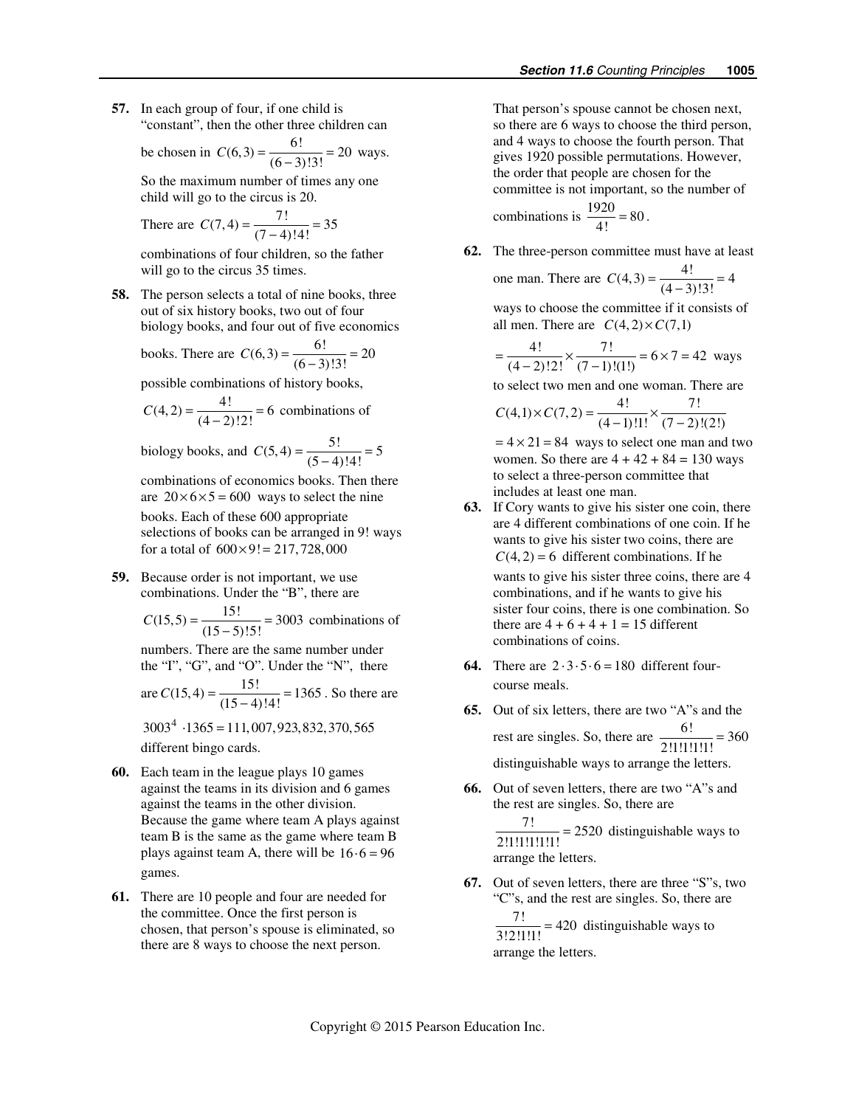**57.** In each group of four, if one child is "constant", then the other three children can

be chosen in 
$$
C(6,3) = \frac{6!}{(6-3)!3!} = 20
$$
 ways.

So the maximum number of times any one child will go to the circus is 20.

There are 
$$
C(7, 4) = \frac{7!}{(7-4)!4!} = 35
$$

combinations of four children, so the father will go to the circus 35 times.

**58.** The person selects a total of nine books, three out of six history books, two out of four biology books, and four out of five economics

books. There are 
$$
C(6,3) = \frac{6!}{(6-3)!3!} = 20
$$

possible combinations of history books,

$$
C(4,2) = \frac{4!}{(4-2)!2!} = 6
$$
 combinations of

biology books, and  $C(5, 4) = \frac{5!}{(5-4)!4!} = 5$ 

combinations of economics books. Then there are  $20 \times 6 \times 5 = 600$  ways to select the nine books. Each of these 600 appropriate selections of books can be arranged in 9! ways for a total of  $600 \times 9! = 217,728,000$ 

**59.** Because order is not important, we use combinations. Under the "B", there are

 $C(15,5) = \frac{15!}{(15-5)!5!} = 3003$  combinations of

numbers. There are the same number under the "I", "G", and "O". Under the "N", there

are 
$$
C(15, 4) = \frac{15!}{(15-4)!4!} = 1365
$$
. So there are

 $3003<sup>4</sup> \cdot 1365 = 111,007,923,832,370,565$ different bingo cards.

- **60.** Each team in the league plays 10 games against the teams in its division and 6 games against the teams in the other division. Because the game where team A plays against team B is the same as the game where team B plays against team A, there will be  $16 \cdot 6 = 96$ games.
- **61.** There are 10 people and four are needed for the committee. Once the first person is chosen, that person's spouse is eliminated, so there are 8 ways to choose the next person.

That person's spouse cannot be chosen next, so there are 6 ways to choose the third person, and 4 ways to choose the fourth person. That gives 1920 possible permutations. However, the order that people are chosen for the committee is not important, so the number of

combinations is 
$$
\frac{1920}{4!} = 80
$$
.

**62.** The three-person committee must have at least

one man. There are 
$$
C(4,3) = \frac{4!}{(4-3)!3!} = 4
$$

ways to choose the committee if it consists of all men. There are  $C(4, 2) \times C(7,1)$ 

$$
= \frac{4!}{(4-2)!2!} \times \frac{7!}{(7-1)!(1!)} = 6 \times 7 = 42
$$
 ways

to select two men and one woman. There are

$$
C(4,1)\times C(7,2) = \frac{4!}{(4-1)!\cdot 1!} \times \frac{7!}{(7-2)!(2!)}
$$

 $= 4 \times 21 = 84$  ways to select one man and two women. So there are  $4 + 42 + 84 = 130$  ways to select a three-person committee that includes at least one man.

- **63.** If Cory wants to give his sister one coin, there are 4 different combinations of one coin. If he wants to give his sister two coins, there are  $C(4, 2) = 6$  different combinations. If he wants to give his sister three coins, there are 4 combinations, and if he wants to give his sister four coins, there is one combination. So there are  $4 + 6 + 4 + 1 = 15$  different combinations of coins.
- **64.** There are  $2 \cdot 3 \cdot 5 \cdot 6 = 180$  different fourcourse meals.
- **65.** Out of six letters, there are two "A"s and the rest are singles. So, there are  $\frac{6!}{2!1!1!1!1!1!} = 360$ distinguishable ways to arrange the letters.
- **66.** Out of seven letters, there are two "A"s and the rest are singles. So, there are  $\frac{7!}{2!1!1!1!1!1!}$  = 2520 distinguishable ways to arrange the letters.
- **67.** Out of seven letters, there are three "S"s, two "C"s, and the rest are singles. So, there are  $\frac{7!}{3!2!1!1!}$  = 420 distinguishable ways to

arrange the letters.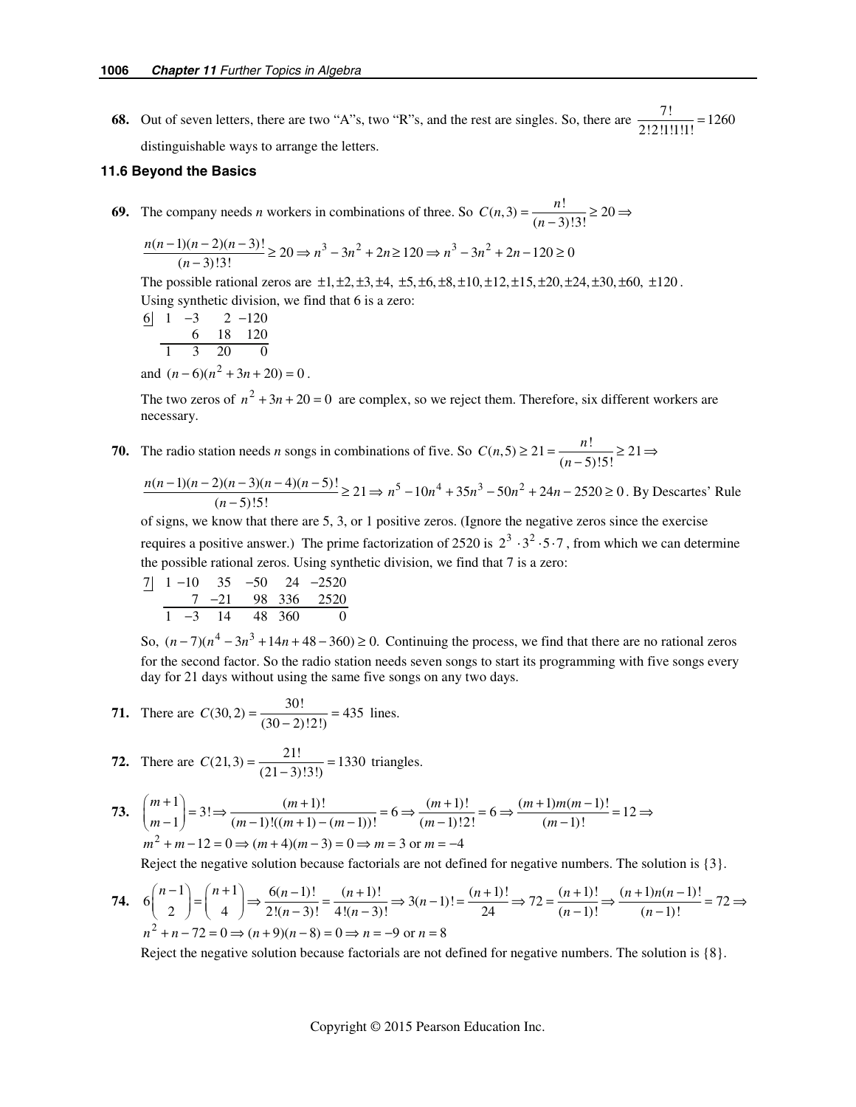**68.** Out of seven letters, there are two "A"s, two "R"s, and the rest are singles. So, there are  $\frac{7!}{2!2!1!1!1!}$  = 1260 distinguishable ways to arrange the letters.

#### **11.6 Beyond the Basics**

**69.** The company needs *n* workers in combinations of three. So  $C(n,3) = \frac{n!}{(n-3)!3!} \ge 20 \Rightarrow$ 

$$
\frac{n(n-1)(n-2)(n-3)!}{(n-3)!3!} \ge 20 \Rightarrow n^3 - 3n^2 + 2n \ge 120 \Rightarrow n^3 - 3n^2 + 2n - 120 \ge 0
$$

The possible rational zeros are  $\pm 1, \pm 2, \pm 3, \pm 4, \pm 5, \pm 6, \pm 8, \pm 10, \pm 12, \pm 15, \pm 20, \pm 24, \pm 30, \pm 60, \pm 120$ . Using synthetic division, we find that 6 is a zero:

$$
\frac{6}{1} \quad \frac{1}{3} \quad \frac{-3}{2} \quad \frac{2}{120} \quad \frac{6}{1} \quad \frac{18}{20} \quad \frac{120}{0}
$$
  
and  $(n-6)(n^2+3n+20) = 0$ .

The two zeros of  $n^2 + 3n + 20 = 0$  are complex, so we reject them. Therefore, six different workers are necessary.

**70.** The radio station needs *n* songs in combinations of five. So  $C(n, 5) \ge 21 = \frac{n!}{(n-5)!5!} \ge 21 \Rightarrow$ 

$$
\frac{n(n-1)(n-2)(n-3)(n-4)(n-5)!}{(n-5)!}
$$
\n
$$
\geq 21 \Rightarrow n^5 - 10n^4 + 35n^3 - 50n^2 + 24n - 2520 \geq 0.
$$
 By Descartes' Rule

of signs, we know that there are 5, 3, or 1 positive zeros. (Ignore the negative zeros since the exercise requires a positive answer.) The prime factorization of 2520 is  $2^3 \cdot 3^2 \cdot 5 \cdot 7$ , from which we can determine the possible rational zeros. Using synthetic division, we find that 7 is a zero:

$$
\begin{array}{c|cccc}\n7 & 1 & -10 & 35 & -50 & 24 & -2520 \\
\hline\n& 7 & -21 & 98 & 336 & 2520 \\
\hline\n& 1 & -3 & 14 & 48 & 360 & 0\n\end{array}
$$

So,  $(n-7)(n^4 - 3n^3 + 14n + 48 - 360) \ge 0$ . Continuing the process, we find that there are no rational zeros for the second factor. So the radio station needs seven songs to start its programming with five songs every day for 21 days without using the same five songs on any two days.

71. There are 
$$
C(30, 2) = \frac{30!}{(30-2)!2!} = 435
$$
 lines.

72. There are 
$$
C(21,3) = \frac{21!}{(21-3)!3!} = 1330
$$
 triangles.

73. 
$$
\binom{m+1}{m-1} = 3! \Rightarrow \frac{(m+1)!}{(m-1)!((m+1)-(m-1))!} = 6 \Rightarrow \frac{(m+1)!}{(m-1)!2!} = 6 \Rightarrow \frac{(m+1)m(m-1)!}{(m-1)!} = 12 \Rightarrow
$$
  
\n $m^2 + m - 12 = 0 \Rightarrow (m+4)(m-3) = 0 \Rightarrow m = 3 \text{ or } m = -4$ 

Reject the negative solution because factorials are not defined for negative numbers. The solution is {3}.

74. 
$$
6{n-1 \choose 2} = {n+1 \choose 4} \Rightarrow \frac{6(n-1)!}{2!(n-3)!} = \frac{(n+1)!}{4!(n-3)!} \Rightarrow 3(n-1)! = \frac{(n+1)!}{24} \Rightarrow 72 = \frac{(n+1)!}{(n-1)!} \Rightarrow \frac{(n+1)n(n-1)!}{(n-1)!} = 72 \Rightarrow
$$
  
\n $n^2 + n - 72 = 0 \Rightarrow (n+9)(n-8) = 0 \Rightarrow n = -9 \text{ or } n = 8$ 

Reject the negative solution because factorials are not defined for negative numbers. The solution is {8}.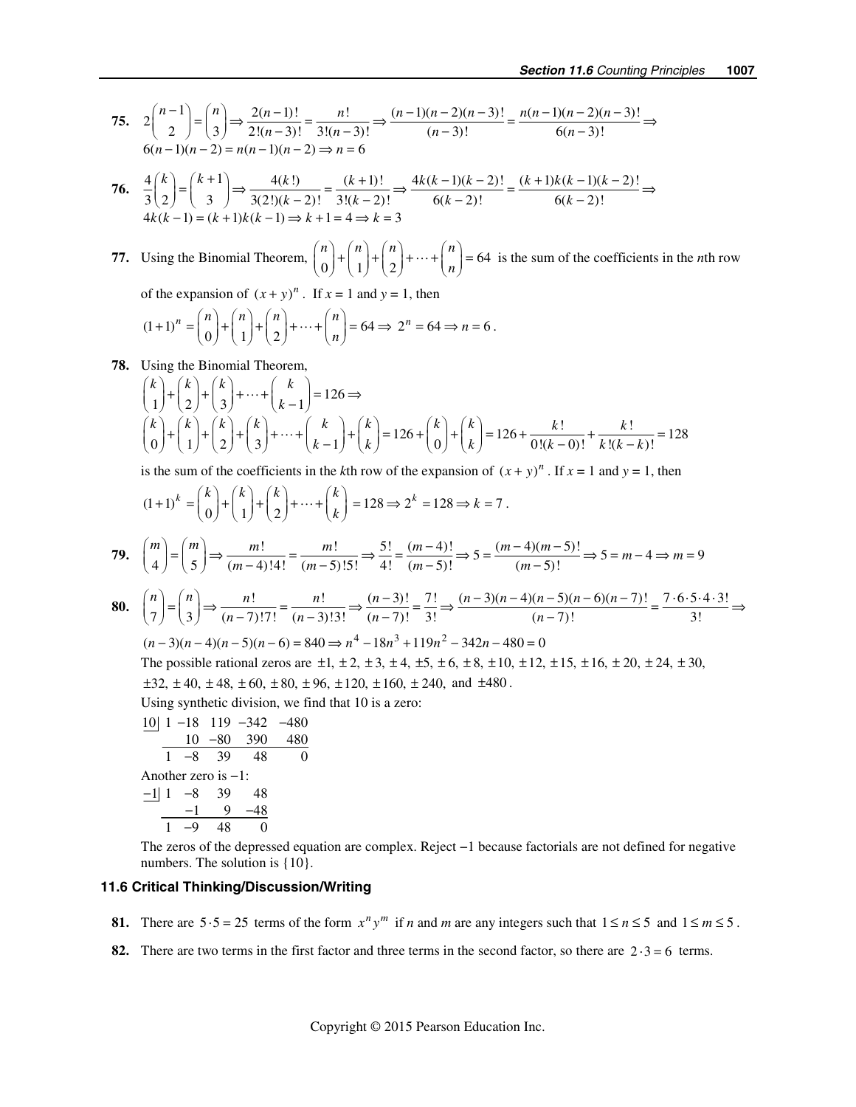75. 
$$
2\binom{n-1}{2} = \binom{n}{3} \Rightarrow \frac{2(n-1)!}{2!(n-3)!} = \frac{n!}{3!(n-3)!} \Rightarrow \frac{(n-1)(n-2)(n-3)!}{(n-3)!} = \frac{n(n-1)(n-2)(n-3)!}{6(n-3)!} \Rightarrow
$$
  
6(n-1)(n-2) = n(n-1)(n-2) \Rightarrow n = 6

76. 
$$
\frac{4}{3} \binom{k}{2} = \binom{k+1}{3} \Rightarrow \frac{4(k!)}{3(2!)(k-2)!} = \frac{(k+1)!}{3!(k-2)!} \Rightarrow \frac{4k(k-1)(k-2)!}{6(k-2)!} = \frac{(k+1)k(k-1)(k-2)!}{6(k-2)!} \Rightarrow 4k(k-1) = (k+1)k(k-1) \Rightarrow k+1=4 \Rightarrow k=3
$$

**77.** Using the Binomial Theorem,  $\begin{pmatrix} 0 \\ 0 \end{pmatrix} + \begin{pmatrix} 1 \\ 1 \end{pmatrix} + \begin{pmatrix} 2 \\ 2 \end{pmatrix} + \cdots + \begin{pmatrix} 1 \\ n \end{pmatrix} = 64$  $n(n)(n)$   $(n)$   $(n)$  $\binom{n}{0}$  +  $\binom{n}{1}$  +  $\binom{n}{2}$  +  $\dots$  +  $\binom{n}{n}$  = 64 is the sum of the coefficients in the *n*th row

of the expansion of  $(x + y)^n$ . If  $x = 1$  and  $y = 1$ , then

$$
(1+1)^n = \binom{n}{0} + \binom{n}{1} + \binom{n}{2} + \dots + \binom{n}{n} = 64 \implies 2^n = 64 \implies n = 6.
$$

 **78.** Using the Binomial Theorem,

$$
\binom{k}{1} + \binom{k}{2} + \binom{k}{3} + \dots + \binom{k}{k-1} = 126 \Rightarrow
$$
\n
$$
\binom{k}{0} + \binom{k}{1} + \binom{k}{2} + \binom{k}{3} + \dots + \binom{k}{k-1} + \binom{k}{k} = 126 + \binom{k}{0} + \binom{k}{k} = 126 + \frac{k!}{0!(k-0)!} + \frac{k!}{k!(k-k)!} = 128
$$

is the sum of the coefficients in the *k*th row of the expansion of  $(x + y)^n$ . If  $x = 1$  and  $y = 1$ , then

$$
(1+1)^k = {k \choose 0} + {k \choose 1} + {k \choose 2} + \dots + {k \choose k} = 128 \Rightarrow 2^k = 128 \Rightarrow k = 7.
$$

$$
\mathbf{79.} \quad \binom{m}{4} = \binom{m}{5} \Rightarrow \frac{m!}{(m-4)!4!} = \frac{m!}{(m-5)!5!} \Rightarrow \frac{5!}{4!} = \frac{(m-4)!}{(m-5)!} \Rightarrow 5 = \frac{(m-4)(m-5)!}{(m-5)!} \Rightarrow 5 = m-4 \Rightarrow m=9
$$

$$
\textbf{80.} \quad \binom{n}{7} = \binom{n}{3} \Rightarrow \frac{n!}{(n-7)!} = \frac{n!}{(n-3)!} \Rightarrow \frac{(n-3)!}{(n-7)!} = \frac{7!}{3!} \Rightarrow \frac{(n-3)(n-4)(n-5)(n-6)(n-7)!}{(n-7)!} = \frac{7 \cdot 6 \cdot 5 \cdot 4 \cdot 3!}{3!} \Rightarrow
$$

 $(n-3)(n-4)(n-5)(n-6) = 840 \Rightarrow n^4 - 18n^3 + 119n^2 - 342n - 480 = 0$ 

The possible rational zeros are  $\pm 1$ ,  $\pm 2$ ,  $\pm 3$ ,  $\pm 4$ ,  $\pm 5$ ,  $\pm 6$ ,  $\pm 8$ ,  $\pm 10$ ,  $\pm 12$ ,  $\pm 15$ ,  $\pm 16$ ,  $\pm 20$ ,  $\pm 24$ ,  $\pm 30$ ,  $\pm 32$ ,  $\pm 40$ ,  $\pm 48$ ,  $\pm 60$ ,  $\pm 80$ ,  $\pm 96$ ,  $\pm 120$ ,  $\pm 160$ ,  $\pm 240$ , and  $\pm 480$ .

Using synthetic division, we find that 10 is a zero:

$$
\frac{10}{1} \quad \frac{1 - 18}{10} \quad \frac{119}{10} \quad \frac{-342}{19} \quad \frac{-480}{19} \quad \frac{10}{39} \quad \frac{480}{48} \quad \frac{10}{0}
$$
\n
$$
\frac{10}{10} \quad \frac{-80}{39} \quad \frac{390}{48} \quad \frac{480}{0}
$$
\n
$$
\frac{10}{10} \quad \frac{10}{10} \quad \frac{-80}{10} \quad \frac{390}{48} \quad \frac{480}{0}
$$

$$
\begin{array}{c|cccc}\n-1 & 1 & -8 & 39 & 48 \\
 & & -1 & 9 & -48 \\
\hline\n & 1 & -9 & 48 & 0\n\end{array}
$$

 The zeros of the depressed equation are complex. Reject −1 because factorials are not defined for negative numbers. The solution is  ${10}$ .

## **11.6 Critical Thinking/Discussion/Writing**

- **81.** There are  $5 \cdot 5 = 25$  terms of the form  $x^n y^m$  if *n* and *m* are any integers such that  $1 \le n \le 5$  and  $1 \le m \le 5$ .
- **82.** There are two terms in the first factor and three terms in the second factor, so there are  $2 \cdot 3 = 6$  terms.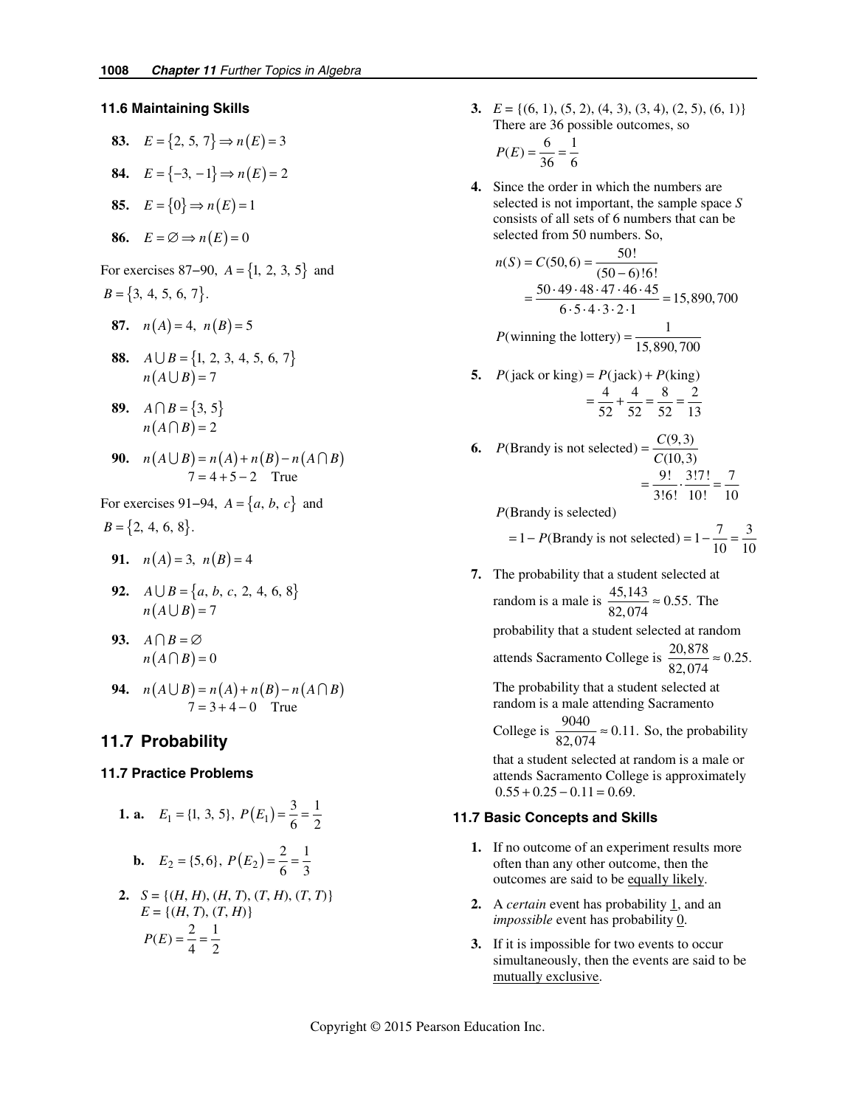#### **11.6 Maintaining Skills**

83. 
$$
E = \{2, 5, 7\} \Rightarrow n(E) = 3
$$
  
\n84.  $E = \{-3, -1\} \Rightarrow n(E) = 2$   
\n85.  $E = \{0\} \Rightarrow n(E) = 1$   
\n86.  $E = \emptyset \Rightarrow n(E) = 0$ 

For exercises 87−90, *A* = {1, 2, 3, 5} and  $B = \{3, 4, 5, 6, 7\}.$ 

87. 
$$
n(A) = 4, n(B) = 5
$$

**88.**  $A \cup B = \{1, 2, 3, 4, 5, 6, 7\}$  $n(A \cup B) = 7$ 

**89.** 
$$
A \cap B = \{3, 5\}
$$
  
 $n(A \cap B) = 2$ 

- **90.**  $n(A \cup B) = n(A) + n(B) n(A \cap B)$  $7 = 4 + 5 - 2$  True
- For exercises 91–94,  $A = \{a, b, c\}$  and  $B = \{2, 4, 6, 8\}.$ 
	- **91.**  $n(A) = 3$ ,  $n(B) = 4$
- **92.**  $A \cup B = \{a, b, c, 2, 4, 6, 8\}$  $n(A \cup B) = 7$

93. 
$$
A \cap B = \varnothing
$$
  
 $n(A \cap B) = 0$ 

**94.**  $n(A \cup B) = n(A) + n(B) - n(A \cap B)$  $7 = 3 + 4 - 0$  True

# **11.7 Probability**

#### **11.7 Practice Problems**

**1. a.** 
$$
E_1 = \{1, 3, 5\}, P(E_1) = \frac{3}{6} = \frac{1}{2}
$$
  
**b.**  $E_2 = \{5, 6\}, P(E_2) = \frac{2}{6} = \frac{1}{3}$   
**2.**  $S = \{(H, H), (H, T), (T, H), (T, T)\}$ 

 $E = \{(H, T), (T, H)\}$  $P(E) = \frac{2}{4} = \frac{1}{2}$ 

**3.**  $E = \{(6, 1), (5, 2), (4, 3), (3, 4), (2, 5), (6, 1)\}\$ There are 36 possible outcomes, so

$$
P(E) = \frac{6}{36} = \frac{1}{6}
$$

 **4.** Since the order in which the numbers are selected is not important, the sample space *S* consists of all sets of 6 numbers that can be selected from 50 numbers. So,

$$
n(S) = C(50, 6) = \frac{50!}{(50 - 6)!6!}
$$
  
= 
$$
\frac{50 \cdot 49 \cdot 48 \cdot 47 \cdot 46 \cdot 45}{6 \cdot 5 \cdot 4 \cdot 3 \cdot 2 \cdot 1} = 15,890,700
$$
  
*P*(winning the lottery) = 
$$
\frac{1}{15,890,700}
$$

- **5.**  $P(jack or king) = P(jack) + P(king)$ 4482  $=\frac{1}{52} + \frac{1}{52} = \frac{6}{52} = \frac{2}{13}$ 
	- **6.**  $P(\text{Brandy is not selected}) = \frac{C(9,3)}{C(10,3)}$ 9! 3!7! 7  $=\frac{3!}{3!6!} \cdot \frac{3!}{10!} = \frac{7}{10}$

(Brandy is selected) *P*

= 1 - P(Brandy is not selected) = 
$$
1 - \frac{7}{10} = \frac{3}{10}
$$

 **7.** The probability that a student selected at random is a male is  $\frac{45,143}{82,074} \approx 0.55$ . The probability that a student selected at random attends Sacramento College is  $\frac{20,878}{82,074} \approx 0.25$ . The probability that a student selected at

random is a male attending Sacramento

College is  $\frac{9040}{82,074} \approx 0.11$ . So, the probability

that a student selected at random is a male or attends Sacramento College is approximately  $0.55 + 0.25 - 0.11 = 0.69.$ 

### **11.7 Basic Concepts and Skills**

- **1.** If no outcome of an experiment results more often than any other outcome, then the outcomes are said to be equally likely.
- **2.** A *certain* event has probability 1, and an *impossible* event has probability 0.
- **3.** If it is impossible for two events to occur simultaneously, then the events are said to be mutually exclusive.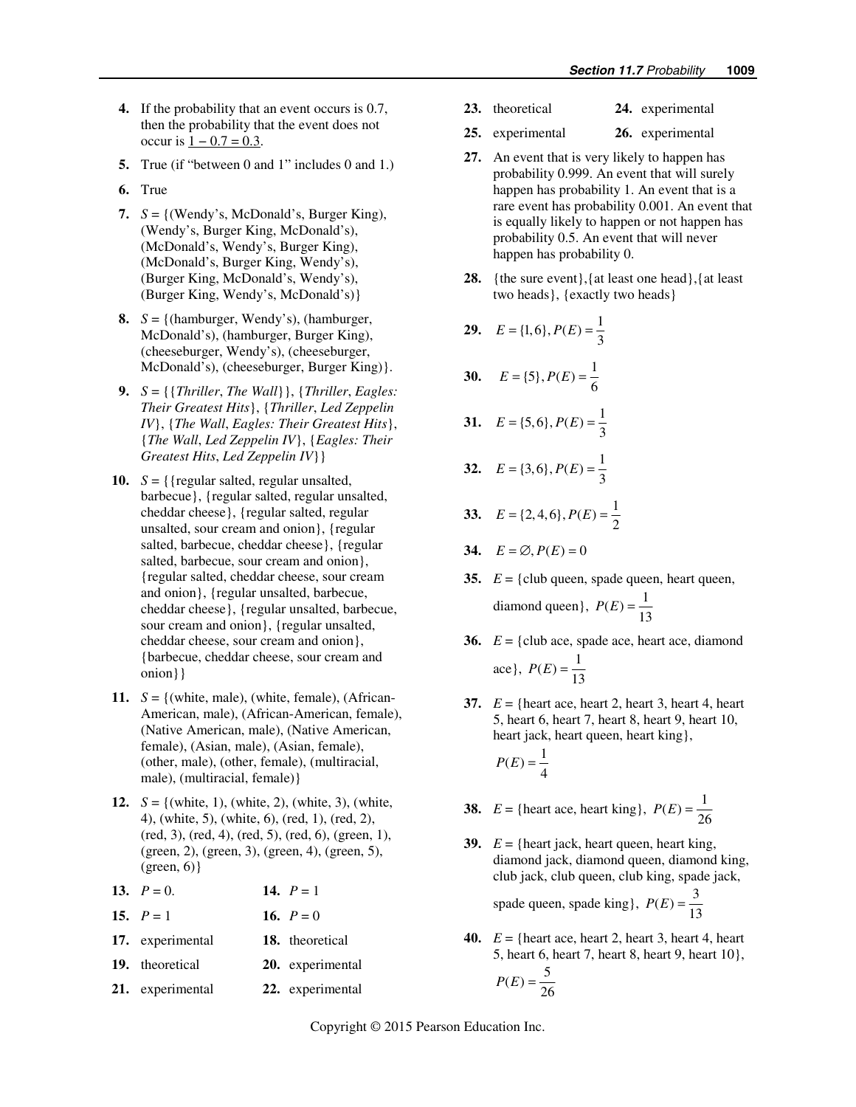- **4.** If the probability that an event occurs is 0.7, then the probability that the event does not occur is  $1 - 0.7 = 0.3$ .
- **5.** True (if "between 0 and 1" includes 0 and 1.)
- **6.** True
- 7.  $S = \{$ (Wendy's, McDonald's, Burger King), (Wendy's, Burger King, McDonald's), (McDonald's, Wendy's, Burger King), (McDonald's, Burger King, Wendy's), (Burger King, McDonald's, Wendy's), (Burger King, Wendy's, McDonald's)}
- 8.  $S = \{(\text{hamburger}, \text{Wendy's}), (\text{hamburger}, \text{Wendy's})\}$ McDonald's), (hamburger, Burger King), (cheeseburger, Wendy's), (cheeseburger, McDonald's), (cheeseburger, Burger King)}.
- **9.** *S* = {{*Thriller*, *The Wall*}}, {*Thriller*, *Eagles: Their Greatest Hits*}, {*Thriller*, *Led Zeppelin IV*}, {*The Wall*, *Eagles: Their Greatest Hits*}, {*The Wall*, *Led Zeppelin IV*}, {*Eagles: Their Greatest Hits*, *Led Zeppelin IV*}}
- 10.  $S = \{ \{ \text{regular salted}, \text{regular unsalled}, \text{parallel} \}$ barbecue}, {regular salted, regular unsalted, cheddar cheese}, {regular salted, regular unsalted, sour cream and onion}, {regular salted, barbecue, cheddar cheese}, {regular salted, barbecue, sour cream and onion}, {regular salted, cheddar cheese, sour cream and onion}, {regular unsalted, barbecue, cheddar cheese}, {regular unsalted, barbecue, sour cream and onion}, {regular unsalted, cheddar cheese, sour cream and onion}, {barbecue, cheddar cheese, sour cream and onion}}
- 11.  $S = \{$ (white, male), (white, female), (African-American, male), (African-American, female), (Native American, male), (Native American, female), (Asian, male), (Asian, female), (other, male), (other, female), (multiracial, male), (multiracial, female)}
- **12.**  $S = \{ (white, 1), (white, 2), (white, 3), (white, \}$ 4), (white, 5), (white, 6), (red, 1), (red, 2), (red, 3), (red, 4), (red, 5), (red, 6), (green, 1), (green, 2), (green, 3), (green, 4), (green, 5),  $(green, 6)$ }
- **13.**  $P = 0.$  **14.**  $P = 1$
- **15.**  $P = 1$  **16.**  $P = 0$
- **17.** experimental **18.** theoretical
- **19.** theoretical **20.** experimental
- **21.** experimental **22.** experimental
- **23.** theoretical **24.** experimental
- **25.** experimental **26.** experimental
- **27.** An event that is very likely to happen has probability 0.999. An event that will surely happen has probability 1. An event that is a rare event has probability 0.001. An event that is equally likely to happen or not happen has probability 0.5. An event that will never happen has probability 0.
- **28.** {the sure event},{at least one head},{at least two heads}, {exactly two heads}

**29.** 
$$
E = \{1, 6\}, P(E) = \frac{1}{3}
$$

30. 
$$
E = \{5\}, P(E) = \frac{1}{6}
$$

31. 
$$
E = \{5, 6\}, P(E) = \frac{1}{3}
$$

- **32.**  $E = \{3, 6\}, P(E) = \frac{1}{3}$
- **33.**  $E = \{2, 4, 6\}, P(E) = \frac{1}{2}$
- **34.**  $E = \emptyset, P(E) = 0$
- **35.**  $E = \{ \text{club queen, spade queen, heart queen, \}$ diamond queen},  $P(E) = \frac{1}{13}$
- **36.**  $E = \{ \text{club ace, spade ace, heart ace, diamond } \}$ ace},  $P(E) = \frac{1}{13}$
- **37.**  $E = \{$  heart ace, heart 2, heart 3, heart 4, heart 5, heart 6, heart 7, heart 8, heart 9, heart 10, heart jack, heart queen, heart king},

$$
P(E) = \frac{1}{4}
$$

- **38.**  $E = \{\text{heart ace, heart king}\}, P(E) = \frac{1}{26}$
- **39.**  $E = \{heart\ jack, heart\ queen, heart\ king,$ diamond jack, diamond queen, diamond king, club jack, club queen, club king, spade jack,

spade queen, spade king},  $P(E) = \frac{3}{13}$ 

**40.**  $E = \{\text{heart ace, heart 2, heart 3, heart 4, heart\}$ 5, heart 6, heart 7, heart 8, heart 9, heart 10},

$$
P(E) = \frac{5}{26}
$$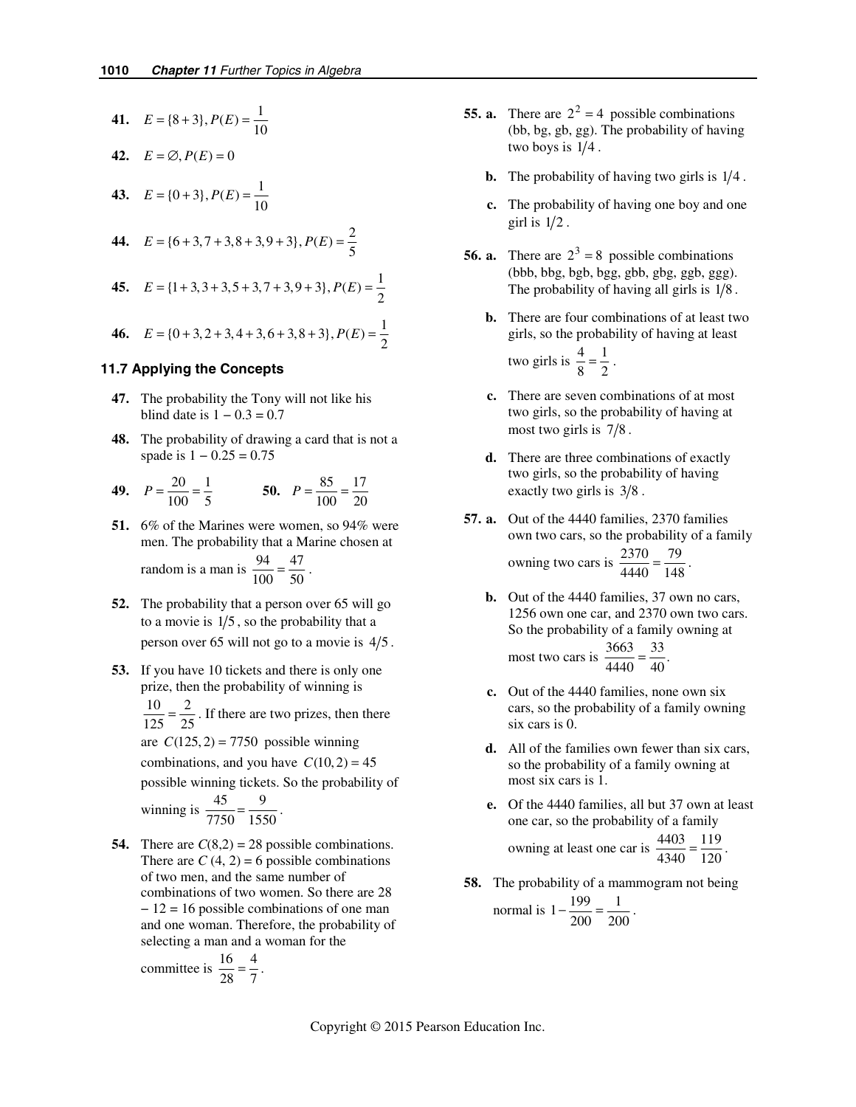41. 
$$
E = \{8+3\}, P(E) = \frac{1}{10}
$$

**43.**  $E = \{0+3\}, P(E) = \frac{1}{10}$ 

$$
42. \quad E = \emptyset, P(E) = 0
$$

**44.** 
$$
E = \{6 + 3, 7 + 3, 8 + 3, 9 + 3\}, P(E) = \frac{2}{5}
$$

**45.**  $E = \{1+3,3+3,5+3,7+3,9+3\}, P(E) = \frac{1}{2}$ 

**46.** 
$$
E = \{0+3, 2+3, 4+3, 6+3, 8+3\}, P(E) = \frac{1}{2}
$$

#### **11.7 Applying the Concepts**

- **47.** The probability the Tony will not like his blind date is  $1 - 0.3 = 0.7$
- **48.** The probability of drawing a card that is not a spade is  $1 - 0.25 = 0.75$

**49.** 
$$
P = \frac{20}{100} = \frac{1}{5}
$$
 **50.**  $P = \frac{85}{100} = \frac{17}{20}$ 

- **51.** 6% of the Marines were women, so 94% were men. The probability that a Marine chosen at random is a man is  $\frac{94}{100} = \frac{47}{50}$ .
- **52.** The probability that a person over 65 will go to a movie is  $1/5$ , so the probability that a person over 65 will not go to a movie is  $4/5$ .
- **53.** If you have 10 tickets and there is only one prize, then the probability of winning is  $\frac{10}{125} = \frac{2}{25}$ . If there are two prizes, then there are  $C(125, 2) = 7750$  possible winning combinations, and you have  $C(10, 2) = 45$ possible winning tickets. So the probability of winning is  $\frac{45}{7750} = \frac{9}{1550}$ .
- **54.** There are  $C(8,2) = 28$  possible combinations. There are  $C(4, 2) = 6$  possible combinations of two men, and the same number of combinations of two women. So there are 28 − 12 = 16 possible combinations of one man and one woman. Therefore, the probability of selecting a man and a woman for the

$$
committee is \frac{16}{28} = \frac{4}{7}.
$$

- **55. a.** There are  $2^2 = 4$  possible combinations (bb, bg, gb, gg). The probability of having two boys is  $1/4$ .
	- **b.** The probability of having two girls is  $1/4$ .
	- **c.** The probability of having one boy and one girl is  $1/2$ .
- **56. a.** There are  $2^3 = 8$  possible combinations (bbb, bbg, bgb, bgg, gbb, gbg, ggb, ggg). The probability of having all girls is  $1/8$ .
	- **b.** There are four combinations of at least two girls, so the probability of having at least two girls is  $\frac{4}{8} = \frac{1}{2}$ .
	- **c.** There are seven combinations of at most two girls, so the probability of having at most two girls is  $7/8$ .
	- **d.** There are three combinations of exactly two girls, so the probability of having exactly two girls is  $3/8$ .
- **57. a.** Out of the 4440 families, 2370 families own two cars, so the probability of a family owning two cars is  $\frac{2370}{4440} = \frac{79}{148}$ .
	- **b.** Out of the 4440 families, 37 own no cars, 1256 own one car, and 2370 own two cars. So the probability of a family owning at most two cars is  $\frac{3663}{4440} = \frac{33}{40}$
	- **c.** Out of the 4440 families, none own six cars, so the probability of a family owning six cars is 0.
	- **d.** All of the families own fewer than six cars, so the probability of a family owning at most six cars is 1.
	- **e.** Of the 4440 families, all but 37 own at least one car, so the probability of a family owning at least one car is  $\frac{4403}{4340} = \frac{119}{120}$ .
- **58.** The probability of a mammogram not being

normal is 
$$
1 - \frac{199}{200} = \frac{1}{200}
$$
.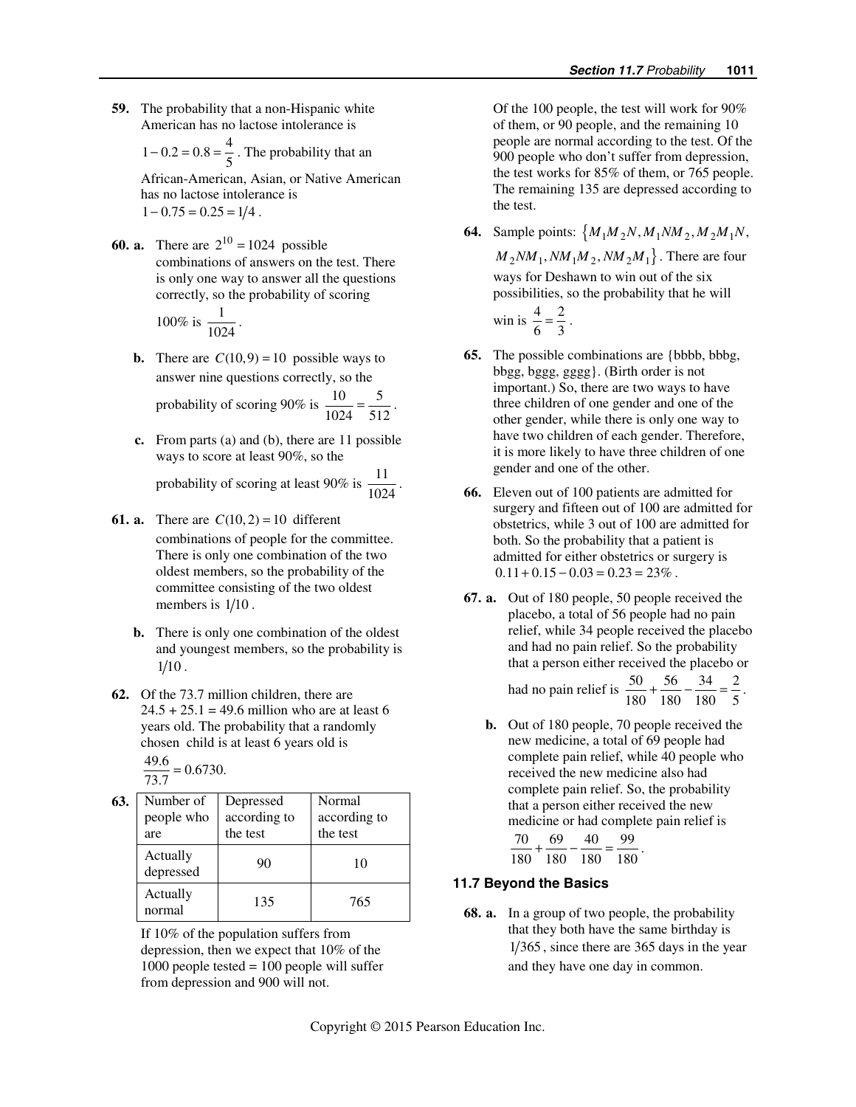**59.** The probability that a non-Hispanic white American has no lactose intolerance is

$$
1 - 0.2 = 0.8 = \frac{4}{5}
$$
. The probability that an

African-American, Asian, or Native American has no lactose intolerance is  $1 - 0.75 = 0.25 = 1/4$ .

**60. a.** There are  $2^{10} = 1024$  possible combinations of answers on the test. There is only one way to answer all the questions correctly, so the probability of scoring

100% is 
$$
\frac{1}{1024}
$$
.

- **b.** There are  $C(10,9) = 10$  possible ways to answer nine questions correctly, so the probability of scoring 90% is  $\frac{10}{1024} = \frac{5}{512}$ .
- **c.** From parts (a) and (b), there are 11 possible ways to score at least 90%, so the

probability of scoring at least 90% is  $\frac{11}{1024}$ .

- **61. a.** There are  $C(10, 2) = 10$  different combinations of people for the committee. There is only one combination of the two oldest members, so the probability of the committee consisting of the two oldest members is  $1/10$ .
	- **b.** There is only one combination of the oldest and youngest members, so the probability is  $1/10$ .
- **62.** Of the 73.7 million children, there are  $24.5 + 25.1 = 49.6$  million who are at least 6 years old. The probability that a randomly chosen child is at least 6 years old is

$$
\frac{49.6}{73.7} = 0.6730.
$$

 **63.** Number of people who are Depressed according to the test Normal according to the test Actually depressed 90 10 Actually Actually 135 765

 If 10% of the population suffers from depression, then we expect that 10% of the 1000 people tested = 100 people will suffer from depression and 900 will not.

 Of the 100 people, the test will work for 90% of them, or 90 people, and the remaining 10 people are normal according to the test. Of the 900 people who don't suffer from depression, the test works for 85% of them, or 765 people. The remaining 135 are depressed according to the test.

**64.** Sample points:  $\{M_1M_2N, M_1NM_2, M_2M_1N,$ 

 $M_2NM_1, NM_1M_2, NM_2M_1$ . There are four ways for Deshawn to win out of the six possibilities, so the probability that he will win is  $\frac{4}{6} = \frac{2}{3}$ .

- **65.** The possible combinations are {bbbb, bbbg, bbgg, bggg, gggg}. (Birth order is not important.) So, there are two ways to have three children of one gender and one of the other gender, while there is only one way to have two children of each gender. Therefore, it is more likely to have three children of one gender and one of the other.
- **66.** Eleven out of 100 patients are admitted for surgery and fifteen out of 100 are admitted for obstetrics, while 3 out of 100 are admitted for both. So the probability that a patient is admitted for either obstetrics or surgery is  $0.11 + 0.15 - 0.03 = 0.23 = 23\%$ .
- **67. a.** Out of 180 people, 50 people received the placebo, a total of 56 people had no pain relief, while 34 people received the placebo and had no pain relief. So the probability that a person either received the placebo or

had no pain relief is 
$$
\frac{50}{180} + \frac{56}{180} - \frac{34}{180} = \frac{2}{5}
$$
.

 **b.** Out of 180 people, 70 people received the new medicine, a total of 69 people had complete pain relief, while 40 people who received the new medicine also had complete pain relief. So, the probability that a person either received the new medicine or had complete pain relief is  $70, 69, 40, 99$ 

$$
\frac{70}{180} + \frac{09}{180} - \frac{40}{180} = \frac{99}{180}.
$$

### **11.7 Beyond the Basics**

 **68. a.** In a group of two people, the probability that they both have the same birthday is  $1/365$ , since there are 365 days in the year and they have one day in common.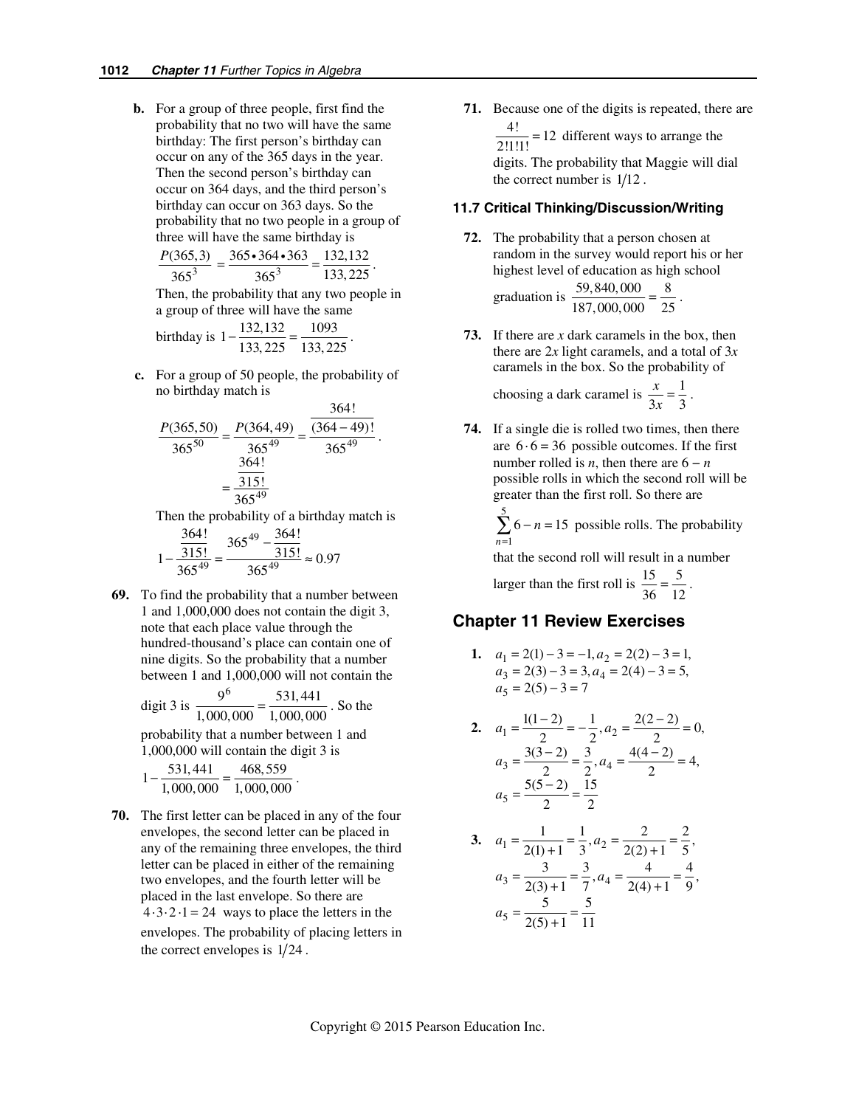**b.** For a group of three people, first find the probability that no two will have the same birthday: The first person's birthday can occur on any of the 365 days in the year. Then the second person's birthday can occur on 364 days, and the third person's birthday can occur on 363 days. So the probability that no two people in a group of three will have the same birthday is

$$
\frac{P(365,3)}{365^3} = \frac{365 \cdot 364 \cdot 363}{365^3} = \frac{132,132}{133,225}.
$$

Then, the probability that any two people in a group of three will have the same

birthday is 
$$
1 - \frac{132,132}{133,225} = \frac{1093}{133,225}
$$
.

 **c.** For a group of 50 people, the probability of no birthday match is  $264!$ 

$$
\frac{P(365,50)}{365^{50}} = \frac{P(364,49)}{365^{49}} = \frac{\frac{364!}{(364-49)!}}{365^{49}}
$$

$$
= \frac{\frac{364!}{315!}}{365^{49}}
$$

.

Then the probability of a birthday match is

$$
1 - \frac{\frac{364!}{315!}}{365^{49}} = \frac{365^{49} - \frac{364!}{315!}}{365^{49}} \approx 0.97
$$

 **69.** To find the probability that a number between 1 and 1,000,000 does not contain the digit 3, note that each place value through the hundred-thousand's place can contain one of nine digits. So the probability that a number between 1 and 1,000,000 will not contain the

digit 3 is 
$$
\frac{9^6}{1,000,000} = \frac{531,441}{1,000,000}
$$
. So the

probability that a number between 1 and 1,000,000 will contain the digit 3 is

$$
1 - \frac{531,441}{1,000,000} = \frac{468,559}{1,000,000}.
$$

**70.** The first letter can be placed in any of the four envelopes, the second letter can be placed in any of the remaining three envelopes, the third letter can be placed in either of the remaining two envelopes, and the fourth letter will be placed in the last envelope. So there are  $4 \cdot 3 \cdot 2 \cdot 1 = 24$  ways to place the letters in the envelopes. The probability of placing letters in the correct envelopes is  $1/24$ .

**71.** Because one of the digits is repeated, there are  $\frac{4!}{2!1!1!}$  = 12 different ways to arrange the digits. The probability that Maggie will dial the correct number is  $1/12$ .

### **11.7 Critical Thinking/Discussion/Writing**

- **72.** The probability that a person chosen at random in the survey would report his or her highest level of education as high school graduation is  $\frac{59,840,000}{187,000,000} = \frac{8}{25}$ .
- **73.** If there are *x* dark caramels in the box, then there are 2*x* light caramels, and a total of 3*x* caramels in the box. So the probability of

choosing a dark caramel is  $\frac{x}{3x} = \frac{1}{3}$  $\frac{x}{3x} = \frac{1}{3}$ .

**74.** If a single die is rolled two times, then there are  $6 \cdot 6 = 36$  possible outcomes. If the first number rolled is *n*, then there are  $6 - n$ possible rolls in which the second roll will be greater than the first roll. So there are

> 5 1  $6 - n = 15$ *n n*  $\sum_{n=1}$  6 – *n* = 15 possible rolls. The probability

that the second roll will result in a number

larger than the first roll is  $\frac{15}{36} = \frac{5}{12}$ .

# **Chapter 11 Review Exercises**

1. 
$$
a_1 = 2(1) - 3 = -1, a_2 = 2(2) - 3 = 1,
$$
  
\n $a_3 = 2(3) - 3 = 3, a_4 = 2(4) - 3 = 5,$   
\n $a_5 = 2(5) - 3 = 7$ 

2. 
$$
a_1 = \frac{1(1-2)}{2} = -\frac{1}{2}, a_2 = \frac{2(2-2)}{2} = 0,
$$
  
\n $a_3 = \frac{3(3-2)}{2} = \frac{3}{2}, a_4 = \frac{4(4-2)}{2} = 4,$   
\n $a_5 = \frac{5(5-2)}{2} = \frac{15}{2}$ 

3. 
$$
a_1 = \frac{1}{2(1) + 1} = \frac{1}{3}, a_2 = \frac{2}{2(2) + 1} = \frac{2}{5},
$$
  
\n $a_3 = \frac{3}{2(3) + 1} = \frac{3}{7}, a_4 = \frac{4}{2(4) + 1} = \frac{4}{9},$   
\n $a_5 = \frac{5}{2(5) + 1} = \frac{5}{11}$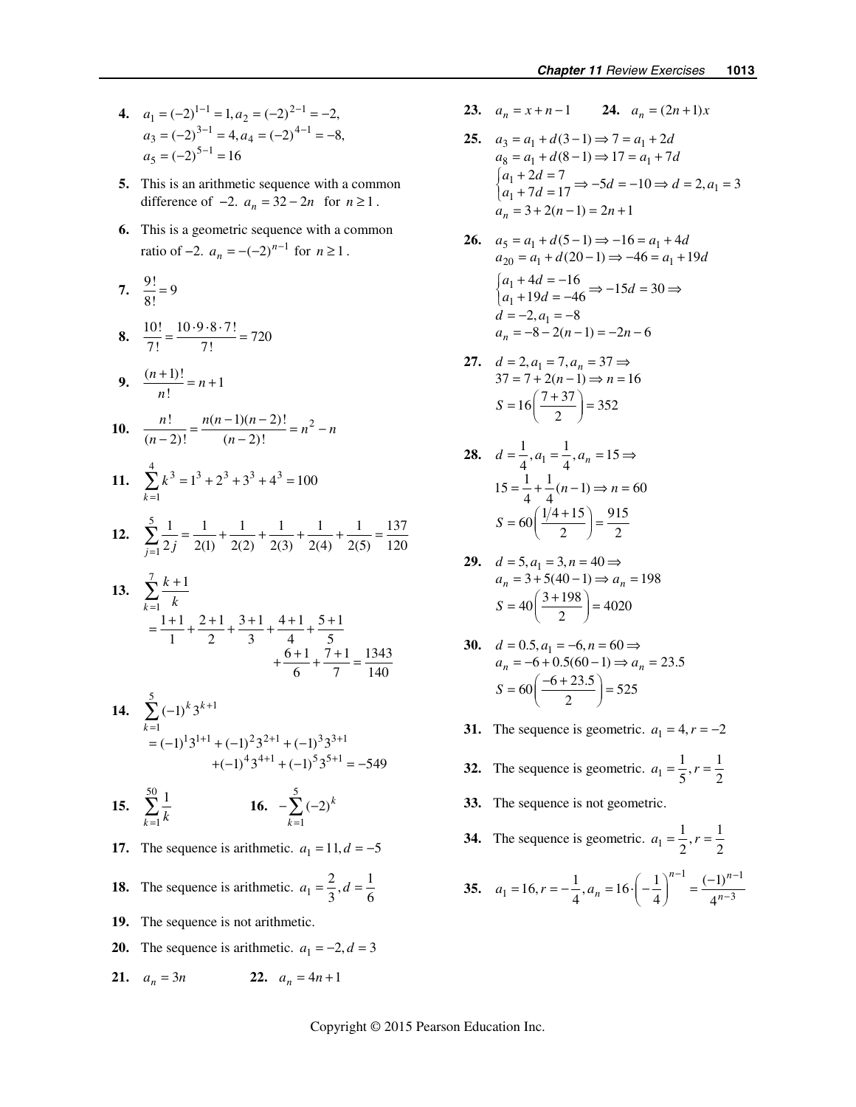- **4.**  $a_1 = (-2)^{1-1} = 1, a_2 = (-2)^{2-1} = -2,$  $a_3 = (-2)^{3-1} = 4, a_4 = (-2)^{4-1} = -8,$  $a_5 = (-2)^{5-1} = 16$ 
	- **5.** This is an arithmetic sequence with a common difference of  $-2$ .  $a_n = 32 - 2n$  for  $n \ge 1$ .
	- **6.** This is a geometric sequence with a common ratio of  $-2$ .  $a_n = -(-2)^{n-1}$  for  $n \ge 1$ .

7. 
$$
\frac{9!}{8!} = 9
$$
  
\n8.  $\frac{10!}{7!} = \frac{10 \cdot 9 \cdot 8 \cdot 7!}{7!} = 720$   
\n9.  $\frac{(n+1)!}{n!} = n+1$   
\n10.  $\frac{n!}{(n-2)!} = \frac{n(n-1)(n-2)!}{(n-2)!} = n^2 - n$   
\n11.  $\sum_{k=1}^{4} k^3 = 1^3 + 2^3 + 3^3 + 4^3 = 100$   
\n12.  $\sum_{j=1}^{5} \frac{1}{2j} = \frac{1}{2(1)} + \frac{1}{2(2)} + \frac{1}{2(3)} + \frac{1}{2(4)} + \frac{1}{2(5)} = \frac{137}{120}$   
\n13.  $\sum_{k=1}^{7} \frac{k+1}{k} = \frac{1+1}{1} + \frac{2+1}{2} + \frac{3+1}{3} + \frac{4+1}{4} + \frac{5+1}{5} + \frac{6+1}{7} + \frac{7+1}{7} = \frac{1343}{140}$   
\n14.  $\sum_{k=1}^{5} (-1)^k 3^{k+1} + (-1)^2 3^{2+1} + (-1)^3 3^{3+1} + (-1)^5 3^{5+1} = -549$ 

- **15.**  50 1 1  $\sum_{k=1}$   $k$  $\sum_{k=1}^{50} \frac{1}{k}$  **16.**  $-\sum_{k=1}^{5} (-2)^k$ 1 *k* =
	- **17.** The sequence is arithmetic.  $a_1 = 11, d = -5$
	- **18.** The sequence is arithmetic.  $a_1 = \frac{2}{3}$ ,  $d = \frac{1}{6}$
	- **19.** The sequence is not arithmetic.
	- **20.** The sequence is arithmetic.  $a_1 = -2, d = 3$
	- **21.**  $a_n = 3n$  **22.**  $a_n = 4n + 1$
- **23.**  $a_n = x + n-1$  **24.**  $a_n = (2n+1)x$
- **25.**  $a_3 = a_1 + d(3-1) \Rightarrow 7 = a_1 + 2d$  $a_8 = a_1 + d(8-1) \Rightarrow 17 = a_1 + 7d$  $\begin{cases} a_1 + 2d = 7 \\ a_1 + 7d = 17 \end{cases} \Rightarrow -5d = -10 \Rightarrow d = 2, a_1 = 3$  $a_n = 3 + 2(n-1) = 2n + 1$
- **26.**  $a_5 = a_1 + d(5-1) \Rightarrow -16 = a_1 + 4d$  $a_{20} = a_1 + d(20 - 1) \Rightarrow -46 = a_1 + 19d$ 1  $\begin{cases} a_1 + 4d = -16 \\ a_1 + 19d = -46 \end{cases}$  ⇒  $-15d = 30$  ⇒  $d = -2, a_1 = -8$  $a_n = -8 - 2(n-1) = -2n - 6$
- **27.**  $d = 2, a_1 = 7, a_n = 37 \implies$  $37 = 7 + 2(n-1) \Rightarrow n = 16$  $S = 16 \left( \frac{7 + 37}{2} \right) = 352$
- **28.**  $d = \frac{1}{4}, a_1 = \frac{1}{4}, a_n = 15 \implies$  $15 = \frac{1}{4} + \frac{1}{4}(n-1) \Rightarrow n = 60$  $S = 60 \left( \frac{1/4 + 15}{2} \right) = \frac{915}{2}$
- **29.**  $d = 5, a_1 = 3, n = 40 \implies$  $a_n = 3 + 5(40 - 1) \Rightarrow a_n = 198$  $S = 40 \left( \frac{3 + 198}{2} \right) = 4020$
- **30.**  $d = 0.5, a_1 = -6, n = 60 \implies$  $a_n = -6 + 0.5(60 - 1) \Rightarrow a_n = 23.5$  $S = 60 \left( \frac{-6 + 23.5}{2} \right) = 525$
- **31.** The sequence is geometric.  $a_1 = 4, r = -2$
- **32.** The sequence is geometric.  $a_1 = \frac{1}{5}, r = \frac{1}{2}$
- **33.** The sequence is not geometric.
- **34.** The sequence is geometric.  $a_1 = \frac{1}{2}, r = \frac{1}{2}$
- **35.**   $1 \tbinom{n-1}{1}$  $a_1 = 16, r = -\frac{1}{4}, a_n = 16 \cdot \left(-\frac{1}{4}\right)^{n-1} = \frac{(-1)^{n-1}}{4^{n-3}}$  $a_1 = 16, r = -\frac{1}{4}, a_n = 16 \cdot \left(-\frac{1}{4}\right) = \frac{1}{4}$  $^{-1}$  (1)<sup>n-</sup>  $=16, r = -\frac{1}{4}, a_n = 16 \cdot \left(-\frac{1}{4}\right)^{n-1} = \frac{(-1)^n}{4^n}$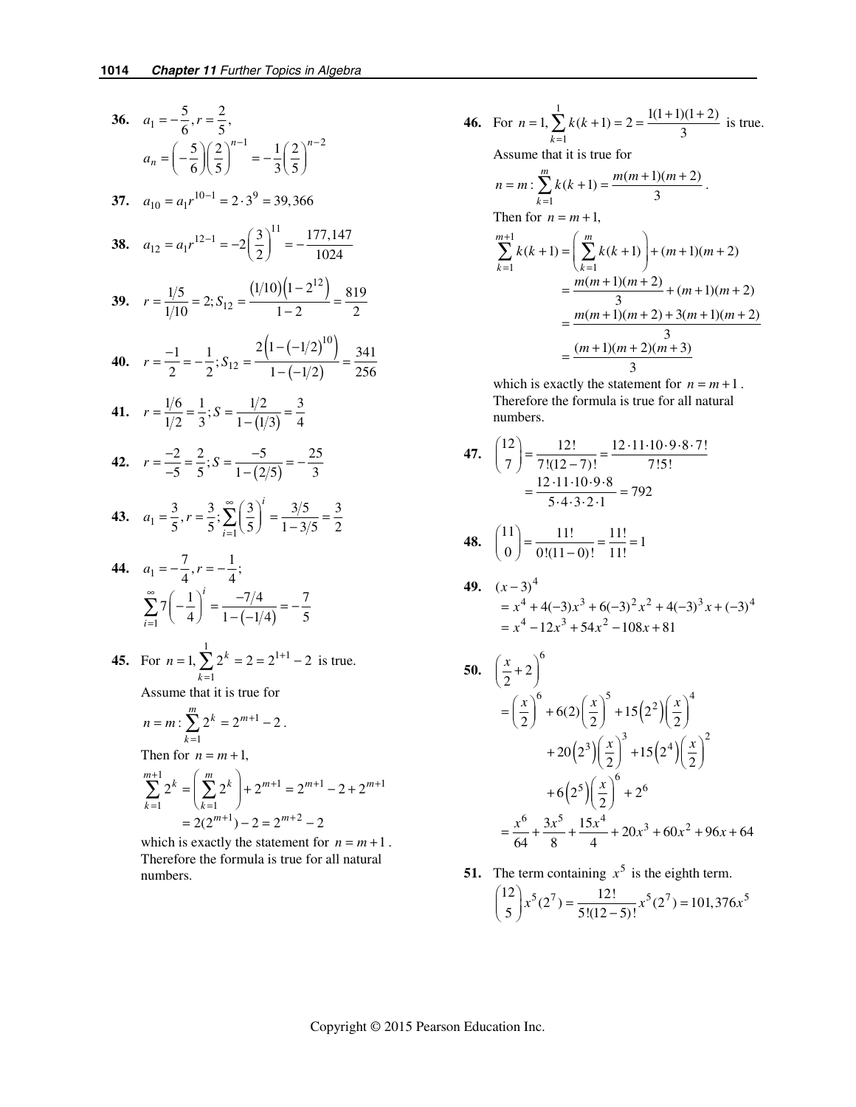36. 
$$
a_1 = -\frac{5}{6}, r = \frac{2}{5},
$$
  
\n $a_n = \left(-\frac{5}{6}\right)\left(\frac{2}{5}\right)^{n-1} = -\frac{1}{3}\left(\frac{2}{5}\right)^{n-2}$   
\n37.  $a_{10} = a_1 r^{10-1} = 2 \cdot 3^9 = 39,366$   
\n38.  $a_{12} = a_1 r^{12-1} = -2\left(\frac{3}{2}\right)^{11} = -\frac{177,147}{1024}$   
\n39.  $r = \frac{1/5}{1/10} = 2; S_{12} = \frac{(1/10)(1-2^{12})}{1-2} = \frac{819}{2}$   
\n40.  $r = \frac{-1}{2} = -\frac{1}{2}; S_{12} = \frac{2(1-(-1/2)^{10})}{1-(-1/2)} = \frac{341}{256}$   
\n41.  $r = \frac{1/6}{1/2} = \frac{1}{3}; S = \frac{1/2}{1-(1/3)} = \frac{3}{4}$   
\n42.  $r = \frac{-2}{-5} = \frac{2}{5}; S = \frac{-5}{1-(2/5)} = -\frac{25}{3}$   
\n43.  $a_1 = \frac{3}{5}, r = \frac{3}{5}; \sum_{i=1}^{\infty} \left(\frac{3}{5}\right)^i = \frac{3/5}{1-3/5} = \frac{3}{2}$   
\n44.  $a_1 = -\frac{7}{4}, r = -\frac{1}{4};$   
\n $\sum_{i=1}^{\infty} 7\left(-\frac{1}{4}\right)^i = \frac{-7/4}{1-(-1/4)} = -\frac{7}{5}$ 

**45.** For 
$$
n = 1
$$
,  $\sum_{k=1}^{6} 2^k = 2 = 2^{1+1} - 2$  is true.

Assume that it is true for

$$
n = m: \sum_{k=1}^{m} 2^{k} = 2^{m+1} - 2.
$$
  
Then for  $n = m + 1$ ,  

$$
\sum_{k=1}^{m+1} 2^{k} = \left(\sum_{k=1}^{m} 2^{k}\right) + 2^{m+1} = 2^{m+1} - 2 + 2^{m+1}
$$

$$
= 2(2^{m+1}) - 2 = 2^{m+2} - 2
$$

which is exactly the statement for  $n = m + 1$ . Therefore the formula is true for all natural numbers.

46. For 
$$
n = 1
$$
,  $\sum_{k=1}^{1} k(k+1) = 2 = \frac{1(1+1)(1+2)}{3}$  is true.  
\nAssume that it is true for  
\n $n = m : \sum_{k=1}^{m} k(k+1) = \frac{m(m+1)(m+2)}{3}$ .  
\nThen for  $n = m+1$ ,  
\n
$$
\sum_{k=1}^{m+1} k(k+1) = \left(\sum_{k=1}^{m} k(k+1)\right) + (m+1)(m+2)
$$
\n
$$
= \frac{m(m+1)(m+2)}{3} + (m+1)(m+2)
$$
\n
$$
= \frac{m(m+1)(m+2) + 3(m+1)(m+2)}{3}
$$
\n
$$
= \frac{(m+1)(m+2)(m+3)}{3}
$$

which is exactly the statement for  $n = m + 1$ . Therefore the formula is true for all natural numbers.

**47.** 
$$
\binom{12}{7} = \frac{12!}{7!(12-7)!} = \frac{12 \cdot 11 \cdot 10 \cdot 9 \cdot 8 \cdot 7!}{7!5!}
$$
  
=  $\frac{12 \cdot 11 \cdot 10 \cdot 9 \cdot 8}{5 \cdot 4 \cdot 3 \cdot 2 \cdot 1} = 792$ 

**48.** 
$$
\binom{11}{0} = \frac{11!}{0!(11-0)!} = \frac{11!}{11!} = 1
$$

**49.** 
$$
(x-3)^4
$$
  
=  $x^4 + 4(-3)x^3 + 6(-3)^2x^2 + 4(-3)^3x + (-3)^4$   
=  $x^4 - 12x^3 + 54x^2 - 108x + 81$ 

50. 
$$
\left(\frac{x}{2} + 2\right)^6
$$
  
\n
$$
= \left(\frac{x}{2}\right)^6 + 6(2)\left(\frac{x}{2}\right)^5 + 15(2^2)\left(\frac{x}{2}\right)^4
$$
\n
$$
+ 20(2^3)\left(\frac{x}{2}\right)^3 + 15(2^4)\left(\frac{x}{2}\right)^2
$$
\n
$$
+ 6(2^5)\left(\frac{x}{2}\right)^6 + 2^6
$$
\n
$$
= \frac{x^6}{64} + \frac{3x^5}{8} + \frac{15x^4}{4} + 20x^3 + 60x^2 + 96x + 64
$$

**51.** The term containing 
$$
x^5
$$
 is the eighth term.  
\n
$$
{12 \choose 5} x^5 (2^7) = \frac{12!}{5!(12-5)!} x^5 (2^7) = 101,376x^5
$$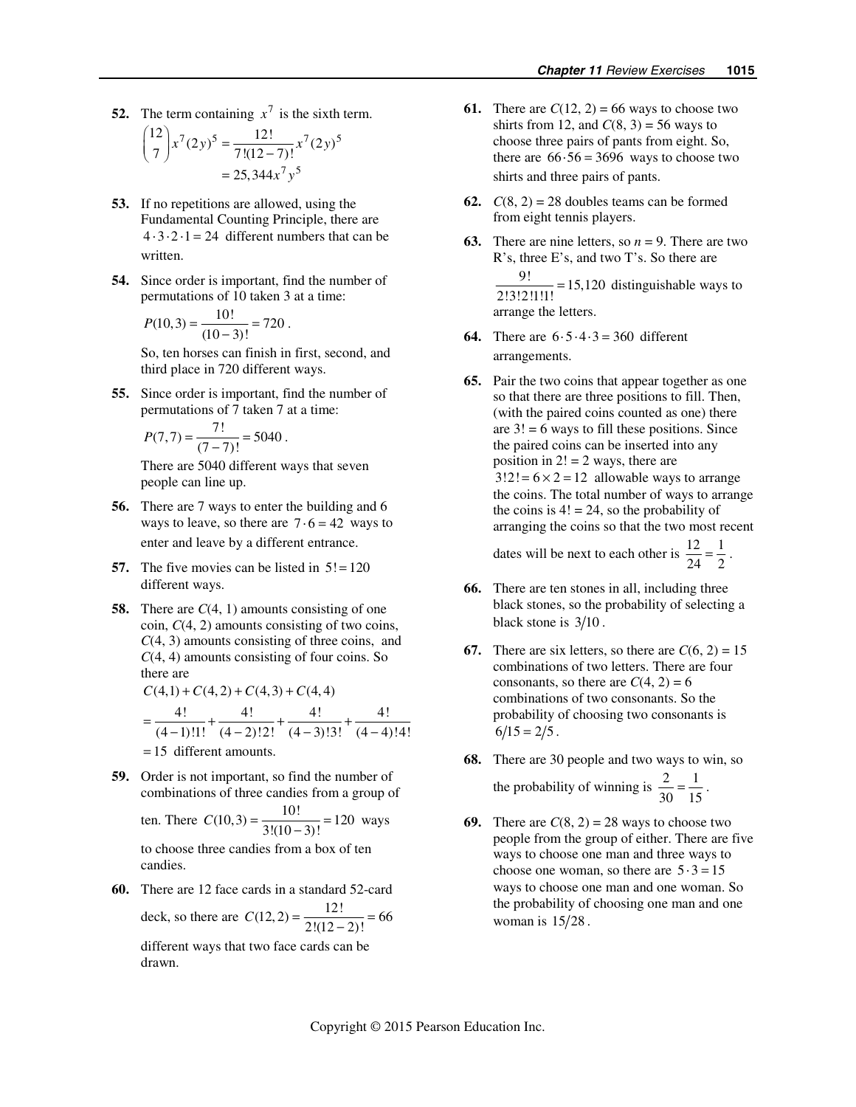**52.** The term containing  $x^7$  is the sixth term.

$$
{\binom{12}{7}}x^7(2y)^5 = \frac{12!}{7!(12-7)!}x^7(2y)^5
$$
  
= 25,344x<sup>7</sup>y<sup>5</sup>

- **53.** If no repetitions are allowed, using the Fundamental Counting Principle, there are  $4 \cdot 3 \cdot 2 \cdot 1 = 24$  different numbers that can be written.
- **54.** Since order is important, find the number of permutations of 10 taken 3 at a time:

$$
P(10,3) = \frac{10!}{(10-3)!} = 720.
$$

So, ten horses can finish in first, second, and third place in 720 different ways.

**55.** Since order is important, find the number of permutations of 7 taken 7 at a time:

$$
P(7,7) = \frac{7!}{(7-7)!} = 5040.
$$

There are 5040 different ways that seven people can line up.

- **56.** There are 7 ways to enter the building and 6 ways to leave, so there are  $7 \cdot 6 = 42$  ways to enter and leave by a different entrance.
- **57.** The five movies can be listed in  $5! = 120$ different ways.
- **58.** There are *C*(4, 1) amounts consisting of one coin, *C*(4, 2) amounts consisting of two coins, *C*(4, 3) amounts consisting of three coins, and *C*(4, 4) amounts consisting of four coins. So there are  $C(4,1) + C(4,2) + C(4,3) + C(4,4)$

$$
C(4,1) + C(4,2) + C(4,3) + C(4,4)
$$
  
= 
$$
\frac{4!}{(4-1)!1!} + \frac{4!}{(4-2)!2!} + \frac{4!}{(4-3)!3!} + \frac{4!}{(4-4)!4!}
$$
  
= 15 different amounts.

**59.** Order is not important, so find the number of combinations of three candies from a group of

ten. There 
$$
C(10,3) = \frac{10!}{3!(10-3)!} = 120
$$
 ways

to choose three candies from a box of ten candies.

**60.** There are 12 face cards in a standard 52-card deck, so there are  $C(12, 2) = \frac{12!}{2!(12-2)!} = 66$ 

different ways that two face cards can be drawn.

- **61.** There are  $C(12, 2) = 66$  ways to choose two shirts from 12, and  $C(8, 3) = 56$  ways to choose three pairs of pants from eight. So, there are  $66.56 = 3696$  ways to choose two shirts and three pairs of pants.
- **62.**  $C(8, 2) = 28$  doubles teams can be formed from eight tennis players.
- **63.** There are nine letters, so  $n = 9$ . There are two R's, three E's, and two T's. So there are  $\frac{9!}{2!3!2!1!1!}$  = 15,120 distinguishable ways to arrange the letters.
- **64.** There are  $6 \cdot 5 \cdot 4 \cdot 3 = 360$  different arrangements.
- **65.** Pair the two coins that appear together as one so that there are three positions to fill. Then, (with the paired coins counted as one) there are  $3! = 6$  ways to fill these positions. Since the paired coins can be inserted into any position in  $2! = 2$  ways, there are  $3!2! = 6 \times 2 = 12$  allowable ways to arrange the coins. The total number of ways to arrange the coins is  $4! = 24$ , so the probability of arranging the coins so that the two most recent dates will be next to each other is  $\frac{12}{24} = \frac{1}{2}$ .
- **66.** There are ten stones in all, including three black stones, so the probability of selecting a black stone is  $3/10$ .
- **67.** There are six letters, so there are  $C(6, 2) = 15$ combinations of two letters. There are four consonants, so there are  $C(4, 2) = 6$ combinations of two consonants. So the probability of choosing two consonants is  $6/15 = 2/5$ .
- **68.** There are 30 people and two ways to win, so

the probability of winning is 
$$
\frac{2}{30} = \frac{1}{15}
$$
.

**69.** There are  $C(8, 2) = 28$  ways to choose two people from the group of either. There are five ways to choose one man and three ways to choose one woman, so there are  $5 \cdot 3 = 15$ ways to choose one man and one woman. So the probability of choosing one man and one woman is  $15/28$ .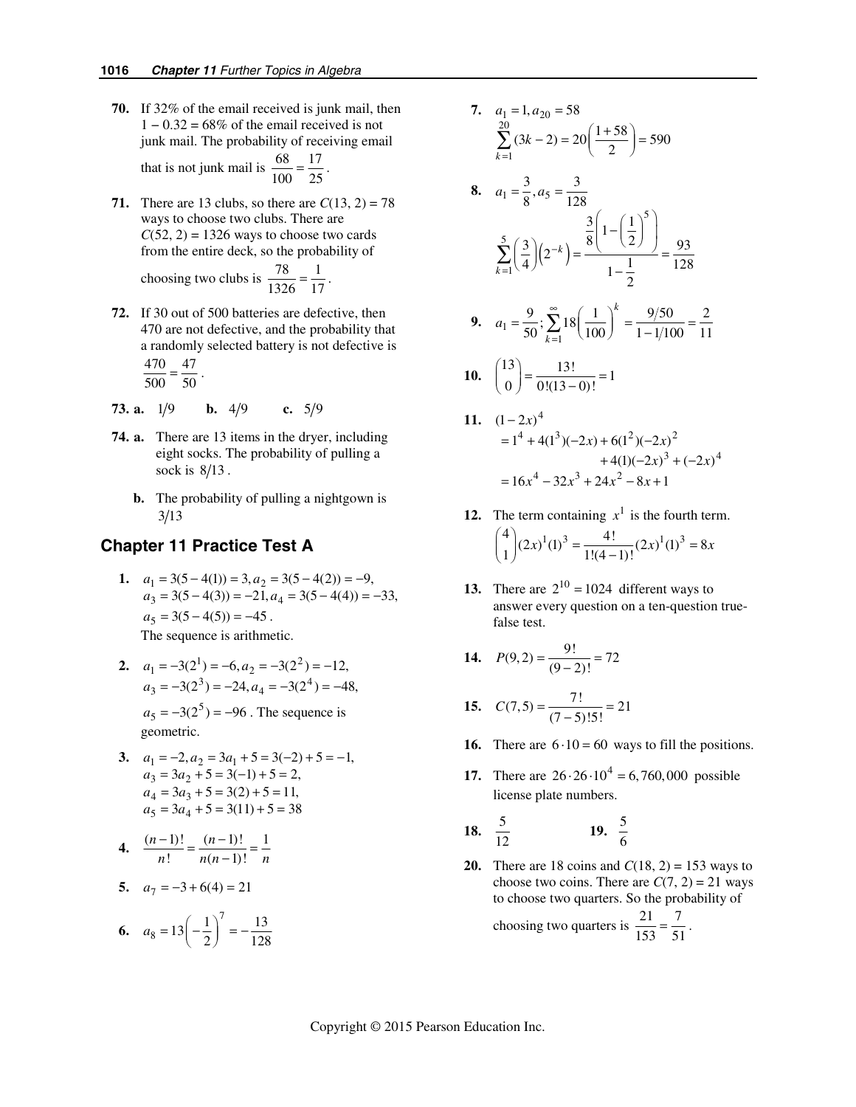**70.** If 32% of the email received is junk mail, then  $1 - 0.32 = 68\%$  of the email received is not junk mail. The probability of receiving email

that is not junk mail is  $\frac{68}{100} = \frac{17}{25}$ .

- **71.** There are 13 clubs, so there are  $C(13, 2) = 78$ ways to choose two clubs. There are  $C(52, 2) = 1326$  ways to choose two cards from the entire deck, so the probability of choosing two clubs is  $\frac{78}{1326} = \frac{1}{17}$ .
- **72.** If 30 out of 500 batteries are defective, then 470 are not defective, and the probability that a randomly selected battery is not defective is  $\frac{470}{500} = \frac{47}{50}$ .
- **73. a.**  $1/9$  **b.**  $4/9$  **c.**  $5/9$
- **74. a.** There are 13 items in the dryer, including eight socks. The probability of pulling a sock is  $8/13$ .
	- **b.** The probability of pulling a nightgown is  $3/13$

# **Chapter 11 Practice Test A**

- 1.  $a_1 = 3(5-4(1)) = 3, a_2$  $3 - 3(3 - 4(3)) - 21, u_4$  $3(5-4(1)) = 3, a<sub>2</sub> = 3(5-4(2)) = -9,$  $3(5-4(3)) = -21, a_4 = 3(5-4(4)) = -33,$  $a_1 = 3(5-4(1)) = 3, a$  $a_3 = 3(5-4(3)) = -21, a$  $= 3(5-4(1)) = 3, a<sub>2</sub> = 3(5-4(2)) = = 3(5-4(3)) = -21, a_4 = 3(5-4(4)) =$  $a_5 = 3(5 - 4(5)) = -45$ . The sequence is arithmetic.
	- **2.**  $a_1 = -3(2^1) = -6, a_2 = -3(2^2) = -12,$  $a_3 = -3(2^3) = -24, a_4 = -3(2^4) = -48,$  $a_5 = -3(2^5) = -96$ . The sequence is geometric.
	- **3.**  $a_1 = -2, a_2 = 3a_1$  $3 - 3u_2$  $a_4 = 3a_3 + 5 = 3(2) + 5 = 11,$  $a_5 = 3a_4 + 5 = 3(11) + 5 = 38$  $2, a_2 = 3a_1 + 5 = 3(-2) + 5 = -1,$  $3a_2 + 5 = 3(-1) + 5 = 2$ ,  $a_1 = -2, a_2 = 3a$  $a_3 = 3a$  $=-2, a_2 = 3a_1 + 5 = 3(-2) + 5 = = 3a_2 + 5 = 3(-1) + 5 =$

4. 
$$
\frac{(n-1)!}{n!} = \frac{(n-1)!}{n(n-1)!} = \frac{1}{n}
$$

5. 
$$
a_7 = -3 + 6(4) = 21
$$

**6.** 
$$
a_8 = 13\left(-\frac{1}{2}\right)^7 = -\frac{13}{128}
$$

- **7.**  $a_1 = 1, a_{20} = 58$ 20  $\sum_{k=1}^{20} (3k-2) = 20 \left( \frac{1+58}{2} \right) = 590$  $\sum_{k=1}^{20} (3k-2) = 20 \left( \frac{1+58}{2} \right) =$
- **8.**  $a_1 = \frac{3}{8}, a_5 = \frac{3}{128}$  $(2^{\circ})$ 5 5 1  $\frac{3}{8}$  1 -  $\left(\frac{1}{2}\right)$  $\frac{3}{2}$  $\left| \left( 2^{-k} \right) \right| = \frac{8 \left( 2^{k} \right) \left( 2^{k} \right)}{1} = \frac{93}{125}$  $4$   $\binom{2}{1}$   $\binom{1}{1}$   $\binom{1}{2}$  128 2 *k k* −  $\sum_{k=1}^{5} \left( \frac{3}{4} \right) \left( 2^{-k} \right) = \frac{\frac{3}{8} \left( 1 - \left( \frac{1}{2} \right)^5 \right)}{1 - \frac{1}{2}} =$ ∑

**9.** 
$$
a_1 = \frac{9}{50}
$$
;  $\sum_{k=1}^{\infty} 18 \left(\frac{1}{100}\right)^k = \frac{9/50}{1 - 1/100} = \frac{2}{11}$ 

$$
10. \quad \binom{13}{0} = \frac{13!}{0!(13-0)!} = 1
$$

- **11.**  $(1-2x)^4$  $= 1^4 + 4(1^3)(-2x) + 6(1^2)(-2x)^2$  $+4(1)(-2x)^3 + (-2x)^4$  $= 16x^4 - 32x^3 + 24x^2 - 8x + 1$
- **12.** The term containing  $x^1$  is the fourth term.  $\binom{4}{1} (2x)^1 (1)^3 = \frac{4!}{1!(4-1)!} (2x)^1 (1)^3 = 8x$ 
	- **13.** There are  $2^{10} = 1024$  different ways to answer every question on a ten-question truefalse test.
	- **14.**  $P(9,2) = \frac{9!}{(9-2)!} = 72$
- **15.**  $C(7,5) = \frac{7!}{(7-5)!5!} = 21$ 
	- **16.** There are  $6 \cdot 10 = 60$  ways to fill the positions.
	- **17.** There are  $26.26 \cdot 10^4 = 6,760,000$  possible license plate numbers.

**18.** 
$$
\frac{5}{12}
$$
 **19.**  $\frac{5}{6}$ 

**20.** There are 18 coins and  $C(18, 2) = 153$  ways to choose two coins. There are  $C(7, 2) = 21$  ways to choose two quarters. So the probability of choosing two quarters is  $\frac{21}{153} = \frac{7}{51}$ .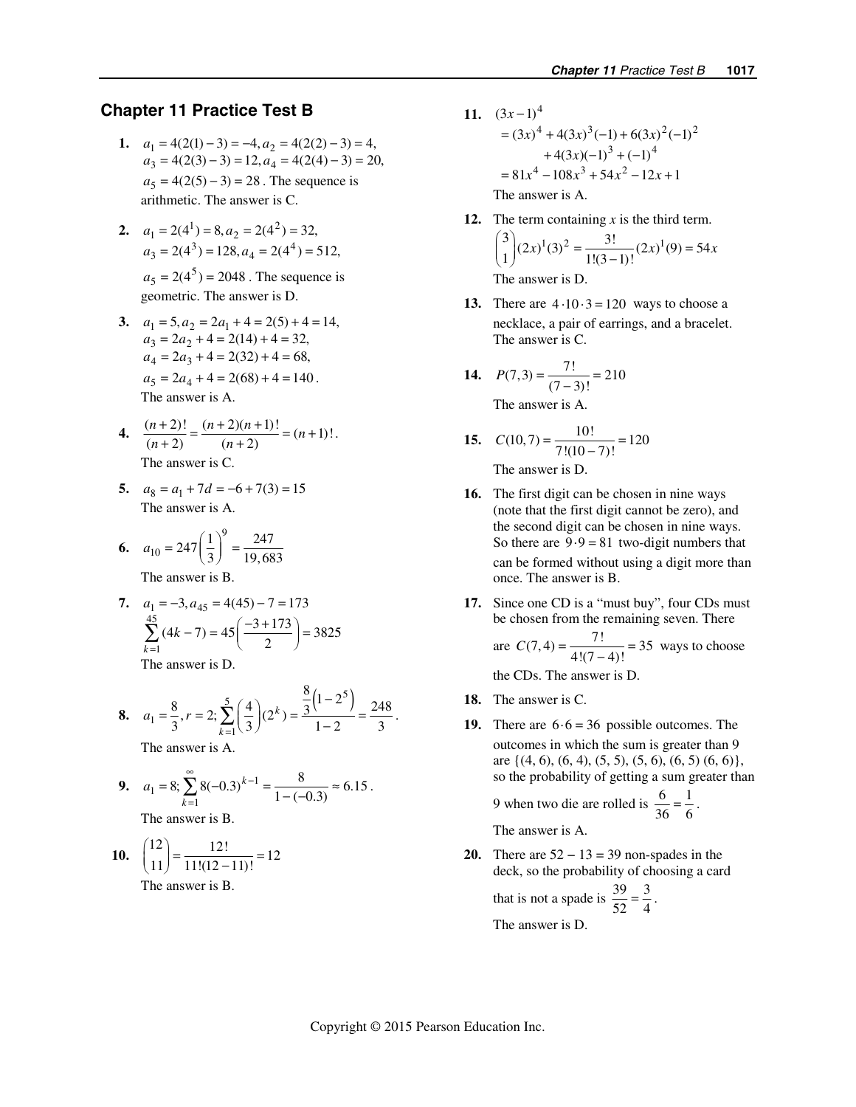# **Chapter 11 Practice Test B**

- 1.  $a_1 = 4(2(1) 3) = -4, a_2 = 4(2(2) 3) = 4,$  $a_3 = 4(2(3) - 3) = 12, a_4 = 4(2(4) - 3) = 20,$  $a_5 = 4(2(5) - 3) = 28$ . The sequence is arithmetic. The answer is C.
	- **2.**  $a_1 = 2(4^1) = 8, a_2 = 2(4^2) = 32,$  $a_3 = 2(4^3) = 128, a_4 = 2(4^4) = 512,$  $a_5 = 2(4^5) = 2048$ . The sequence is geometric. The answer is D.
	- **3.**  $a_1 = 5, a_2 = 2a_1 + 4 = 2(5) + 4 = 14,$  $a_3 = 2a_2 + 4 = 2(14) + 4 = 32,$  $a_4 = 2a_3 + 4 = 2(32) + 4 = 68,$  $a_5 = 2a_4 + 4 = 2(68) + 4 = 140$ . The answer is A.
	- **4.**  $\frac{(n+2)!}{(n+2)} = \frac{(n+2)(n+1)!}{(n+2)} = (n+1)!$ . The answer is  $\Gamma$
	- **5.**  $a_8 = a_1 + 7d = -6 + 7(3) = 15$ The answer is A.

6. 
$$
a_{10} = 247 \left(\frac{1}{3}\right)^9 = \frac{247}{19,683}
$$
  
The answer is B.

7. 
$$
a_1 = -3, a_{45} = 4(45) - 7 = 173
$$
  
\n
$$
\sum_{k=1}^{45} (4k - 7) = 45 \left( \frac{-3 + 173}{2} \right) = 3825
$$
\nThe answer is D.

**8.** 
$$
a_1 = \frac{8}{3}, r = 2; \sum_{k=1}^{5} \left(\frac{4}{3}\right) (2^k) = \frac{\frac{8}{3} (1 - 2^5)}{1 - 2} = \frac{248}{3}.
$$
  
The answer is A.

9. 
$$
a_1 = 8
$$
;  $\sum_{k=1}^{\infty} 8(-0.3)^{k-1} = \frac{8}{1 - (-0.3)} \approx 6.15$ .  
The answer is B.

$$
10. \quad \binom{12}{11} = \frac{12!}{11!(12-11)!} = 12
$$

The answer is B.

- **11.**  $(3x-1)^4$  $=(3x)^{4} + 4(3x)^{3}(-1) + 6(3x)^{2}(-1)^{2}$  $+4(3x)(-1)^3 + (-1)^4$  $= 81x^4 - 108x^3 + 54x^2 - 12x + 1$ The answer is A.
- **12.** The term containing *x* is the third term.  $\binom{3}{1} (2x)^1 (3)^2 = \frac{3!}{1!(3-1)!} (2x)^1 (9) = 54x$

The answer is D.

- **13.** There are  $4 \cdot 10 \cdot 3 = 120$  ways to choose a necklace, a pair of earrings, and a bracelet. The answer is C.
- **14.**  $P(7,3) = \frac{7!}{(7-3)!} = 210$ The answer is A.
- **15.**  $C(10, 7) = \frac{10!}{7!(10-7)!} = 120$ The answer is D.
- **16.** The first digit can be chosen in nine ways (note that the first digit cannot be zero), and the second digit can be chosen in nine ways. So there are  $9.9 = 81$  two-digit numbers that can be formed without using a digit more than once. The answer is B.
- **17.** Since one CD is a "must buy", four CDs must be chosen from the remaining seven. There are  $C(7, 4) = \frac{7!}{4!(7-4)!} = 35$  ways to choose the CDs. The answer is D.
- **18.** The answer is C.
- **19.** There are  $6 \cdot 6 = 36$  possible outcomes. The outcomes in which the sum is greater than 9 are {(4, 6), (6, 4), (5, 5), (5, 6), (6, 5) (6, 6)}, so the probability of getting a sum greater than 9 when two die are rolled is  $\frac{6}{36} = \frac{1}{6}$ . The answer is A.
- **20.** There are 52 − 13 = 39 non-spades in the deck, so the probability of choosing a card that is not a spade is  $\frac{39}{52} = \frac{3}{4}$ .

The answer is D.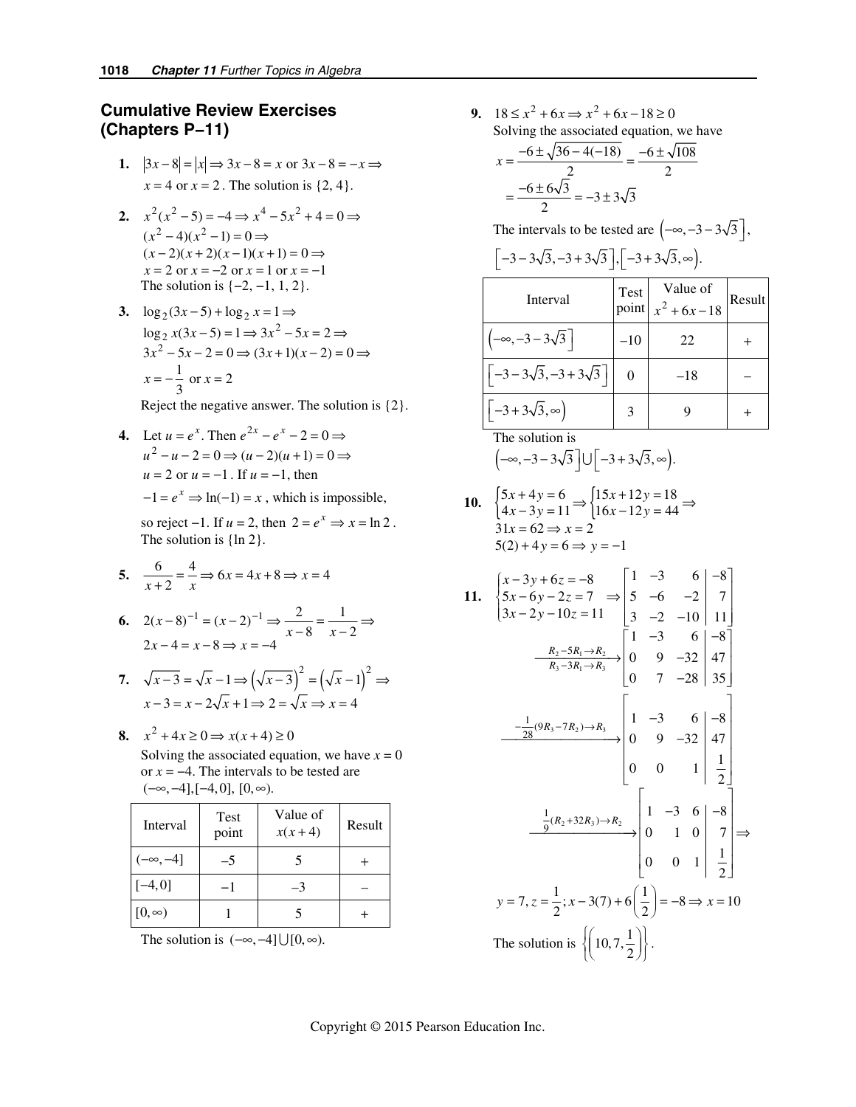# **Cumulative Review Exercises (Chapters P−11)**

- **1.**  $|3x-8| = |x| \Rightarrow 3x-8 = x$  or  $3x-8 = -x \Rightarrow x = 3$  $x = 4$  or  $x = 2$ . The solution is  $\{2, 4\}$ .
- **2.**  $x^2(x^2-5) = -4 \Rightarrow x^4 5x^2 + 4 = 0 \Rightarrow$  $(x^2-4)(x^2-1)=0 \Rightarrow$  $(x-2)(x+2)(x-1)(x+1) = 0 \Rightarrow$  $x = 2$  or  $x = -2$  or  $x = 1$  or  $x = -1$ The solution is  $\{-2, -1, 1, 2\}$ .
- **3.**  $\log_2(3x-5) + \log_2 x = 1$  ⇒  $\log_2 x(3x-5) = 1 \Rightarrow 3x^2 - 5x = 2 \Rightarrow$  $3x^2 - 5x - 2 = 0 \Rightarrow (3x + 1)(x - 2) = 0 \Rightarrow$  $x = -\frac{1}{3}$  or  $x = 2$

Reject the negative answer. The solution is {2}.

**4.** Let  $u = e^x$ . Then  $e^{2x} - e^x - 2 = 0 \Rightarrow$  $u^2 - u - 2 = 0 \Rightarrow (u - 2)(u + 1) = 0 \Rightarrow$  $u = 2$  or  $u = -1$ . If  $u = -1$ , then  $-1 = e^x \Rightarrow ln(-1) = x$ , which is impossible,

> so reject  $-1$ . If  $u = 2$ , then  $2 = e^x \Rightarrow x = \ln 2$ . The solution is  $\{ln 2\}$ .

$$
5. \quad \frac{6}{x+2} = \frac{4}{x} \Rightarrow 6x = 4x + 8 \Rightarrow x = 4
$$

- **6.**  $2(x-8)^{-1} = (x-2)^{-1} \Rightarrow \frac{2}{x-8} = \frac{1}{x-2}$  $2x-4=x-8 \Rightarrow x=-4$  $(x-8)^{-1} = (x-2)^{-1} \Rightarrow \frac{2}{x-8} = \frac{1}{x}$  $(x-8)^{-1} = (x-2)^{-1} \Rightarrow \frac{2}{x-8} = \frac{1}{x-2} \Rightarrow x-4 = x-8 \Rightarrow x = -4$ 
	- 7.  $\sqrt{x-3} = \sqrt{x-1} \Rightarrow (\sqrt{x-3})^2 = (\sqrt{x-1})^2 \Rightarrow$  $x-3=x-2\sqrt{x+1} \Rightarrow 2=\sqrt{x} \Rightarrow x=4$
- **8.**  $x^2 + 4x \ge 0 \Rightarrow x(x+4) \ge 0$ Solving the associated equation, we have  $x = 0$ or *x* = −4. The intervals to be tested are  $(-\infty, -4]$ ,  $[-4, 0]$ ,  $[0, \infty)$ .

| Interval        | Test<br>point | Value of<br>$x(x+4)$ | Result |
|-----------------|---------------|----------------------|--------|
| $(-\infty, -4]$ | $-5$          |                      |        |
| $[-4, 0]$       |               | -3                   |        |
| $[0, \infty)$   |               |                      |        |

The solution is  $(-\infty, -4] \cup [0, \infty)$ .

**9.**  $18 \le x^2 + 6x \Rightarrow x^2 + 6x - 18 \ge 0$ Solving the associated equation, we have  $6 \pm \sqrt{36 - 4(-18)} \quad -6 \pm \sqrt{108}$  $x = \frac{-6 \pm \sqrt{36 - 4(-18)}}{2} = \frac{-6 \pm \sqrt{36 - 4(-18)}}{2}$ 

$$
=\frac{-6\pm 6\sqrt{3}}{2}=-3\pm 3\sqrt{3}
$$

The intervals to be tested are  $(-\infty, -3 - 3\sqrt{3})$ ,

$$
\[-3-3\sqrt{3},-3+3\sqrt{3}\], [-3+3\sqrt{3},\infty\}.
$$

| Interval                                 | Test  | Value of<br>point $x^2 + 6x - 18$ | Result |
|------------------------------------------|-------|-----------------------------------|--------|
| $-\infty$ , $-3-3\sqrt{3}$               | $-10$ | 22                                |        |
| $\left(-3-3\sqrt{3},-3+3\sqrt{3}\right)$ |       | $-18$                             |        |
| $-3+3\sqrt{3},\infty$                    |       |                                   |        |

The solution is

$$
(-\infty, -3-3\sqrt{3}] \cup [-3+3\sqrt{3}, \infty).
$$

10. 
$$
\begin{cases} 5x + 4y = 6 \\ 4x - 3y = 11 \end{cases} \Rightarrow \begin{cases} 15x + 12y = 18 \\ 16x - 12y = 44 \end{cases} \Rightarrow 31x = 62 \Rightarrow x = 2
$$
  
5(2) + 4y = 6 \Rightarrow y = -1

11. 
$$
\begin{cases} x-3y+6z = -8 \ 5x-6y-2z = 7 \ \Rightarrow \begin{bmatrix} 1 & -3 & 6 \ 5 & -6 & -2 \ 3x-2y-10z = 11 \ \end{bmatrix} \begin{bmatrix} 1 & -3 & 6 \ 5 & -6 & -2 \ 3 & -2 & -10 \ \end{bmatrix} \begin{bmatrix} 7 \ 11 \ 11 \ \end{bmatrix}
$$

$$
\xrightarrow[R_2-5R_1\rightarrow R_2]{R_2-5R_1\rightarrow R_2} \begin{bmatrix} 1 & -3 & 6 \ 0 & 9 & -32 \ 0 & 7 & -28 \ \end{bmatrix} \begin{bmatrix} 47 \ 35 \ \end{bmatrix}
$$

$$
\xrightarrow{-\frac{1}{28}(9R_3-7R_2)\rightarrow R_3} \begin{bmatrix} 1 & -3 & 6 \ 0 & 9 & -32 \ 0 & 0 & 1 \ \end{bmatrix} \begin{bmatrix} -3 & 6 \ 0 & 47 \ 0 & 0 & 1 \ \end{bmatrix}
$$

$$
\xrightarrow{\frac{1}{9}(R_2+32R_3)\rightarrow R_2} \begin{bmatrix} 1 & -3 & 6 \ 0 & 1 & 0 \ 0 & 0 & 1 \ \end{bmatrix} \begin{bmatrix} 1 & -3 \ 7 \ 2 & 0 \ \end{bmatrix}
$$

$$
y = 7, z = \frac{1}{2}; x - 3(7) + 6(\frac{1}{2}) = -8 \Rightarrow x = 10
$$
The solution is 
$$
\left\{ \begin{bmatrix} 10, 7, \frac{1}{2} \end{bmatrix} \right\}.
$$